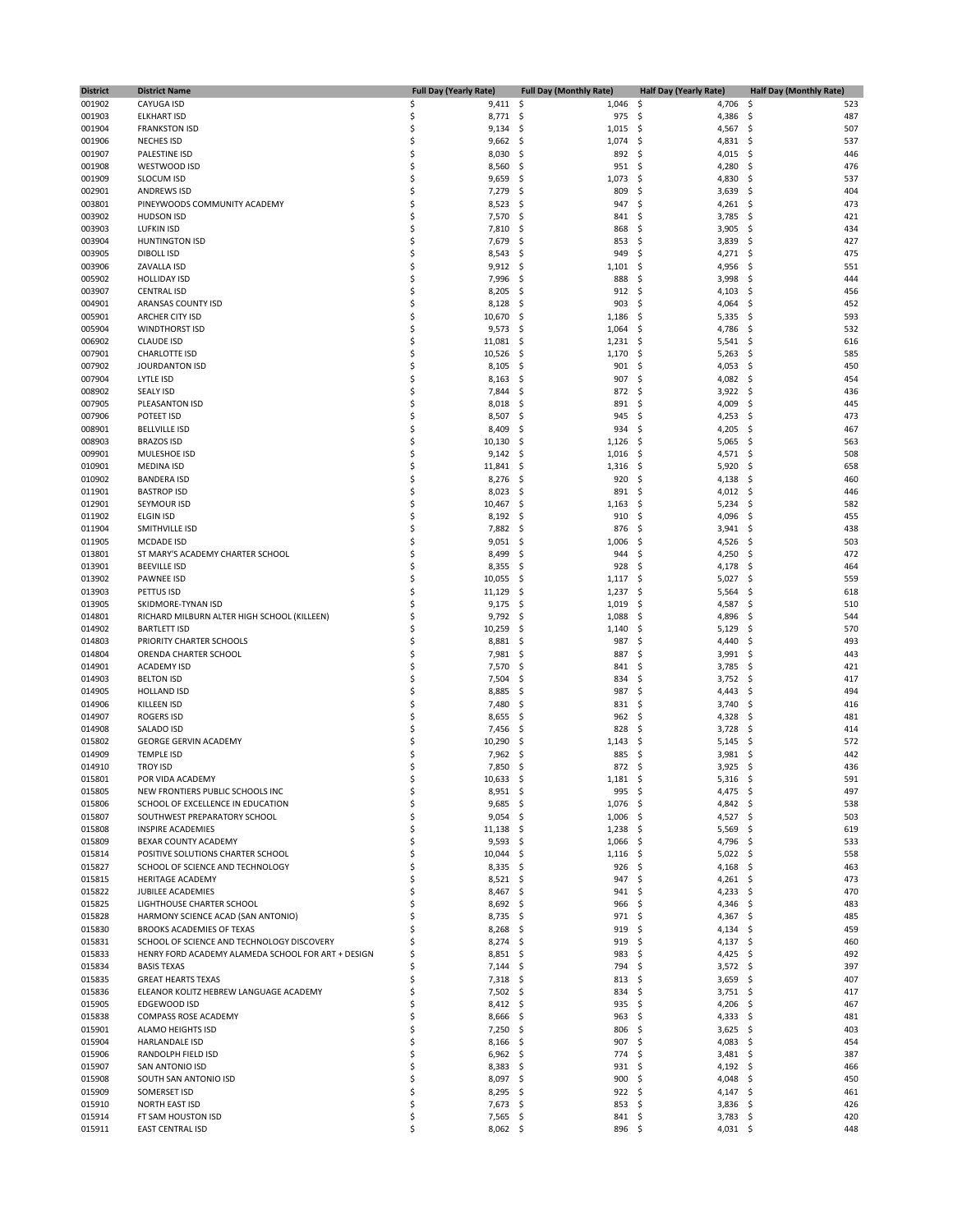| <b>District</b>  | <b>District Name</b>                                                                             |          | <b>Full Day (Yearly Rate)</b> | <b>Full Day (Monthly Rate)</b> | <b>Half Day (Yearly Rate)</b>          | <b>Half Day (Monthly Rate)</b> |
|------------------|--------------------------------------------------------------------------------------------------|----------|-------------------------------|--------------------------------|----------------------------------------|--------------------------------|
| 001902           | CAYUGA ISD                                                                                       | \$       | $9,411$ \$                    | 1,046                          | \$<br>4,706                            | -\$<br>523                     |
| 001903           | <b>ELKHART ISD</b>                                                                               | \$       | 8,771                         | \$,<br>975                     | \$<br>4,386                            | 487<br>-\$                     |
| 001904           | <b>FRANKSTON ISD</b>                                                                             | \$<br>Ś  | 9,134                         | \$,<br>1,015                   | \$<br>4,567                            | -\$<br>507                     |
| 001906<br>001907 | <b>NECHES ISD</b><br>PALESTINE ISD                                                               | \$       | 9,662<br>8,030                | \$<br>1,074<br>\$<br>892       | \$<br>4,831<br>\$<br>4,015             | - \$<br>537<br>-\$<br>446      |
| 001908           | WESTWOOD ISD                                                                                     | \$       | 8,560                         | \$<br>951                      | \$<br>4,280                            | \$<br>476                      |
| 001909           | <b>SLOCUM ISD</b>                                                                                | \$       | 9,659                         | \$<br>1,073                    | Ś<br>4,830                             | -\$<br>537                     |
| 002901           | <b>ANDREWS ISD</b>                                                                               | \$       | 7,279                         | \$<br>809                      | Ś<br>3,639                             | \$<br>404                      |
| 003801           | PINEYWOODS COMMUNITY ACADEMY                                                                     | \$       | 8,523                         | \$<br>947                      | \$<br>4,261                            | -\$<br>473                     |
| 003902<br>003903 | <b>HUDSON ISD</b><br><b>LUFKIN ISD</b>                                                           | \$<br>\$ | 7,570<br>7,810                | \$<br>841<br>868<br>S          | Ś<br>3,785<br>Ś<br>3,905               | -\$<br>421<br>434              |
| 003904           | <b>HUNTINGTON ISD</b>                                                                            | \$       | 7,679                         | \$<br>853                      | \$<br>3,839                            | \$.<br>-\$<br>427              |
| 003905           | <b>DIBOLL ISD</b>                                                                                | \$       | 8,543                         | \$<br>949                      | Ś<br>4,271                             | -\$<br>475                     |
| 003906           | ZAVALLA ISD                                                                                      | \$       | 9,912                         | \$,<br>1,101                   | \$<br>4,956                            | 551<br>-\$                     |
| 005902           | <b>HOLLIDAY ISD</b>                                                                              | \$       | 7,996                         | 888<br>S                       | \$<br>3,998                            | -\$<br>444                     |
| 003907           | <b>CENTRAL ISD</b>                                                                               | \$       | 8,205                         | \$<br>912                      | \$<br>4,103                            | -\$<br>456                     |
| 004901           | ARANSAS COUNTY ISD<br>ARCHER CITY ISD                                                            | \$<br>\$ | 8,128                         | 903<br>S                       | \$<br>4,064                            | 452<br>-\$                     |
| 005901<br>005904 | <b>WINDTHORST ISD</b>                                                                            | \$       | 10,670<br>9,573               | \$<br>1,186<br>\$<br>1,064     | \$<br>5,335<br>\$<br>4,786             | -\$<br>593<br>\$<br>532        |
| 006902           | <b>CLAUDE ISD</b>                                                                                | \$       | 11,081                        | 1,231<br>S                     | \$<br>5,541                            | -\$<br>616                     |
| 007901           | CHARLOTTE ISD                                                                                    | \$       | 10,526                        | \$<br>1,170                    | \$<br>5,263                            | -\$<br>585                     |
| 007902           | JOURDANTON ISD                                                                                   | \$       | 8,105                         | \$<br>901                      | \$<br>4,053                            | \$<br>450                      |
| 007904           | LYTLE ISD                                                                                        | \$       | 8,163                         | 907<br>S                       | \$<br>4,082                            | 454<br>- \$                    |
| 008902           | <b>SEALY ISD</b>                                                                                 | \$<br>\$ | 7,844                         | \$<br>872<br>S                 | 3,922<br>\$<br>\$                      | -\$<br>436                     |
| 007905<br>007906 | PLEASANTON ISD<br>POTEET ISD                                                                     | \$       | 8,018<br>8,507                | 891<br>945<br>S                | 4,009<br>\$<br>4,253                   | \$<br>445<br>-\$<br>473        |
| 008901           | <b>BELLVILLE ISD</b>                                                                             | \$       | 8,409                         | 934<br>S                       | 4,205<br>\$                            | -\$<br>467                     |
| 008903           | <b>BRAZOS ISD</b>                                                                                | \$       | 10,130                        | S<br>1,126                     | \$<br>5,065                            | \$<br>563                      |
| 009901           | MULESHOE ISD                                                                                     | \$       | 9,142                         | 1,016<br>S                     | \$<br>4,571                            | - \$<br>508                    |
| 010901           | <b>MEDINA ISD</b>                                                                                | \$       | 11,841                        | \$<br>1,316                    | 5,920<br>\$                            | 658<br>-\$                     |
| 010902           | <b>BANDERA ISD</b>                                                                               | \$       | 8,276                         | \$<br>920                      | Ś<br>4,138                             | \$<br>460                      |
| 011901<br>012901 | <b>BASTROP ISD</b><br>SEYMOUR ISD                                                                | \$<br>\$ | 8,023<br>10,467               | \$<br>891<br>\$<br>1,163       | \$<br>4,012<br>\$<br>5,234             | - \$<br>446<br>-\$<br>582      |
| 011902           | <b>ELGIN ISD</b>                                                                                 | \$       | 8,192                         | \$<br>910                      | \$<br>4,096                            | -\$<br>455                     |
| 011904           | SMITHVILLE ISD                                                                                   | \$       | 7,882                         | 876<br>\$,                     | 3,941<br>\$                            | 438<br>- \$                    |
| 011905           | <b>MCDADE ISD</b>                                                                                | \$       | 9,051                         | 1,006<br>S                     | 4,526<br>S                             | -\$<br>503                     |
| 013801           | ST MARY'S ACADEMY CHARTER SCHOOL                                                                 | \$       | 8,499                         | \$<br>944                      | \$<br>4,250                            | \$<br>472                      |
| 013901           | <b>BEEVILLE ISD</b>                                                                              | \$       | 8,355                         | 928<br>\$                      | \$<br>4,178                            | -\$<br>464                     |
| 013902           | <b>PAWNEE ISD</b>                                                                                | \$       | 10,055                        | \$<br>1,117                    | \$<br>5,027                            | - \$<br>559                    |
| 013903<br>013905 | PETTUS ISD<br>SKIDMORE-TYNAN ISD                                                                 | \$<br>\$ | 11,129<br>9,175               | \$<br>1,237<br>1,019<br>\$,    | \$<br>5,564<br>\$<br>4,587             | \$<br>618<br>-\$<br>510        |
| 014801           | RICHARD MILBURN ALTER HIGH SCHOOL (KILLEEN)                                                      | \$       | 9,792                         | \$<br>1,088                    | \$<br>4,896                            | -\$<br>544                     |
| 014902           | <b>BARTLETT ISD</b>                                                                              | \$       | 10,259                        | \$<br>1,140                    | \$<br>5,129                            | \$<br>570                      |
| 014803           | PRIORITY CHARTER SCHOOLS                                                                         | \$       | 8,881                         | \$<br>987                      | \$<br>4,440                            | \$<br>493                      |
| 014804           | ORENDA CHARTER SCHOOL                                                                            | \$       | 7,981                         | 887<br>S                       | Ś<br>3,991                             | - \$<br>443                    |
| 014901           | <b>ACADEMY ISD</b>                                                                               | \$<br>\$ | 7,570                         | \$<br>841                      | \$<br>3,785<br>\$                      | 421<br>-\$                     |
| 014903<br>014905 | <b>BELTON ISD</b><br><b>HOLLAND ISD</b>                                                          | \$       | 7,504<br>8,885                | S<br>834<br>\$<br>987          | 3,752<br>\$<br>4,443                   | \$<br>417<br>-\$<br>494        |
| 014906           | <b>KILLEEN ISD</b>                                                                               | \$       | 7,480                         | 831<br>\$,                     | \$<br>3,740                            | \$<br>416                      |
| 014907           | <b>ROGERS ISD</b>                                                                                | \$       | 8,655                         | 962<br>S                       | \$<br>4,328                            | \$<br>481                      |
| 014908           | SALADO ISD                                                                                       | \$       | 7,456                         | 828<br>S                       | Ś<br>3,728                             | -\$<br>414                     |
| 015802           | <b>GEORGE GERVIN ACADEMY</b>                                                                     | \$       | 10,290                        | 1,143<br>S                     | \$<br>5,145                            | 572<br>-\$                     |
| 014909           | <b>TEMPLE ISD</b>                                                                                | \$<br>Ś  | 7,962                         | 885<br>S<br>872 \$             | \$<br>3,981<br>$3,925$ \$              | -\$<br>442                     |
| 014910<br>015801 | <b>TROY ISD</b><br>POR VIDA ACADEMY                                                              | Ś        | 7,850 \$<br>10,633 \$         | 1,181                          | \$<br>5,316                            | 436<br>591<br>- \$             |
| 015805           | NEW FRONTIERS PUBLIC SCHOOLS INC                                                                 | \$       | $8,951$ \$                    | 995                            | \$<br>4,475                            | - \$<br>497                    |
| 015806           | SCHOOL OF EXCELLENCE IN EDUCATION                                                                | \$       | $9,685$ \$                    | 1,076                          | \$<br>4,842 \$                         | 538                            |
| 015807           | SOUTHWEST PREPARATORY SCHOOL                                                                     | Ś        | 9,054                         | 1,006<br>S                     | 4,527 \$<br>\$.                        | 503                            |
| 015808           | <b>INSPIRE ACADEMIES</b>                                                                         | S        | 11,138                        | \$.<br>1,238                   | \$<br>5,569                            | - \$<br>619                    |
| 015809           | BEXAR COUNTY ACADEMY                                                                             |          | 9,593                         | \$.<br>1,066                   | 4,796<br>\$                            | - \$<br>533                    |
| 015814<br>015827 | POSITIVE SOLUTIONS CHARTER SCHOOL<br>SCHOOL OF SCIENCE AND TECHNOLOGY                            | S        | 10,044<br>$8,335$ \$          | \$.<br>1,116<br>926            | $5,022$ \$<br>\$.<br>-\$<br>$4,168$ \$ | 558<br>463                     |
| 015815           | HERITAGE ACADEMY                                                                                 |          | 8,521                         | \$.<br>947                     | \$<br>4,261 \$                         | 473                            |
| 015822           | <b>JUBILEE ACADEMIES</b>                                                                         | S        | 8,467                         | 941<br>S                       | $4,233$ \$<br>S                        | 470                            |
| 015825           | LIGHTHOUSE CHARTER SCHOOL                                                                        | S        | $8,692$ \$                    | 966                            | \$<br>$4,346$ \$                       | 483                            |
| 015828           | HARMONY SCIENCE ACAD (SAN ANTONIO)                                                               |          | $8,735$ \$                    | 971                            | \$<br>4,367 \$                         | 485                            |
| 015830           | BROOKS ACADEMIES OF TEXAS                                                                        | \$       | 8,268                         | 919<br>S                       | $4,134$ \$<br>\$.                      | 459                            |
| 015831           | SCHOOL OF SCIENCE AND TECHNOLOGY DISCOVERY<br>HENRY FORD ACADEMY ALAMEDA SCHOOL FOR ART + DESIGN |          | 8,274                         | S.<br>919                      | \$<br>$4,137$ \$<br>4,425 \$           | 460                            |
| 015833<br>015834 | <b>BASIS TEXAS</b>                                                                               | S        | 8,851<br>7,144                | 983<br>S<br>794<br>-S          | \$<br>\$<br>$3,572$ \$                 | 492<br>397                     |
| 015835           | <b>GREAT HEARTS TEXAS</b>                                                                        | \$       | $7,318$ \$                    | 813                            | $3,659$ \$<br>\$                       | 407                            |
| 015836           | ELEANOR KOLITZ HEBREW LANGUAGE ACADEMY                                                           |          | 7,502                         | S<br>834                       | \$<br>$3,751$ \$                       | 417                            |
| 015905           | EDGEWOOD ISD                                                                                     |          | 8,412                         | 935<br>-\$                     | $4,206$ \$<br>\$                       | 467                            |
| 015838           | COMPASS ROSE ACADEMY                                                                             | S        | $8,666$ \$                    | 963                            | \$<br>$4,333$ \$                       | 481                            |
| 015901           | <b>ALAMO HEIGHTS ISD</b>                                                                         |          | 7,250                         | S.<br>806                      | \$<br>$3,625$ \$                       | 403                            |
| 015904<br>015906 | <b>HARLANDALE ISD</b><br>RANDOLPH FIELD ISD                                                      |          | 8,166<br>6,962                | 907<br>-S<br>774<br>-S         | $4,083$ \$<br>\$<br>\$<br>$3,481$ \$   | 454<br>387                     |
| 015907           | SAN ANTONIO ISD                                                                                  |          | 8,383                         | 931<br>S                       | \$<br>4,192 \$                         | 466                            |
| 015908           | SOUTH SAN ANTONIO ISD                                                                            | Ś        | 8,097                         | 900<br>-\$                     | 4,048 \$<br>\$.                        | 450                            |
| 015909           | SOMERSET ISD                                                                                     |          | 8,295                         | 922<br>-S                      | \$<br>$4,147$ \$                       | 461                            |
| 015910           | NORTH EAST ISD                                                                                   | \$       | 7,673                         | 853<br>S                       | \$<br>$3,836$ \$                       | 426                            |
| 015914           | FT SAM HOUSTON ISD                                                                               | \$       | $7,565$ \$                    | 841 \$                         | $3,783$ \$                             | 420                            |
| 015911           | <b>EAST CENTRAL ISD</b>                                                                          | Ś        | $8,062$ \$                    | 896 \$                         | $4,031$ \$                             | 448                            |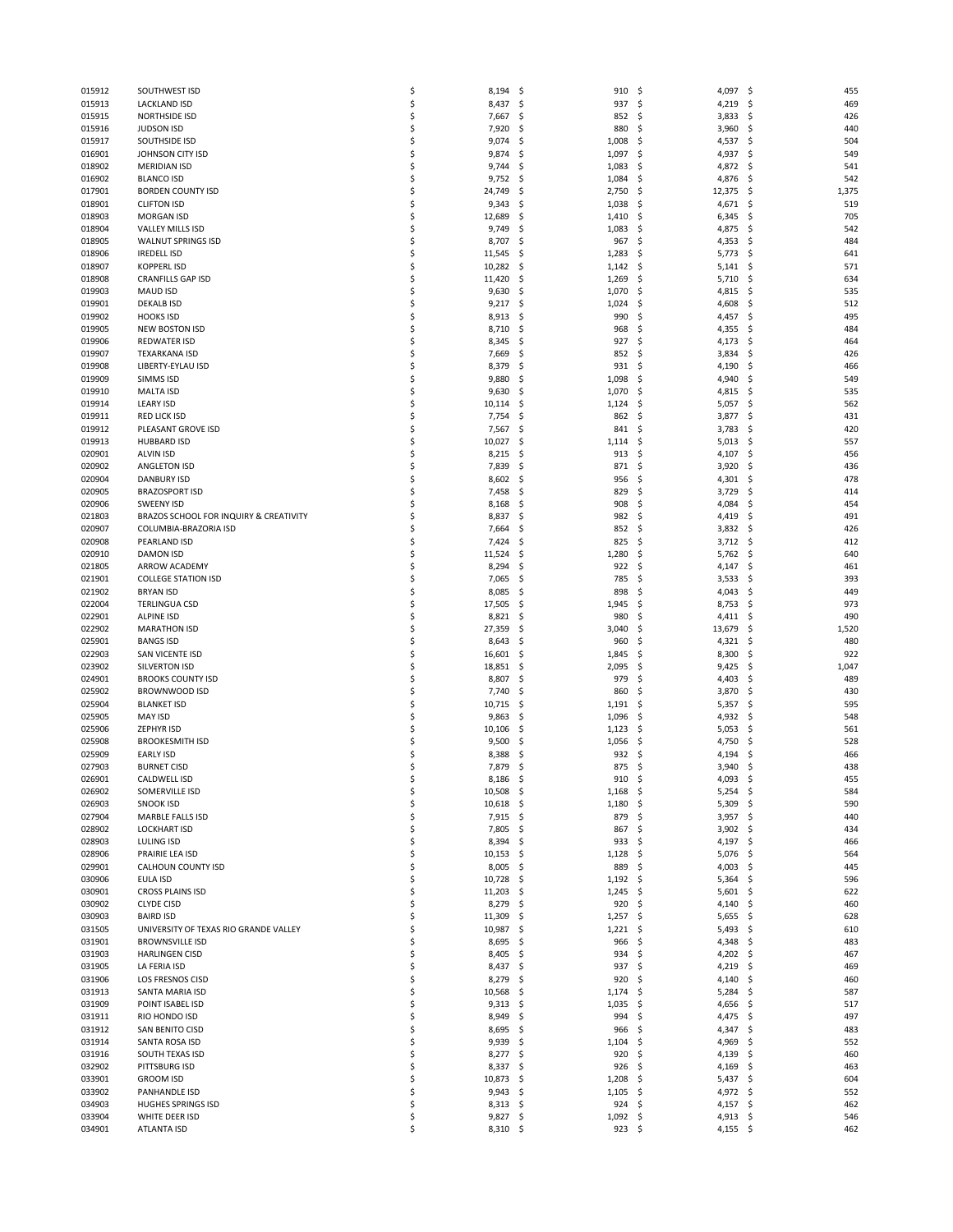| 015912           |                                        |          |                     |                              |                         |                   |
|------------------|----------------------------------------|----------|---------------------|------------------------------|-------------------------|-------------------|
|                  | SOUTHWEST ISD                          | \$       | 8,194               | \$<br>910                    | \$<br>4,097             | \$<br>455         |
| 015913           | <b>LACKLAND ISD</b>                    | \$       | 8,437               | 937<br>-\$                   | \$<br>4,219             | \$<br>469         |
| 015915           | <b>NORTHSIDE ISD</b>                   | \$       | 7,667               | \$,<br>852                   | -\$<br>3,833            | \$<br>426         |
| 015916           | <b>JUDSON ISD</b>                      | \$       | 7,920               | \$,<br>880                   | \$<br>3,960             | \$<br>440         |
| 015917           | SOUTHSIDE ISD                          | Ś        | 9,074               | \$,<br>1,008                 | \$.<br>4,537            | \$<br>504         |
|                  |                                        |          |                     |                              |                         |                   |
| 016901           | JOHNSON CITY ISD                       | \$       | 9,874               | 1,097<br>-\$                 | -\$<br>4,937            | \$<br>549         |
| 018902           | <b>MERIDIAN ISD</b>                    | \$       | 9,744               | 1,083<br>\$,                 | \$<br>4,872             | \$<br>541         |
| 016902           | <b>BLANCO ISD</b>                      | Ś        | 9,752               | \$,<br>1,084                 | \$<br>4,876             | \$<br>542         |
| 017901           | <b>BORDEN COUNTY ISD</b>               | \$       | 24,749              | Ś<br>2,750                   | \$<br>12,375            | 1,375<br>\$       |
|                  |                                        |          |                     |                              |                         |                   |
| 018901           | <b>CLIFTON ISD</b>                     | \$       | 9,343               | 1,038<br>\$,                 | 4,671<br>\$             | \$<br>519         |
| 018903           | <b>MORGAN ISD</b>                      | Ś        | 12,689              | Ś<br>1,410                   | \$<br>6,345             | 705<br>\$         |
| 018904           | <b>VALLEY MILLS ISD</b>                | \$       | 9,749               | \$,<br>1,083                 | \$<br>4,875             | \$<br>542         |
| 018905           | <b>WALNUT SPRINGS ISD</b>              | \$       | 8,707               | 967<br>\$,                   | \$<br>4,353             | \$<br>484         |
|                  |                                        |          |                     |                              |                         |                   |
| 018906           | <b>IREDELL ISD</b>                     | \$       | 11,545              | \$,<br>1,283                 | \$.<br>5,773            | \$<br>641         |
| 018907           | <b>KOPPERLISD</b>                      | \$       | 10,282              | \$,<br>1,142                 | \$<br>5,141             | -\$<br>571        |
| 018908           | <b>CRANFILLS GAP ISD</b>               | \$       | 11,420              | 1,269<br>-\$                 | \$<br>5,710             | \$<br>634         |
|                  |                                        |          |                     |                              |                         |                   |
| 019903           | <b>MAUD ISD</b>                        | \$       | 9,630               | \$,<br>1,070                 | \$<br>4,815             | \$<br>535         |
| 019901           | <b>DEKALB ISD</b>                      | \$       | 9,217               | 1,024<br>\$,                 | \$<br>4,608             | \$<br>512         |
| 019902           | <b>HOOKS ISD</b>                       | Ś        | 8,913               | 990<br>-\$                   | \$<br>4,457             | 495<br>\$         |
| 019905           | <b>NEW BOSTON ISD</b>                  | \$       | 8,710               | \$,<br>968                   | \$<br>4,355             | \$<br>484         |
|                  |                                        |          |                     |                              |                         |                   |
| 019906           | <b>REDWATER ISD</b>                    | \$       | 8,345               | \$,<br>927                   | \$<br>4,173             | \$<br>464         |
| 019907           | <b>TEXARKANA ISD</b>                   | Ś        | 7,669               | 852<br>S                     | \$<br>3,834             | 426<br>\$         |
| 019908           | LIBERTY-EYLAU ISD                      | \$       | 8,379               | \$,<br>931                   | \$<br>4,190             | \$<br>466         |
| 019909           | SIMMS ISD                              | \$       | 9,880               | 1,098<br>\$,                 | \$<br>4,940             | \$<br>549         |
|                  |                                        |          |                     |                              |                         |                   |
| 019910           | <b>MALTA ISD</b>                       | \$       | 9,630               | 1,070<br>-\$                 | \$<br>4,815             | \$<br>535         |
| 019914           | <b>LEARY ISD</b>                       | \$       | 10,114              | \$,<br>1,124                 | \$<br>5,057             | -\$<br>562        |
| 019911           | <b>RED LICK ISD</b>                    | Ś        | 7,754               | \$<br>862                    | \$<br>3,877             | \$<br>431         |
| 019912           | PLEASANT GROVE ISD                     | \$       |                     | 841                          | \$<br>3,783             | 420               |
|                  |                                        |          | 7,567               | \$,                          |                         | \$                |
| 019913           | <b>HUBBARD ISD</b>                     | \$       | 10,027              | \$,<br>1,114                 | \$<br>5,013             | 557<br>\$         |
| 020901           | <b>ALVIN ISD</b>                       | Ś        | 8,215               | \$,<br>913                   | \$<br>4,107             | \$<br>456         |
| 020902           | <b>ANGLETON ISD</b>                    | \$       | 7,839               | 871<br>-\$                   | \$<br>3,920             | \$<br>436         |
|                  |                                        |          |                     |                              |                         |                   |
| 020904           | <b>DANBURY ISD</b>                     | \$       | 8,602               | \$,<br>956                   | \$<br>4,301             | 478<br>\$         |
| 020905           | <b>BRAZOSPORT ISD</b>                  |          | 7,458               | \$<br>829                    | \$<br>3,729             | \$<br>414         |
| 020906           | <b>SWEENY ISD</b>                      | Ś        | 8,168               | 908<br>-\$                   | \$<br>4,084             | \$<br>454         |
| 021803           | BRAZOS SCHOOL FOR INQUIRY & CREATIVITY | \$       | 8,837               | \$,<br>982                   | \$<br>4,419             | 491<br>\$         |
|                  |                                        |          |                     |                              |                         |                   |
| 020907           | COLUMBIA-BRAZORIA ISD                  | s        | 7,664               | \$<br>852                    | \$<br>3,832             | \$<br>426         |
| 020908           | PEARLAND ISD                           | Ś        | 7,424               | -\$<br>825                   | \$<br>3,712             | -\$<br>412        |
| 020910           | <b>DAMON ISD</b>                       | Ś        | 11,524              | \$<br>1,280                  | \$<br>5,762             | 640<br>\$         |
| 021805           | ARROW ACADEMY                          | \$       | 8,294               | \$,<br>922                   | \$<br>4,147             | \$<br>461         |
|                  |                                        |          |                     |                              |                         |                   |
| 021901           | <b>COLLEGE STATION ISD</b>             | \$       | 7,065               | 785<br>\$,                   | \$<br>3,533             | 393<br>\$         |
| 021902           | <b>BRYAN ISD</b>                       | Ś        | 8,085               | 898<br>-\$                   | \$.<br>4,043            | \$<br>449         |
| 022004           | <b>TERLINGUA CSD</b>                   | \$       | 17,505              | \$,<br>1,945                 | \$<br>8,753             | \$<br>973         |
|                  |                                        |          |                     |                              |                         |                   |
|                  |                                        |          |                     |                              |                         |                   |
| 022901           | <b>ALPINE ISD</b>                      | \$       | 8,821               | 980<br>-\$                   | 4,411<br>\$             | -\$<br>490        |
| 022902           | <b>MARATHON ISD</b>                    | Ś        | 27,359              | 3,040<br>S                   | \$<br>13,679            | \$<br>1,520       |
| 025901           | <b>BANGS ISD</b>                       | \$       | 8,643               | \$,<br>960                   | 4,321<br>\$             | \$<br>480         |
|                  |                                        |          |                     |                              |                         |                   |
| 022903           | SAN VICENTE ISD                        | \$       | 16,601              | \$,<br>1,845                 | 8,300<br>\$             | 922<br>\$         |
| 023902           | <b>SILVERTON ISD</b>                   | \$       | 18,851              | 2,095<br>-\$                 | \$<br>9,425             | \$<br>1,047       |
| 024901           | <b>BROOKS COUNTY ISD</b>               | \$       | 8,807               | \$,<br>979                   | \$<br>4,403             | \$<br>489         |
| 025902           | BROWNWOOD ISD                          | Ś        | 7,740               | Ś<br>860                     | \$<br>3,870             | 430<br>\$         |
|                  |                                        |          |                     |                              |                         |                   |
| 025904           | <b>BLANKET ISD</b>                     | \$       | 10,715              | 1,191<br>-\$                 | \$<br>5,357             | \$<br>595         |
| 025905           | <b>MAY ISD</b>                         | \$       | 9,863               | \$,<br>1,096                 | \$<br>4,932             | \$<br>548         |
| 025906           | <b>ZEPHYRISD</b>                       | Ś        | 10,106              | \$,<br>1,123                 | \$<br>5,053             | \$<br>561         |
| 025908           | <b>BROOKESMITH ISD</b>                 | \$       | 9,500               | 1,056<br>-\$                 | \$<br>4,750             | \$<br>528         |
|                  |                                        |          |                     |                              |                         |                   |
| 025909           | <b>EARLY ISD</b>                       | \$       | 8,388               | 932<br>S                     | \$<br>4,194             | \$<br>466         |
| 027903           | <b>BURNET CISD</b>                     | Ś        | 7,879               | Ś<br>875                     | \$<br>3,940             | \$<br>438         |
| 026901           | CALDWELL ISD                           |          | 8,186               | 910<br>Ś                     | 4,093<br>-\$            | \$<br>455         |
| 026902           | SOMERVILLE ISD                         | \$       | 10,508              | -\$<br>1,168                 | \$<br>5,254             | -\$<br>584        |
|                  |                                        |          |                     |                              |                         |                   |
| 026903           | <b>SNOOK ISD</b>                       | \$       | 10,618              | - \$<br>1,180                | \$<br>5,309             | \$<br>590         |
| 027904           | MARBLE FALLS ISD                       | \$       | 7,915 \$            | 879                          | \$<br>3,957             | 440<br>- \$       |
| 028902           | <b>LOCKHART ISD</b>                    | \$       | 7,805               | -\$<br>867                   | \$<br>3,902             | -\$<br>434        |
| 028903           | LULING ISD                             | \$       | 8,394               | - \$<br>933                  | -\$<br>4,197 \$         | 466               |
|                  | PRAIRIE LEA ISD                        | \$       |                     |                              | \$                      | -\$<br>564        |
| 028906           |                                        |          | 10,153<br>- \$      | 1,128                        | 5,076                   |                   |
| 029901           | CALHOUN COUNTY ISD                     | \$       | 8,005               | -\$<br>889                   | \$<br>4,003             | 445<br>\$         |
| 030906           | EULA ISD                               | \$       | 10,728              | - \$<br>1,192                | -\$<br>5,364            | -\$<br>596        |
| 030901           | <b>CROSS PLAINS ISD</b>                | \$       | 11,203              | -\$<br>1,245                 | \$<br>5,601             | 622<br>-\$        |
| 030902           | <b>CLYDE CISD</b>                      | \$       |                     | 920<br>-\$                   | \$                      | 460               |
|                  |                                        |          | 8,279               |                              | 4,140                   | -\$               |
| 030903           | <b>BAIRD ISD</b>                       | \$       | 11,309              | -\$<br>1,257                 | -\$<br>5,655            | -\$<br>628        |
| 031505           | UNIVERSITY OF TEXAS RIO GRANDE VALLEY  | \$       | 10,987              | \$<br>1,221                  | \$<br>5,493             | 610<br>-\$        |
| 031901           | <b>BROWNSVILLE ISD</b>                 | \$       | 8,695               | \$<br>966                    | \$<br>4,348             | -\$<br>483        |
| 031903           | <b>HARLINGEN CISD</b>                  | \$       | 8,405               | -\$<br>934                   | -\$<br>4,202            | - \$<br>467       |
|                  |                                        |          |                     |                              |                         |                   |
| 031905           | LA FERIA ISD                           | \$       | 8,437               | -\$<br>937                   | \$<br>4,219             | -\$<br>469        |
| 031906           | LOS FRESNOS CISD                       | \$       | 8,279               | -\$<br>920                   | \$<br>4,140             | -\$<br>460        |
| 031913           | SANTA MARIA ISD                        | \$       | 10,568              | -\$<br>1,174                 | -\$<br>5,284            | 587<br>-\$        |
| 031909           | POINT ISABEL ISD                       | \$       | 9,313               | \$.<br>1,035                 | \$<br>4,656             | \$<br>517         |
|                  |                                        |          |                     |                              |                         |                   |
| 031911           | RIO HONDO ISD                          | \$       | 8,949               | \$<br>994                    | \$<br>4,475             | 497<br>-\$        |
| 031912           | SAN BENITO CISD                        | \$       | 8,695               | - \$<br>966                  | \$<br>4,347             | 483<br>-\$        |
| 031914           | SANTA ROSA ISD                         | \$       | 9,939               | \$<br>1,104                  | \$<br>4,969             | \$<br>552         |
|                  |                                        | \$       |                     |                              |                         |                   |
| 031916           | SOUTH TEXAS ISD                        |          | 8,277               | 920<br>\$                    | \$<br>4,139             | 460<br>-\$        |
| 032902           | PITTSBURG ISD                          | \$       | 8,337               | -\$<br>926                   | \$<br>4,169             | -\$<br>463        |
| 033901           | <b>GROOM ISD</b>                       | \$       | 10,873              | \$<br>1,208                  | \$<br>5,437             | -\$<br>604        |
| 033902           | PANHANDLE ISD                          | \$       | 9,943               | \$<br>1,105                  | 4,972<br>-\$            | -\$<br>552        |
| 034903           | <b>HUGHES SPRINGS ISD</b>              | \$       | 8,313               | - \$<br>924                  | \$<br>4,157 \$          | 462               |
|                  |                                        |          |                     |                              |                         |                   |
| 033904<br>034901 | WHITE DEER ISD<br>ATLANTA ISD          | \$<br>\$ | 9,827<br>$8,310$ \$ | \$<br>1,092<br>$923 \quad $$ | \$<br>4,913<br>4,155 \$ | -\$<br>546<br>462 |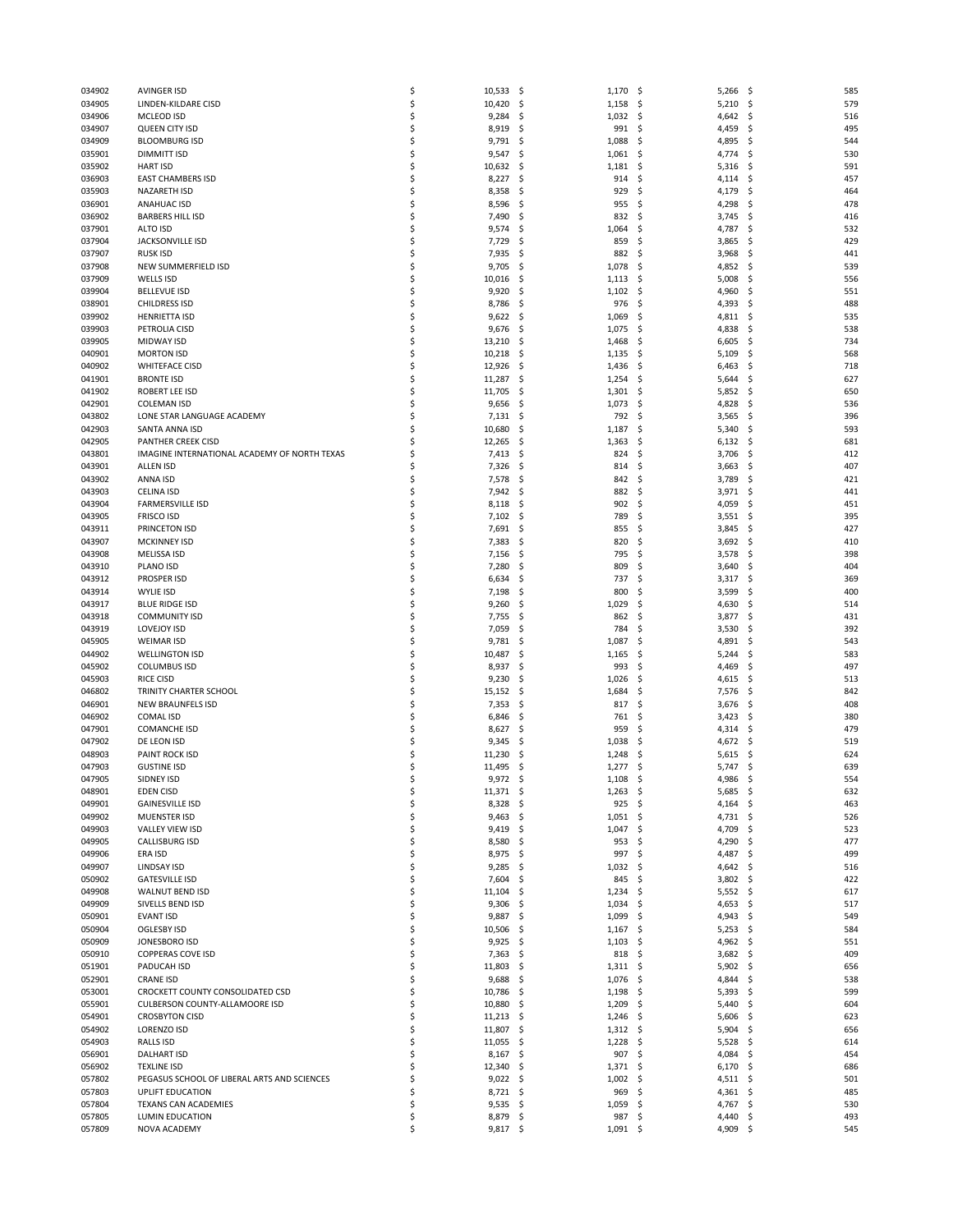|        |                                              | \$ |            |                  | S.             | \$<br>585   |
|--------|----------------------------------------------|----|------------|------------------|----------------|-------------|
| 034902 | <b>AVINGER ISD</b>                           |    | 10,533     | -\$<br>1,170     | 5,266          |             |
| 034905 | LINDEN-KILDARE CISD                          | \$ | 10,420     | -\$<br>1,158     | \$,<br>5,210   | -\$<br>579  |
| 034906 | MCLEOD ISD                                   | \$ | 9,284      | -\$<br>1,032     | \$,<br>4,642   | \$<br>516   |
| 034907 | QUEEN CITY ISD                               | \$ | 8,919      | 991<br>-\$       | \$<br>4,459    | 495<br>\$   |
|        | <b>BLOOMBURG ISD</b>                         | \$ |            |                  |                |             |
| 034909 |                                              |    | 9,791      | -\$<br>1,088     | \$<br>4,895    | -\$<br>544  |
| 035901 | <b>DIMMITT ISD</b>                           | \$ | 9,547      | -\$<br>1,061     | \$<br>4,774    | \$<br>530   |
| 035902 | <b>HART ISD</b>                              | \$ | 10,632     | -\$<br>1,181     | \$<br>5,316    | \$<br>591   |
| 036903 | <b>EAST CHAMBERS ISD</b>                     | \$ | 8,227      | -\$<br>914       | \$<br>4,114    | \$<br>457   |
|        |                                              |    |            |                  |                |             |
| 035903 | NAZARETH ISD                                 | \$ | 8,358      | \$<br>929        | \$<br>4,179    | \$<br>464   |
| 036901 | <b>ANAHUAC ISD</b>                           | \$ | 8,596      | -\$<br>955       | \$.<br>4,298   | \$<br>478   |
| 036902 | <b>BARBERS HILL ISD</b>                      | \$ | 7,490      | -\$<br>832       | \$<br>3,745    | \$<br>416   |
|        |                                              |    |            |                  |                |             |
| 037901 | <b>ALTO ISD</b>                              | \$ | 9,574      | \$<br>1,064      | \$<br>4,787    | \$<br>532   |
| 037904 | <b>JACKSONVILLE ISD</b>                      | \$ | 7,729      | -\$<br>859       | \$<br>3,865    | 429<br>\$   |
|        |                                              | \$ | 7,935      | 882              | \$             |             |
| 037907 | <b>RUSK ISD</b>                              |    |            | -\$              | 3,968          | \$<br>441   |
| 037908 | NEW SUMMERFIELD ISD                          | \$ | 9,705      | \$<br>1,078      | \$<br>4,852    | \$<br>539   |
| 037909 | <b>WELLS ISD</b>                             | \$ | 10,016     | -\$<br>1,113     | \$,<br>5,008   | -\$<br>556  |
| 039904 | <b>BELLEVUE ISD</b>                          | \$ | 9,920      | 1,102<br>-\$     | \$,<br>4,960   | \$<br>551   |
|        |                                              |    |            |                  |                |             |
| 038901 | <b>CHILDRESS ISD</b>                         | \$ | 8,786      | -\$<br>976       | \$<br>4,393    | \$<br>488   |
| 039902 | <b>HENRIETTA ISD</b>                         | \$ | 9,622      | -\$<br>1,069     | \$,<br>4,811   | -\$<br>535  |
| 039903 | PETROLIA CISD                                | \$ | 9,676      | \$<br>1,075      | \$<br>4,838    | \$<br>538   |
|        |                                              |    |            |                  |                |             |
| 039905 | <b>MIDWAY ISD</b>                            | \$ | 13,210     | \$<br>1,468      | \$<br>6,605    | \$<br>734   |
| 040901 | <b>MORTON ISD</b>                            | Ś  | 10,218     | -\$<br>1,135     | \$<br>5,109    | 568<br>\$   |
| 040902 | <b>WHITEFACE CISD</b>                        | \$ | 12,926     | -\$<br>1,436     | \$.<br>6,463   | \$<br>718   |
|        |                                              |    |            |                  |                |             |
| 041901 | <b>BRONTE ISD</b>                            | \$ | 11,287     | -\$<br>1,254     | \$<br>5,644    | \$<br>627   |
| 041902 | ROBERT LEE ISD                               | \$ | 11,705     | 1,301<br>-\$     | \$<br>5,852    | 650<br>-\$  |
| 042901 | <b>COLEMAN ISD</b>                           | Ś  | 9,656      | -\$<br>1,073     | \$<br>4,828    | \$<br>536   |
|        |                                              |    |            |                  |                |             |
| 043802 | LONE STAR LANGUAGE ACADEMY                   | \$ | 7,131      | -\$<br>792       | \$<br>3,565    | \$<br>396   |
| 042903 | SANTA ANNA ISD                               | \$ | 10,680     | -\$<br>1,187     | \$<br>5,340    | 593<br>\$   |
| 042905 | PANTHER CREEK CISD                           | Ś  | 12,265     | -\$<br>1,363     | \$<br>6,132    | -\$<br>681  |
|        |                                              |    |            |                  |                |             |
| 043801 | IMAGINE INTERNATIONAL ACADEMY OF NORTH TEXAS | \$ | 7,413      | -\$<br>824       | \$<br>3,706    | \$<br>412   |
| 043901 | <b>ALLEN ISD</b>                             | Ś  | 7,326      | -\$<br>814       | \$<br>3,663    | 407<br>-\$  |
| 043902 | ANNA ISD                                     | Ś  | 7,578      | -\$<br>842       | \$<br>3,789    | \$<br>421   |
|        |                                              |    |            |                  |                |             |
| 043903 | <b>CELINA ISD</b>                            | \$ | 7,942      | -\$<br>882       | \$<br>3,971    | \$<br>441   |
| 043904 | <b>FARMERSVILLE ISD</b>                      | \$ | 8,118      | -\$<br>902       | \$<br>4,059    | \$<br>451   |
| 043905 | <b>FRISCO ISD</b>                            | \$ | 7,102      | - \$<br>789      | \$.<br>3,551   | -\$<br>395  |
|        |                                              |    |            |                  |                |             |
| 043911 | PRINCETON ISD                                | \$ | 7,691      | -\$<br>855       | \$<br>3,845    | 427<br>\$   |
| 043907 | <b>MCKINNEY ISD</b>                          | \$ | 7,383      | -\$<br>820       | \$<br>3,692    | -\$<br>410  |
| 043908 | <b>MELISSA ISD</b>                           | Ś  | 7,156      | -\$<br>795       | \$<br>3,578    | \$<br>398   |
|        |                                              | \$ |            |                  |                |             |
| 043910 | PLANO ISD                                    |    | 7,280      | \$<br>809        | \$<br>3,640    | 404<br>\$   |
| 043912 | <b>PROSPER ISD</b>                           | \$ | 6,634      | -\$<br>737       | \$.<br>3,317   | \$<br>369   |
| 043914 | <b>WYLIE ISD</b>                             | \$ | 7,198      | -\$<br>800       | \$<br>3,599    | \$<br>400   |
|        |                                              | \$ |            | 1,029            |                |             |
| 043917 | <b>BLUE RIDGE ISD</b>                        |    | 9,260      | \$               | \$<br>4,630    | \$<br>514   |
| 043918 | <b>COMMUNITY ISD</b>                         | \$ | 7,755      | -\$<br>862       | \$<br>3,877    | \$<br>431   |
| 043919 | <b>LOVEJOY ISD</b>                           | Ś  | 7,059      | \$<br>784        | \$<br>3,530    | \$<br>392   |
|        |                                              | \$ |            |                  |                |             |
| 045905 | <b>WEIMAR ISD</b>                            |    | 9,781      | \$<br>1,087      | \$<br>4,891    | \$<br>543   |
| 044902 | <b>WELLINGTON ISD</b>                        | \$ | 10,487     | -\$<br>1,165     | \$<br>5,244    | \$<br>583   |
| 045902 | <b>COLUMBUS ISD</b>                          | \$ | 8,937      | -\$<br>993       | \$<br>4,469    | 497<br>\$   |
|        |                                              | \$ |            |                  |                |             |
| 045903 | RICE CISD                                    |    | 9,230      | \$<br>1,026      | \$<br>4,615    | \$<br>513   |
| 046802 | TRINITY CHARTER SCHOOL                       | \$ | 15,152     | -\$<br>1,684     | \$<br>7,576    | \$<br>842   |
| 046901 | NEW BRAUNFELS ISD                            | \$ | 7,353      | -\$<br>817       | \$<br>3,676    | \$<br>408   |
| 046902 | <b>COMAL ISD</b>                             | \$ | 6,846      | 761<br>\$.       | \$.<br>3,423   | 380<br>\$   |
|        |                                              |    |            |                  |                |             |
| 047901 | <b>COMANCHE ISD</b>                          | \$ | 8,627      | -\$<br>959       | \$<br>4,314    | -\$<br>479  |
| 047902 | DE LEON ISD                                  | \$ | 9,345      | -\$<br>1,038     | \$<br>4,672    | \$<br>519   |
| 048903 | <b>PAINT ROCK ISD</b>                        | \$ | 11,230     | 1,248<br>\$.     | 5,615<br>S     | 624<br>-\$  |
|        |                                              |    |            |                  |                |             |
| 047903 | <b>GUSTINE ISD</b>                           | \$ | 11,495     | -\$<br>1,277     | \$<br>5,747    | -\$<br>639  |
| 047905 | SIDNEY ISD                                   |    | 9,972      | \$<br>$1,108$ \$ | 4,986          | \$.<br>554  |
| 048901 | <b>EDEN CISD</b>                             | \$ | 11,371     | - \$<br>1,263    | \$,<br>5,685   | -\$<br>632  |
|        |                                              |    |            |                  |                |             |
| 049901 | <b>GAINESVILLE ISD</b>                       | \$ | 8,328      | 925<br>- \$      | \$<br>4,164 \$ | 463         |
| 049902 | MUENSTER ISD                                 | \$ | 9,463      | -\$<br>1,051     | \$<br>4,731    | -\$<br>526  |
| 049903 | <b>VALLEY VIEW ISD</b>                       | \$ | $9,419$ \$ | 1,047            | 4,709<br>\$    | 523<br>\$   |
| 049905 | CALLISBURG ISD                               | \$ | $8,580$ \$ | 953              | \$<br>4,290    | 477<br>-\$  |
|        |                                              |    |            |                  |                |             |
| 049906 | ERA ISD                                      | \$ | 8,975      | -\$<br>997       | \$<br>4,487    | 499<br>\$   |
| 049907 | LINDSAY ISD                                  | \$ | 9,285      | -\$<br>1,032     | \$<br>4,642    | - \$<br>516 |
| 050902 | <b>GATESVILLE ISD</b>                        | \$ | 7,604      | 845<br>-\$       | 3,802<br>\$,   | 422<br>\$   |
|        |                                              | \$ |            |                  |                |             |
| 049908 | WALNUT BEND ISD                              |    | 11,104     | -\$<br>1,234     | \$<br>5,552    | \$<br>617   |
| 049909 | SIVELLS BEND ISD                             | \$ | 9,306      | -\$<br>1,034     | \$<br>4,653    | 517<br>-\$  |
| 050901 | <b>EVANT ISD</b>                             | \$ | 9,887      | -\$<br>1,099     | \$.<br>4,943   | 549<br>-\$  |
| 050904 | OGLESBY ISD                                  | \$ | 10,506     | -\$<br>1,167     | \$<br>5,253    | \$<br>584   |
|        |                                              |    |            |                  |                |             |
| 050909 | JONESBORO ISD                                | \$ | 9,925      | 1,103<br>-\$     | 4,962<br>\$    | 551<br>-\$  |
| 050910 | <b>COPPERAS COVE ISD</b>                     | \$ | 7,363      | 818<br>-\$       | \$.<br>3,682   | 409<br>-\$  |
| 051901 | PADUCAH ISD                                  | \$ | 11,803     | -\$<br>1,311     | \$<br>5,902    | \$<br>656   |
|        |                                              |    |            |                  |                |             |
| 052901 | <b>CRANE ISD</b>                             | \$ | 9,688      | 1,076<br>-\$     | \$<br>4,844    | 538<br>\$   |
| 053001 | CROCKETT COUNTY CONSOLIDATED CSD             | \$ | 10,786     | -\$<br>1,198     | \$<br>5,393    | 599<br>-\$  |
| 055901 | CULBERSON COUNTY-ALLAMOORE ISD               | \$ | 10,880     | 1,209<br>-\$     | \$<br>5,440    | \$<br>604   |
|        |                                              |    |            |                  |                |             |
| 054901 | <b>CROSBYTON CISD</b>                        | \$ | 11,213     | - \$<br>1,246    | \$<br>5,606    | 623<br>-\$  |
| 054902 | LORENZO ISD                                  | \$ | 11,807 \$  | 1,312            | \$.<br>5,904   | -\$<br>656  |
| 054903 | RALLS ISD                                    | \$ | 11,055     | 1,228<br>-\$     | \$<br>5,528    | \$<br>614   |
|        |                                              | \$ |            |                  | \$             |             |
| 056901 | <b>DALHART ISD</b>                           |    | 8,167      | 907<br>-\$       | 4,084          | -\$<br>454  |
| 056902 | <b>TEXLINE ISD</b>                           | \$ | 12,340     | - \$<br>1,371    | \$<br>6,170    | -\$<br>686  |
| 057802 | PEGASUS SCHOOL OF LIBERAL ARTS AND SCIENCES  | \$ | 9,022      | 1,002<br>-\$     | \$<br>4,511    | 501<br>\$   |
| 057803 | <b>UPLIFT EDUCATION</b>                      | \$ | 8,721      | 969<br>-\$       | \$.<br>4,361   | 485<br>-\$  |
|        |                                              |    |            |                  |                |             |
| 057804 | TEXANS CAN ACADEMIES                         | \$ | $9,535$ \$ | 1,059            | \$<br>4,767 \$ | 530         |
| 057805 | LUMIN EDUCATION                              | \$ | 8,879      | 987<br>-\$       | \$<br>4,440    | \$<br>493   |
| 057809 | NOVA ACADEMY                                 | \$ | $9,817$ \$ | $1,091$ \$       | 4,909          | -\$<br>545  |
|        |                                              |    |            |                  |                |             |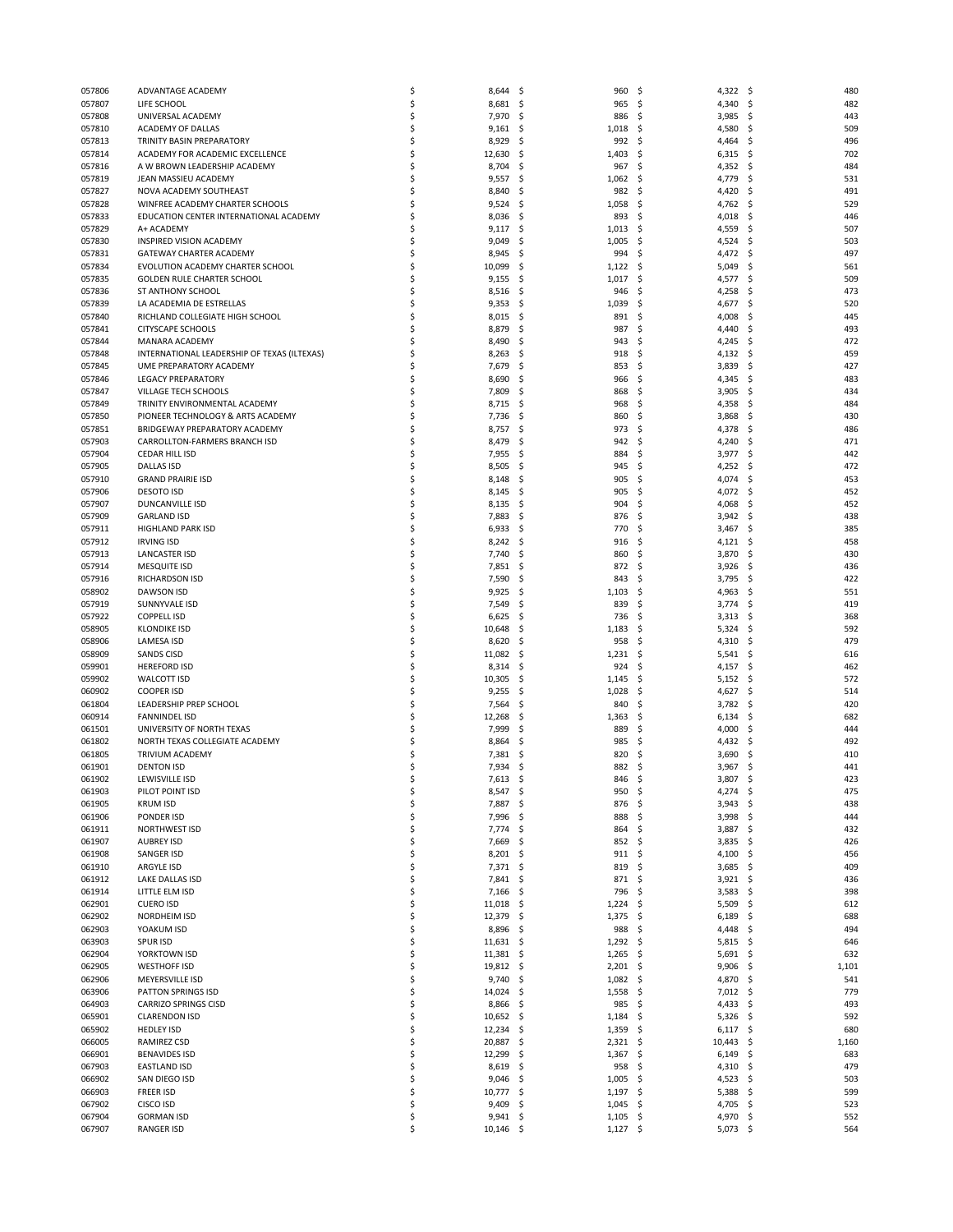| 057806           | ADVANTAGE ACADEMY                           | \$       | 8,644                | .s<br>960                  | S.<br>4,322                 | - \$<br>480       |
|------------------|---------------------------------------------|----------|----------------------|----------------------------|-----------------------------|-------------------|
| 057807           | LIFE SCHOOL                                 | \$       |                      | 965                        | -\$                         | 482               |
|                  |                                             |          | 8,681                | \$.                        | 4,340                       | \$                |
| 057808           | UNIVERSAL ACADEMY                           | Ś        | 7,970                | 886<br>-S                  | -\$<br>3,985                | 443<br>S          |
| 057810           | ACADEMY OF DALLAS                           | \$       | 9,161                | 1,018<br>S                 | \$<br>4,580                 | 509<br>\$.        |
| 057813           | TRINITY BASIN PREPARATORY                   | \$       | 8,929                | 992<br>-\$                 | -\$<br>4,464                | 496<br>\$         |
| 057814           | ACADEMY FOR ACADEMIC EXCELLENCE             | Ś        | 12,630               | 1,403<br>S                 | \$<br>6,315                 | 702<br>\$.        |
|                  | A W BROWN LEADERSHIP ACADEMY                | \$       |                      | \$<br>967                  |                             |                   |
| 057816           |                                             |          | 8,704                |                            | \$<br>4,352                 | \$<br>484         |
| 057819           | JEAN MASSIEU ACADEMY                        | \$       | 9,557                | 1,062<br>\$.               | 4,779<br>\$                 | 531<br>\$         |
| 057827           | NOVA ACADEMY SOUTHEAST                      | Ś        | 8,840                | 982<br>S                   | S.<br>4,420                 | \$<br>491         |
| 057828           | WINFREE ACADEMY CHARTER SCHOOLS             | \$       | 9,524                | 1,058<br>S                 | \$<br>4,762                 | \$<br>529         |
| 057833           | EDUCATION CENTER INTERNATIONAL ACADEMY      | Ś        | 8,036                | 893<br>-\$                 | -\$<br>4,018                | 446<br>\$.        |
|                  |                                             |          |                      |                            |                             |                   |
| 057829           | A+ ACADEMY                                  | Ś        | 9,117                | 1,013<br>-S                | -\$<br>4,559                | \$<br>507         |
| 057830           | INSPIRED VISION ACADEMY                     | \$       | 9,049                | 1,005<br>S                 | \$<br>4,524                 | 503<br>\$,        |
| 057831           | GATEWAY CHARTER ACADEMY                     | Ś        | 8,945                | 994<br>S                   | \$<br>4,472                 | 497<br>S          |
| 057834           | EVOLUTION ACADEMY CHARTER SCHOOL            | Ś        | 10,099               | 1,122<br>S                 | -\$<br>5,049                | 561<br>S          |
|                  |                                             |          |                      |                            |                             |                   |
| 057835           | GOLDEN RULE CHARTER SCHOOL                  | \$       | 9,155                | \$<br>1,017                | \$<br>4,577                 | 509<br>\$,        |
| 057836           | ST ANTHONY SCHOOL                           | Ś        | 8,516                | 946<br>S                   | \$<br>4,258                 | 473<br>S          |
| 057839           | LA ACADEMIA DE ESTRELLAS                    | \$       | 9,353                | S.<br>1,039                | \$<br>4,677                 | 520<br>S          |
| 057840           | RICHLAND COLLEGIATE HIGH SCHOOL             | \$       | 8,015                | 891<br>-\$                 | 4,008<br>\$                 | 445<br>\$,        |
|                  |                                             |          |                      |                            |                             |                   |
| 057841           | <b>CITYSCAPE SCHOOLS</b>                    | Ś        | 8,879                | 987<br>S                   | \$<br>4,440                 | 493<br>S          |
| 057844           | <b>MANARA ACADEMY</b>                       | Ś        | 8,490                | 943<br>S                   | \$<br>4,245                 | 472<br>S          |
| 057848           | INTERNATIONAL LEADERSHIP OF TEXAS (ILTEXAS) | \$       | 8,263                | 918<br>\$.                 | \$<br>4,132                 | 459<br>\$.        |
| 057845           | UME PREPARATORY ACADEMY                     | Ś        | 7,679                | 853<br>S                   | -\$<br>3,839                | 427<br>S          |
|                  |                                             |          |                      |                            |                             |                   |
| 057846           | <b>LEGACY PREPARATORY</b>                   | Ś        | 8,690                | 966<br>S                   | \$<br>4,345                 | \$<br>483         |
| 057847           | VILLAGE TECH SCHOOLS                        | Ś        | 7,809                | S<br>868                   | Ś<br>3,905                  | 434<br>\$,        |
| 057849           | TRINITY ENVIRONMENTAL ACADEMY               | Ś        | 8,715                | 968<br>S                   | \$<br>4,358                 | 484<br>-S         |
| 057850           | PIONEER TECHNOLOGY & ARTS ACADEMY           | \$       | 7,736                | Ś<br>860                   | \$<br>3,868                 | \$<br>430         |
|                  |                                             |          |                      |                            |                             |                   |
| 057851           | BRIDGEWAY PREPARATORY ACADEMY               | Ś        | 8,757                | 973<br>S                   | \$<br>4,378                 | 486<br>\$,        |
| 057903           | CARROLLTON-FARMERS BRANCH ISD               | \$       | 8,479                | S.<br>942                  | -\$<br>4,240                | 471<br>S          |
| 057904           | CEDAR HILL ISD                              | \$       | 7,955                | 884<br>S                   | 3,977<br>\$                 | \$<br>442         |
| 057905           | <b>DALLAS ISD</b>                           | Ś        | 8,505                | S<br>945                   | \$<br>4,252                 | 472<br>\$,        |
|                  |                                             |          |                      |                            |                             |                   |
| 057910           | <b>GRAND PRAIRIE ISD</b>                    | \$       | 8,148                | 905<br>-S                  | -\$<br>4,074                | 453<br>S          |
| 057906           | <b>DESOTO ISD</b>                           | \$       | 8,145                | 905<br>\$.                 | \$<br>4,072                 | \$<br>452         |
| 057907           | <b>DUNCANVILLE ISD</b>                      | Ś        | 8,135                | 904<br>-S                  | \$<br>4,068                 | 452<br>\$.        |
| 057909           | <b>GARLAND ISD</b>                          | \$       | 7,883                | 876                        | -\$<br>3,942                | 438               |
|                  |                                             |          |                      | -\$                        |                             | \$.               |
| 057911           | HIGHLAND PARK ISD                           | \$       | 6,933                | Ś<br>770                   | \$<br>3,467                 | \$<br>385         |
| 057912           | <b>IRVING ISD</b>                           | \$       | 8,242                | 916<br>S                   | \$<br>4,121                 | 458<br>-\$        |
| 057913           | LANCASTER ISD                               | \$       | 7,740                | 860<br>S                   | \$<br>3,870                 | 430<br>\$         |
| 057914           | <b>MESQUITE ISD</b>                         | \$       | 7,851                | S<br>872                   | \$<br>3,926                 | 436<br>S          |
|                  |                                             |          |                      |                            |                             |                   |
| 057916           | RICHARDSON ISD                              | \$       | 7,590                | 843<br>S                   | 3,795<br>\$                 | 422<br>\$,        |
| 058902           | <b>DAWSON ISD</b>                           | \$       | 9,925                | 1,103<br>S                 | \$<br>4,963                 | 551<br>\$.        |
| 057919           | SUNNYVALE ISD                               | Ś        | 7,549                | 839<br>S                   | \$<br>3,774                 | 419<br>S          |
| 057922           | <b>COPPELL ISD</b>                          | \$       | 6,625                | 736<br>S                   | -\$<br>3,313                | 368<br>\$.        |
|                  |                                             |          |                      |                            |                             |                   |
| 058905           | <b>KLONDIKE ISD</b>                         | \$       | 10,648               | 1,183<br>S                 | \$<br>5,324                 | 592<br>\$.        |
| 058906           | <b>LAMESA ISD</b>                           | \$       | 8,620                | 958<br>S                   | -\$<br>4,310                | \$<br>479         |
| 058909           | <b>SANDS CISD</b>                           | \$       | 11,082               | $1,231$ \$<br>-\$          | $5,541$ \$                  | 616               |
| 059901           | <b>HEREFORD ISD</b>                         | Ś        | 8,314                | 924<br>S                   | \$<br>4,157                 | 462<br>S          |
|                  |                                             |          |                      |                            |                             |                   |
| 059902           | <b>WALCOTT ISD</b>                          | \$       | 10,305               | 1,145<br>S                 | \$<br>5,152                 | 572<br>\$.        |
| 060902           | <b>COOPER ISD</b>                           | \$       | 9,255                | 1,028<br>\$                | \$<br>4,627                 | 514<br>\$.        |
| 061804           | LEADERSHIP PREP SCHOOL                      | Ś        | 7,564                | 840<br>S                   | \$<br>3,782                 | 420<br>S          |
| 060914           | <b>FANNINDEL ISD</b>                        | \$       | 12,268               | 1,363<br>S                 | \$<br>6,134                 | 682<br>\$,        |
|                  |                                             |          |                      |                            |                             |                   |
| 061501           | UNIVERSITY OF NORTH TEXAS                   | \$       | 7,999                | 889<br>S                   | 4,000<br>\$                 | 444<br>\$,        |
| 061802           | NORTH TEXAS COLLEGIATE ACADEMY              | Ś        | 8,864                | 985<br>S                   | \$<br>4,432                 | 492<br>S          |
| 061805           | TRIVIUM ACADEMY                             | \$       | 7,381                | 820<br>S                   | \$<br>3,690                 | 410<br>Ś          |
| 061901           | <b>DENTON ISD</b>                           | Ś        | 7,934                | 882<br>S                   | 3,967<br>\$                 | 441<br>\$,        |
|                  |                                             |          |                      |                            |                             |                   |
| 061902           | LEWISVILLE ISD                              |          | 7,613                | 846<br>S                   | 3,807<br>Ś                  | Ś<br>423          |
| 061903           | PILOT POINT ISD                             | \$       | 8,547                | -\$<br>950                 | \$<br>4,274                 | 475<br>-\$        |
| 061905           | <b>KRUM ISD</b>                             | \$       | 7,887                | 876<br>\$.                 | \$<br>3,943                 | 438<br>\$         |
| 061906           | PONDER ISD                                  | \$       | 7,996                | \$.<br>888                 | \$<br>$3,998$ \$            | 444               |
|                  |                                             |          |                      |                            |                             |                   |
| 061911           | NORTHWEST ISD                               | \$       | 7,774                | \$.<br>864                 | 3,887<br>\$                 | 432<br>\$         |
| 061907           | <b>AUBREY ISD</b>                           | \$       | 7,669                | 852<br>-\$                 | \$<br>3,835                 | 426<br>-\$        |
| 061908           |                                             |          |                      |                            |                             |                   |
|                  | SANGER ISD                                  | \$       | 8,201                | 911<br>-\$                 | \$<br>4,100                 | 456<br>-\$        |
|                  |                                             |          |                      |                            |                             |                   |
| 061910           | ARGYLE ISD                                  | \$       | 7,371                | \$.<br>819                 | \$<br>3,685                 | 409<br>\$         |
| 061912           | LAKE DALLAS ISD                             | \$       | 7,841                | -\$<br>871                 | \$<br>3,921                 | 436<br>-\$        |
| 061914           | LITTLE ELM ISD                              | \$       | 7,166                | 796<br>\$.                 | \$<br>3,583                 | \$<br>398         |
| 062901           | <b>CUERO ISD</b>                            | \$       | 11,018               | \$.<br>1,224               | \$<br>5,509                 | 612<br>\$,        |
| 062902           | NORDHEIM ISD                                | \$       | 12,379               | -\$<br>1,375               | \$<br>6,189                 | -\$<br>688        |
|                  |                                             |          |                      |                            |                             |                   |
| 062903           | YOAKUM ISD                                  | \$       | 8,896                | 988<br>\$.                 | \$<br>4,448                 | \$<br>494         |
| 063903           | <b>SPURISD</b>                              | \$       | 11,631               | 1,292<br>-\$               | \$<br>5,815                 | 646<br>-\$        |
| 062904           | YORKTOWN ISD                                | \$       | 11,381               | 1,265<br>-\$               | \$<br>5,691                 | 632<br>-\$        |
| 062905           | <b>WESTHOFF ISD</b>                         | \$       | 19,812               | -\$<br>$2,201$ \$          | 9,906                       | \$<br>1,101       |
|                  |                                             |          |                      |                            |                             |                   |
| 062906           | MEYERSVILLE ISD                             | \$       | 9,740                | 1,082<br>-\$               | -\$<br>4,870                | 541<br>\$.        |
| 063906           | <b>PATTON SPRINGS ISD</b>                   | \$       | 14,024               | 1,558<br>-\$               | \$<br>7,012                 | 779<br>- \$       |
| 064903           | <b>CARRIZO SPRINGS CISD</b>                 | \$       | 8,866                | 985<br>\$                  | \$<br>4,433                 | 493<br>\$         |
| 065901           | <b>CLARENDON ISD</b>                        | \$       | 10,652               | 1,184<br>-\$               | 5,326<br>\$.                | 592<br>-\$        |
|                  |                                             |          |                      |                            |                             |                   |
| 065902           | <b>HEDLEY ISD</b>                           | \$       | 12,234               | \$.<br>1,359               | -\$<br>6,117                | -\$<br>680        |
| 066005           | RAMIREZ CSD                                 | \$       | 20,887               | 2,321<br>\$                | 10,443<br>-\$               | \$<br>1,160       |
| 066901           | <b>BENAVIDES ISD</b>                        | \$       | 12,299               | \$.<br>1,367               | \$<br>6,149                 | 683<br>\$,        |
| 067903           | <b>EASTLAND ISD</b>                         | \$       | 8,619                | 958<br>-\$                 | -\$<br>4,310                | 479<br>-\$        |
|                  |                                             |          |                      |                            |                             |                   |
| 066902           | SAN DIEGO ISD                               | \$       | 9,046                | \$.<br>1,005               | \$<br>4,523                 | 503<br>\$,        |
| 066903           | <b>FREER ISD</b>                            | \$       | 10,777               | 1,197<br>-\$               | \$<br>5,388                 | 599<br>\$,        |
| 067902           | CISCO ISD                                   | \$       | 9,409                | $1,045$ \$<br>-\$          | 4,705                       | 523<br>-\$        |
| 067904<br>067907 | <b>GORMAN ISD</b><br><b>RANGER ISD</b>      | \$<br>\$ | 9,941<br>$10,146$ \$ | \$.<br>1,105<br>$1,127$ \$ | - \$<br>4,970<br>$5,073$ \$ | 552<br>\$,<br>564 |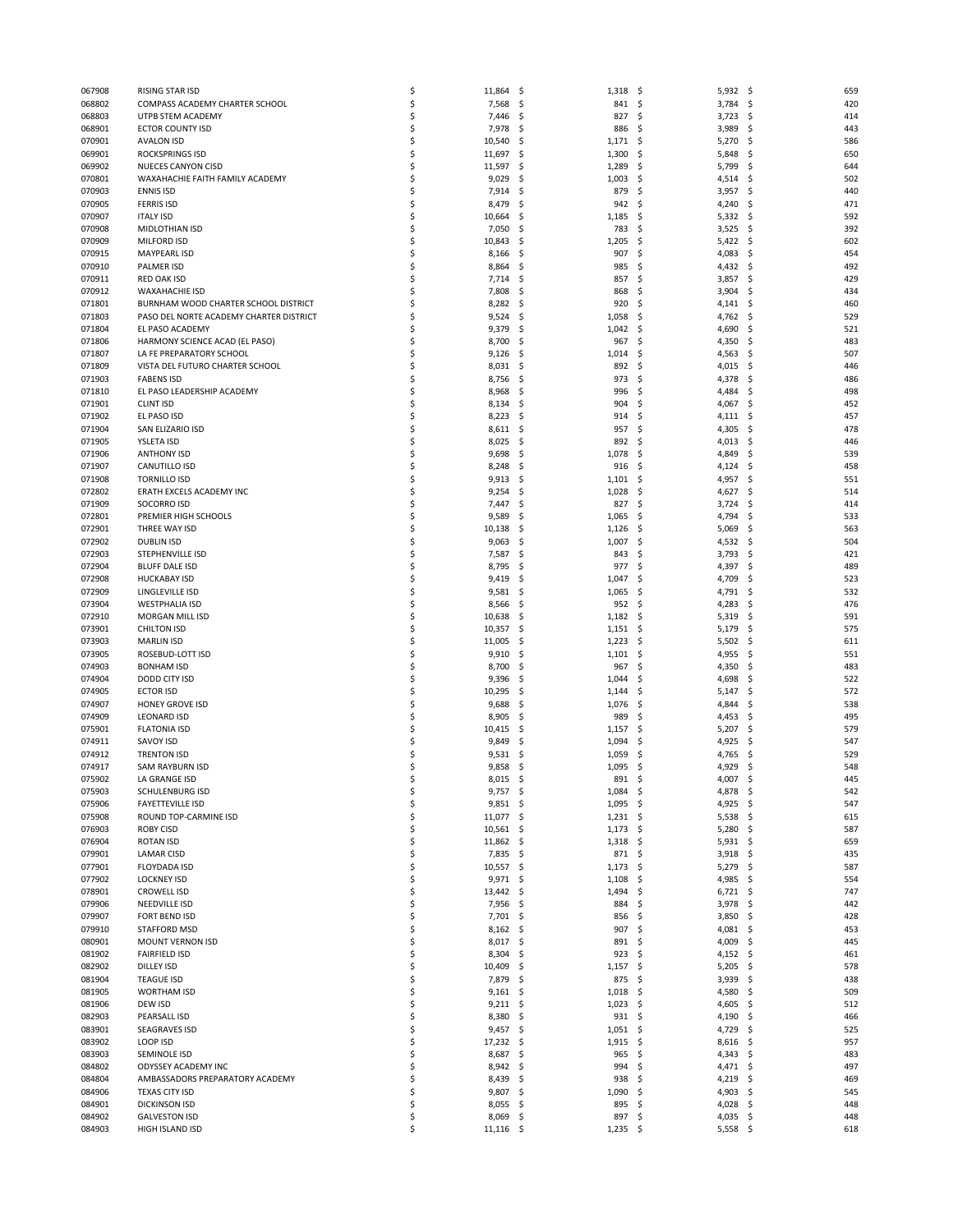| 067908           | RISING STAR ISD                          | \$       | 11,864         | -\$        | $1,318$ \$     |           | 5,932          | \$<br>659                |  |
|------------------|------------------------------------------|----------|----------------|------------|----------------|-----------|----------------|--------------------------|--|
| 068802           | COMPASS ACADEMY CHARTER SCHOOL           | \$       | 7,568          | -\$        | 841 \$         |           | 3,784          | 420<br>\$                |  |
| 068803           | UTPB STEM ACADEMY                        | \$       | 7,446          | -\$        | 827            | -\$       | 3,723          | 414<br>\$,               |  |
| 068901           | <b>ECTOR COUNTY ISD</b>                  | \$       | 7,978          | \$         | 886            | \$        | 3,989          | \$<br>443                |  |
| 070901           | <b>AVALON ISD</b>                        | \$       | 10,540         | .s         | 1,171          | \$        | 5,270          | 586<br>\$.               |  |
| 069901           | <b>ROCKSPRINGS ISD</b>                   | \$       | 11,697         | -\$        | 1,300          | \$        | 5,848          | 650<br>\$,               |  |
| 069902           | NUECES CANYON CISD                       | \$       | 11,597         | \$.        | 1,289          | \$        | 5,799          | \$<br>644                |  |
| 070801           | WAXAHACHIE FAITH FAMILY ACADEMY          | \$       | 9,029          | \$.        | 1,003          | \$        | 4,514          | 502<br>\$.               |  |
| 070903<br>070905 | <b>ENNIS ISD</b><br><b>FERRIS ISD</b>    | Ś<br>\$  | 7,914<br>8,479 | \$,<br>\$. | 879<br>942     | \$<br>\$  | 3,957          | \$<br>440<br>\$<br>471   |  |
| 070907           | <b>ITALY ISD</b>                         | \$       | 10,664         | \$.        | 1,185          | \$        | 4,240<br>5,332 | 592<br>\$.               |  |
| 070908           | MIDLOTHIAN ISD                           | Ś        | 7,050          | \$,        | 783            | \$        | 3,525          | \$<br>392                |  |
| 070909           | MILFORD ISD                              | \$       | 10,843         | \$.        | 1,205          | \$        | 5,422          | 602<br>\$                |  |
| 070915           | <b>MAYPEARL ISD</b>                      | \$       | 8,166          | -S         | 907            | \$        | 4,083          | 454<br>S                 |  |
| 070910           | <b>PALMER ISD</b>                        | \$       | 8,864          | \$.        | 985            | \$        | 4,432          | 492<br>\$.               |  |
| 070911           | RED OAK ISD                              | \$       | 7,714          | \$.        | 857            | S         | 3,857          | 429<br>S                 |  |
| 070912           | <b>WAXAHACHIE ISD</b>                    | \$       | 7,808          | -\$        | 868            | \$        | 3,904          | 434<br>\$.               |  |
| 071801           | BURNHAM WOOD CHARTER SCHOOL DISTRICT     | \$       | 8,282          | \$,        | 920            | \$        | 4,141          | \$<br>460                |  |
| 071803           | PASO DEL NORTE ACADEMY CHARTER DISTRICT  | \$       | 9,524          | \$.        | 1,058          | \$,       | 4,762          | 529<br>\$,               |  |
| 071804           | EL PASO ACADEMY                          | \$       | 9,379          | -\$        | 1,042          | \$        | 4,690          | 521<br>\$.               |  |
| 071806           | HARMONY SCIENCE ACAD (EL PASO)           | \$       | 8,700          | \$.        | 967            | \$        | 4,350          | \$<br>483                |  |
| 071807           | LA FE PREPARATORY SCHOOL                 | \$       | 9,126          | \$.        | 1,014          | \$,       | 4,563          | 507<br>\$,               |  |
| 071809           | VISTA DEL FUTURO CHARTER SCHOOL          | \$       | 8,031          | \$.        | 892            | -\$       | 4,015          | 446<br>\$.               |  |
| 071903           | <b>FABENS ISD</b>                        | \$       | 8,756          | \$,        | 973            | \$        | 4,378          | \$<br>486                |  |
| 071810           | EL PASO LEADERSHIP ACADEMY               | \$       | 8,968          | \$.        | 996            | \$        | 4,484          | 498<br>\$,               |  |
| 071901           | <b>CLINT ISD</b>                         | \$       | 8,134          | -\$        | 904            | \$        | 4,067          | 452<br>\$.               |  |
| 071902           | EL PASO ISD                              | \$       | 8,223          | \$.        | 914            | \$        | 4,111          | 457<br>\$,               |  |
| 071904           | SAN ELIZARIO ISD                         | \$       | 8,611          | -\$        | 957            | \$        | 4,305          | 478<br>\$.               |  |
| 071905           | YSLETA ISD                               | \$       | 8,025          | -\$        | 892            | -\$       | 4,013          | \$<br>446                |  |
| 071906           | <b>ANTHONY ISD</b>                       | \$       | 9,698          | \$.        | 1,078          | \$        | 4,849          | 539<br>S                 |  |
| 071907           | CANUTILLO ISD                            | \$       | 8,248          | -\$        | 916            | -\$       | 4,124          | 458<br>\$.               |  |
| 071908           | <b>TORNILLO ISD</b>                      | \$       | 9,913          | -\$        | 1,101          | \$        | 4,957          | \$<br>551                |  |
| 072802           | ERATH EXCELS ACADEMY INC                 | \$       | 9,254          | \$.        | 1,028          | \$        | 4,627          | \$<br>514                |  |
| 071909           | <b>SOCORRO ISD</b>                       | \$       | 7,447          | \$.        | 827            | \$        | 3,724          | 414<br>\$.               |  |
| 072801           | PREMIER HIGH SCHOOLS                     | \$       | 9,589          | \$,        | 1,065          | -\$       | 4,794          | \$<br>533                |  |
| 072901           | THREE WAY ISD                            | \$       | 10,138         | \$.        | 1,126          | \$        | 5,069          | \$<br>563                |  |
| 072902           | <b>DUBLIN ISD</b>                        | \$       | 9,063          | \$.        | 1,007          | \$        | 4,532          | 504<br>\$.               |  |
| 072903           | STEPHENVILLE ISD                         | Ś        | 7,587          | .s         | 843            | -\$       | 3,793          | 421<br>S                 |  |
| 072904           | <b>BLUFF DALE ISD</b>                    | \$       | 8,795          | \$.        | 977            | \$        | 4,397          | \$<br>489                |  |
| 072908           | <b>HUCKABAY ISD</b>                      | \$<br>Ś  | 9,419          | -\$        | 1,047          | \$        | 4,709          | 523<br>\$                |  |
| 072909<br>073904 | LINGLEVILLE ISD<br><b>WESTPHALIA ISD</b> | \$       | 9,581<br>8,566 | \$.<br>\$. | 1,065<br>952   | \$<br>-\$ | 4,791<br>4,283 | 532<br>\$.<br>476<br>\$. |  |
| 072910           | MORGAN MILL ISD                          | \$       | 10,638         | -\$        | 1,182          | - \$      | 5,319          | 591<br>\$                |  |
| 073901           | <b>CHILTON ISD</b>                       | \$       | 10,357         | \$.        | 1,151          | \$        | 5,179          | 575<br>\$.               |  |
| 073903           | <b>MARLIN ISD</b>                        | \$       | 11,005         | \$.        | 1,223          | \$        | 5,502          | \$<br>611                |  |
| 073905           | ROSEBUD-LOTT ISD                         | \$       | 9,910          | -\$        | $1,101$ \$     |           | 4,955          | 551<br>\$.               |  |
| 074903           | <b>BONHAM ISD</b>                        | \$       | 8,700          | S.         | 967            | -\$       | 4,350          | 483<br>S                 |  |
| 074904           | DODD CITY ISD                            | \$       | 9,396          | \$         | 1,044          | \$        | 4,698          | \$<br>522                |  |
| 074905           | <b>ECTOR ISD</b>                         | \$       | 10,295         | .s         | 1,144          | \$        | 5,147          | 572<br>\$.               |  |
| 074907           | <b>HONEY GROVE ISD</b>                   | \$       | 9,688          | S.         | 1,076          | \$        | 4,844          | 538<br>S                 |  |
| 074909           | <b>LEONARD ISD</b>                       | \$       | 8,905          | \$.        | 989            | \$        | 4,453          | 495<br>\$.               |  |
| 075901           | <b>FLATONIA ISD</b>                      | \$       | 10,415         | .s         | 1,157          | \$        | 5,207          | 579<br>\$,               |  |
| 074911           | <b>SAVOY ISD</b>                         | \$       | 9,849          | -\$        | 1,094          | \$        | 4,925          | 547<br>\$,               |  |
| 074912           | <b>TRENTON ISD</b>                       | \$       | 9,531          | \$,        | 1,059          | \$,       | 4,765          | \$<br>529                |  |
| 074917           | SAM RAYBURN ISD                          | \$       | 9,858          | -\$        | 1,095          | \$,       | 4,929          | 548<br>\$.               |  |
| 075902           | LA GRANGE ISD                            | Ś        | 8,015          | \$,        | 891            | \$        | 4,007          | \$<br>445                |  |
| 075903           | <b>SCHULENBURG ISD</b>                   | \$       | $9,757$ \$     |            | $1,084$ \$     |           | 4,878          | \$<br>542                |  |
| 075906           | <b>FAYETTEVILLE ISD</b>                  | \$       | 9,851          | -\$        | $1,095$ \$     |           | 4,925          | 547<br>- \$              |  |
| 075908           | ROUND TOP-CARMINE ISD                    | \$       | 11,077         | -\$        | $1,231$ \$     |           | 5,538          | 615<br>\$.               |  |
| 076903           | <b>ROBY CISD</b>                         | \$       | 10,561         | \$.        | 1,173          | \$        | 5,280          | 587<br>\$.               |  |
| 076904           | <b>ROTAN ISD</b>                         | \$       | 11,862         | -\$        | 1,318          | - \$      | $5,931$ \$     | 659                      |  |
| 079901           | <b>LAMAR CISD</b>                        | \$       | 7,835          | -\$        | 871 \$         |           | 3,918          | 435<br>\$.               |  |
| 077901           | <b>FLOYDADA ISD</b>                      | \$       | 10,557         | -\$        | 1,173          | \$        | 5,279          | 587<br>\$.               |  |
| 077902           | <b>LOCKNEY ISD</b>                       | \$       | 9,971          | -\$        | 1,108          | \$        | 4,985          | 554<br>-\$               |  |
| 078901           | <b>CROWELL ISD</b>                       | \$<br>\$ | 13,442         | -\$        | 1,494          | \$        | 6,721          | 747<br>\$                |  |
| 079906<br>079907 | NEEDVILLE ISD<br><b>FORT BEND ISD</b>    | \$       | 7,956          | \$.        | 884<br>856     | \$,<br>\$ | 3,978          | 442<br>\$.<br>428        |  |
| 079910           | STAFFORD MSD                             | \$       | 7,701<br>8,162 | -\$<br>-\$ | 907            | \$        | 3,850<br>4,081 | \$.<br>\$<br>453         |  |
| 080901           | MOUNT VERNON ISD                         | \$       | 8,017          | -\$        | 891            | \$.       | 4,009          | 445<br>\$,               |  |
| 081902           | <b>FAIRFIELD ISD</b>                     | \$       | 8,304          | -\$        | 923            | -\$       | 4,152          | 461<br>\$.               |  |
| 082902           | <b>DILLEY ISD</b>                        | \$       | 10,409         | -\$        | 1,157          | -\$       | 5,205          | 578<br>\$                |  |
| 081904           | <b>TEAGUE ISD</b>                        | \$       | 7,879          | -\$        | 875            | -\$       | 3,939          | 438<br>\$,               |  |
| 081905           | <b>WORTHAM ISD</b>                       | \$       | 9,161          | -\$        | 1,018          | -\$       | 4,580          | 509<br>\$.               |  |
| 081906           | DEW ISD                                  | \$       | 9,211          | \$.        | 1,023          | \$        | 4,605          | 512<br>\$.               |  |
| 082903           | PEARSALL ISD                             | \$       | 8,380          | -\$        | $931 \quad $5$ |           | 4,190          | 466<br>\$,               |  |
| 083901           | <b>SEAGRAVES ISD</b>                     | \$       | 9,457          | -\$        | $1,051$ \$     |           | 4,729          | 525<br>-\$               |  |
| 083902           | LOOP ISD                                 | \$       | 17,232         | \$.        | 1,915          | \$        | 8,616          | 957<br>\$.               |  |
| 083903           | SEMINOLE ISD                             | \$       | 8,687          | \$         | 965            | \$        | 4,343          | 483<br>\$,               |  |
| 084802           | ODYSSEY ACADEMY INC                      | \$       | 8,942          | -\$        | 994            | \$        | 4,471          | 497<br>\$.               |  |
| 084804           | AMBASSADORS PREPARATORY ACADEMY          | \$       | 8,439          | -\$        | 938            | \$        | 4,219          | \$<br>469                |  |
| 084906           | <b>TEXAS CITY ISD</b>                    | \$       | 9,807          | -\$        | 1,090          | \$        | 4,903          | 545<br>\$,               |  |
| 084901           | <b>DICKINSON ISD</b>                     | \$       | 8,055          | -\$        | 895            | -\$       | 4,028          | 448<br>\$.               |  |
| 084902           | <b>GALVESTON ISD</b>                     | \$       | 8,069          | -\$        | 897            | \$        | 4,035          | 448<br>\$.               |  |
| 084903           | HIGH ISLAND ISD                          | \$       | $11,116$ \$    |            | $1,235$ \$     |           | $5,558$ \$     | 618                      |  |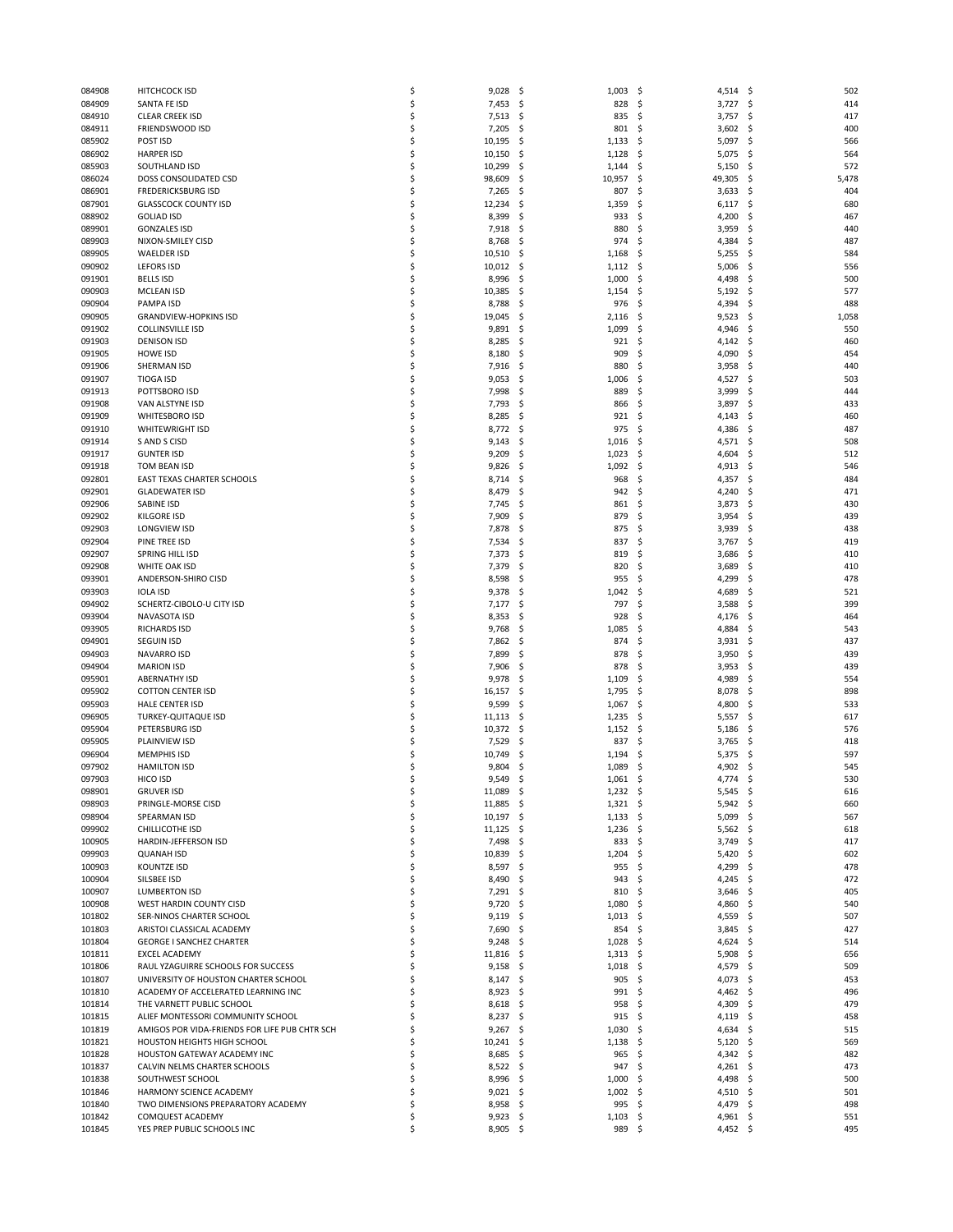| 084908           | HITCHCOCK ISD                                                              | \$       | 9,028               | \$<br>1,003                | \$<br>4,514                   | \$<br>502            |
|------------------|----------------------------------------------------------------------------|----------|---------------------|----------------------------|-------------------------------|----------------------|
| 084909           | SANTA FE ISD                                                               | \$       | 7,453               | \$<br>828                  | \$<br>3,727                   | \$<br>414            |
| 084910           | <b>CLEAR CREEK ISD</b>                                                     | \$       | 7,513               | -\$<br>835                 | \$<br>3,757                   | Ś<br>417             |
| 084911           | FRIENDSWOOD ISD                                                            | \$       | 7,205               | -\$<br>801                 | \$<br>3,602                   | \$<br>400            |
| 085902           | POST ISD                                                                   | \$       | 10,195              | -\$<br>1,133               | 5,097<br>\$.                  | \$<br>566            |
| 086902           | <b>HARPER ISD</b>                                                          | \$       | 10,150              | -\$<br>1,128               | 5,075<br>\$.                  | \$<br>564            |
| 085903           | SOUTHLAND ISD                                                              | \$<br>\$ | 10,299              | \$<br>1,144                | \$<br>5,150                   | 572<br>\$            |
| 086024           | DOSS CONSOLIDATED CSD<br><b>FREDERICKSBURG ISD</b>                         | \$       | 98,609              | \$.<br>10,957              | \$.<br>49,305<br>\$.          | \$<br>5,478<br>404   |
| 086901<br>087901 | <b>GLASSCOCK COUNTY ISD</b>                                                | \$       | 7,265<br>12,234     | -\$<br>807<br>\$.<br>1,359 | 3,633<br>\$<br>6,117          | \$<br>\$<br>680      |
| 088902           | <b>GOLIAD ISD</b>                                                          | \$       | 8,399               | -\$<br>933                 | \$<br>4,200                   | 467<br>-\$           |
| 089901           | <b>GONZALES ISD</b>                                                        | \$       | 7,918               | -\$<br>880                 | Ś<br>3,959                    | \$<br>440            |
| 089903           | NIXON-SMILEY CISD                                                          | \$       | 8,768               | 974<br>\$.                 | \$<br>4,384                   | \$<br>487            |
| 089905           | <b>WAELDER ISD</b>                                                         | \$       | 10,510              | \$.<br>1,168               | \$<br>5,255                   | -\$<br>584           |
| 090902           | <b>LEFORS ISD</b>                                                          | Ś        | 10,012              | -\$<br>1,112               | \$<br>5,006                   | Ś<br>556             |
| 091901           | <b>BELLS ISD</b>                                                           | \$       | 8,996               | 1,000<br>\$.               | 4,498<br>\$.                  | 500<br>S             |
| 090903           | <b>MCLEAN ISD</b>                                                          | \$       | 10,385              | -\$<br>1,154               | \$<br>5,192                   | \$<br>577            |
| 090904           | PAMPA ISD                                                                  | \$       | 8,788               | -\$<br>976                 | \$<br>4,394                   | \$<br>488            |
| 090905           | <b>GRANDVIEW-HOPKINS ISD</b>                                               | \$       | 19,045              | \$.<br>2,116               | 9,523<br>\$.                  | 1,058<br>-\$         |
| 091902           | <b>COLLINSVILLE ISD</b>                                                    | \$       | 9,891               | -\$<br>1,099               | \$<br>4,946                   | \$<br>550            |
| 091903           | <b>DENISON ISD</b>                                                         | \$       | 8,285               | 921<br>-\$                 | \$<br>4,142                   | \$<br>460            |
| 091905           | <b>HOWE ISD</b>                                                            | \$       | 8,180               | \$.<br>909                 | 4,090<br>S                    | 454<br>\$,           |
| 091906           | SHERMAN ISD                                                                | \$       | 7,916               | -\$<br>880                 | \$<br>3,958                   | \$<br>440            |
| 091907           | <b>TIOGA ISD</b>                                                           | \$       | 9,053               | -\$<br>1,006               | \$<br>4,527                   | \$<br>503            |
| 091913           | POTTSBORO ISD                                                              | \$       | 7,998               | -\$<br>889                 | 3,999<br>S                    | \$<br>444            |
| 091908           | VAN ALSTYNE ISD                                                            | \$       | 7,793               | -\$<br>866                 | \$<br>3,897                   | \$<br>433            |
| 091909           | <b>WHITESBORO ISD</b>                                                      | \$       | 8,285               | \$<br>921                  | Ś<br>4,143                    | \$<br>460            |
| 091910           | WHITEWRIGHT ISD                                                            | \$       | 8,772               | -\$<br>975                 | 4,386<br>\$.                  | 487<br>\$,           |
| 091914           | S AND S CISD                                                               | \$       | 9,143               | \$.<br>1,016               | \$<br>4,571                   | 508<br>\$            |
| 091917           | <b>GUNTER ISD</b>                                                          | \$       | 9,209               | \$<br>1,023                | \$<br>4,604                   | \$<br>512            |
| 091918           | TOM BEAN ISD                                                               | \$       | 9,826               | -\$<br>1,092               | 4,913<br>\$.                  | 546<br>-\$           |
| 092801           | EAST TEXAS CHARTER SCHOOLS                                                 | \$       | 8,714               | -\$<br>968                 | \$<br>4,357                   | \$<br>484            |
| 092901           | <b>GLADEWATER ISD</b>                                                      | \$       | 8,479               | \$<br>942                  | \$<br>4,240                   | \$<br>471            |
| 092906           | SABINE ISD                                                                 | \$       | 7,745               | -\$<br>861                 | \$<br>3,873                   | \$<br>430            |
| 092902           | <b>KILGORE ISD</b>                                                         | \$       | 7,909               | \$.<br>879                 | \$<br>3,954                   | 439<br>\$            |
| 092903           | <b>LONGVIEW ISD</b>                                                        | \$       | 7,878               | \$<br>875                  | \$<br>3,939                   | \$<br>438            |
| 092904           | PINE TREE ISD                                                              | \$       | 7,534               | -\$<br>837                 | \$<br>3,767                   | \$<br>419            |
| 092907           | SPRING HILL ISD                                                            | \$       | 7,373               | \$.<br>819                 | 3,686<br>S                    | \$<br>410            |
| 092908           | WHITE OAK ISD                                                              | \$       | 7,379               | \$<br>820                  | 3,689<br>S                    | \$<br>410            |
| 093901           | ANDERSON-SHIRO CISD                                                        | \$<br>\$ | 8,598               | 955<br>-\$                 | 4,299<br>\$<br>Ś              | 478<br>\$            |
| 093903<br>094902 | <b>IOLA ISD</b><br>SCHERTZ-CIBOLO-U CITY ISD                               | \$       | 9,378<br>7,177      | \$.<br>1,042<br>\$<br>797  | 4,689<br>\$<br>3,588          | 521<br>S<br>399<br>S |
| 093904           | NAVASOTA ISD                                                               | \$       | 8,353               | 928<br>-\$                 | \$.<br>4,176                  | \$<br>464            |
| 093905           | <b>RICHARDS ISD</b>                                                        | \$       | 9,768               | \$.<br>1,085               | 4,884<br>\$.                  | 543<br>S             |
| 094901           | <b>SEGUIN ISD</b>                                                          | \$       | 7,862               | -\$<br>874                 | \$<br>3,931                   | \$<br>437            |
| 094903           | <b>NAVARRO ISD</b>                                                         | \$       | 7,899               | 878<br>-\$                 | 3,950<br>\$                   | \$<br>439            |
| 094904           | <b>MARION ISD</b>                                                          | \$       | 7,906               | -\$<br>878                 | \$<br>3,953                   | -\$<br>439           |
| 095901           | <b>ABERNATHY ISD</b>                                                       | \$       | 9,978               | \$<br>1,109                | \$<br>4,989                   | \$<br>554            |
| 095902           | <b>COTTON CENTER ISD</b>                                                   | \$       | 16,157              | \$.<br>1,795               | \$<br>8,078                   | 898<br>\$            |
| 095903           | <b>HALE CENTER ISD</b>                                                     | \$       | 9,599               | \$.<br>1,067               | \$<br>4,800                   | 533<br>S             |
| 096905           | TURKEY-QUITAQUE ISD                                                        | \$       | 11,113              | -\$<br>1,235               | \$<br>5,557                   | \$<br>617            |
| 095904           | PETERSBURG ISD                                                             | \$       | 10,372              | -\$<br>1,152               | \$.<br>5,186                  | 576<br>-\$           |
| 095905           | PLAINVIEW ISD                                                              | \$       | 7,529               | -\$<br>837                 | \$<br>3,765                   | 418<br>-\$           |
| 096904           | <b>MEMPHIS ISD</b>                                                         | \$       | 10,749              | \$<br>1,194                | 5,375<br>S                    | \$<br>597            |
| 097902           | <b>HAMILTON ISD</b>                                                        | Ś        | 9,804               | \$.<br>1,089               | 4,902<br>\$.                  | \$<br>545            |
| 097903           | HICO ISD                                                                   | S        | 9,549               | \$<br>1,061                | \$<br>4,774                   | Ś<br>530             |
| 098901           | <b>GRUVER ISD</b>                                                          | \$       | 11,089              | -\$<br>$1,232$ \$          | $5,545$ \$                    | 616                  |
| 098903           | PRINGLE-MORSE CISD                                                         | \$       | 11,885              | -\$<br>$1,321 \quad $$     | $5,942$ \$                    | 660                  |
| 098904           | SPEARMAN ISD                                                               | \$       | $10,197$ \$         | $1,133$ \$                 | 5,099                         | \$<br>567            |
| 099902           | CHILLICOTHE ISD                                                            | \$       | 11,125              | -\$<br>1,236               | \$<br>5,562                   | -\$<br>618           |
| 100905           | HARDIN-JEFFERSON ISD                                                       | \$       | 7,498               | -\$<br>833                 | \$<br>$3,749$ \$              | 417                  |
| 099903           | <b>QUANAH ISD</b>                                                          | Ś        | 10,839              | -\$<br>1,204               | \$<br>5,420                   | -\$<br>602           |
| 100903           | <b>KOUNTZE ISD</b>                                                         | \$       | 8,597               | -\$<br>955                 | \$<br>4,299                   | \$<br>478            |
| 100904           | SILSBEE ISD                                                                | \$       | 8,490               | -\$<br>943                 | \$<br>4,245 \$                | 472                  |
| 100907           | <b>LUMBERTON ISD</b>                                                       | \$       | $7,291$ \$          | 810                        | \$<br>3,646                   | 405<br>\$            |
| 100908           | WEST HARDIN COUNTY CISD                                                    | \$       | 9,720               | -\$<br>1,080               | 4,860<br>\$.                  | \$<br>540            |
| 101802           | SER-NINOS CHARTER SCHOOL                                                   | \$       | 9,119               | -\$<br>$1,013$ \$          | 4,559                         | -\$<br>507           |
| 101803           | ARISTOI CLASSICAL ACADEMY                                                  | \$       | 7,690               | -\$<br>854                 | \$<br>3,845                   | 427<br>\$            |
| 101804           | <b>GEORGE I SANCHEZ CHARTER</b>                                            | \$       | 9,248               | -\$<br>1,028               | \$<br>4,624                   | \$<br>514            |
| 101811           | <b>EXCEL ACADEMY</b>                                                       | \$       | 11,816              | - \$<br>1,313              | \$<br>5,908                   | -\$<br>656           |
| 101806           | RAUL YZAGUIRRE SCHOOLS FOR SUCCESS<br>UNIVERSITY OF HOUSTON CHARTER SCHOOL | \$<br>\$ | 9,158               | -\$<br>1,018               | \$<br>4,579                   | \$<br>509            |
| 101807<br>101810 | ACADEMY OF ACCELERATED LEARNING INC                                        | \$       | 8,147<br>$8,923$ \$ | -\$<br>905<br>991          | \$<br>4,073<br>\$<br>4,462 \$ | \$<br>453<br>496     |
| 101814           | THE VARNETT PUBLIC SCHOOL                                                  | \$       | 8,618               | -\$<br>958                 | \$.<br>4,309                  | \$<br>479            |
| 101815           | ALIEF MONTESSORI COMMUNITY SCHOOL                                          | \$       | 8,237               | -\$<br>915                 | \$<br>4,119                   | \$<br>458            |
| 101819           | AMIGOS POR VIDA-FRIENDS FOR LIFE PUB CHTR SCH                              | \$       | 9,267               | - \$<br>1,030              | \$<br>4,634                   | 515<br>\$            |
| 101821           | HOUSTON HEIGHTS HIGH SCHOOL                                                | \$       | 10,241              | \$<br>1,138                | \$<br>5,120                   | \$<br>569            |
| 101828           | HOUSTON GATEWAY ACADEMY INC                                                | Ś        | 8,685               | -\$<br>965                 | \$<br>4,342                   | \$<br>482            |
| 101837           | CALVIN NELMS CHARTER SCHOOLS                                               | \$       | 8,522 \$            | 947                        | \$<br>4,261                   | 473<br>\$            |
| 101838           | SOUTHWEST SCHOOL                                                           | \$       | 8,996               | -\$<br>1,000               | \$<br>4,498                   | \$<br>500            |
| 101846           | HARMONY SCIENCE ACADEMY                                                    | Ś        | $9,021$ \$          | 1,002                      | \$<br>4,510                   | 501<br>-\$           |
| 101840           | TWO DIMENSIONS PREPARATORY ACADEMY                                         | \$       | $8,958$ \$          | 995                        | \$<br>4,479                   | -\$<br>498           |
| 101842           | COMQUEST ACADEMY                                                           | \$       | 9,923               | -\$<br>1,103               | \$<br>4,961                   | \$<br>551            |
| 101845           | YES PREP PUBLIC SCHOOLS INC                                                | \$       | $8,905$ \$          | 989 \$                     | 4,452 \$                      | 495                  |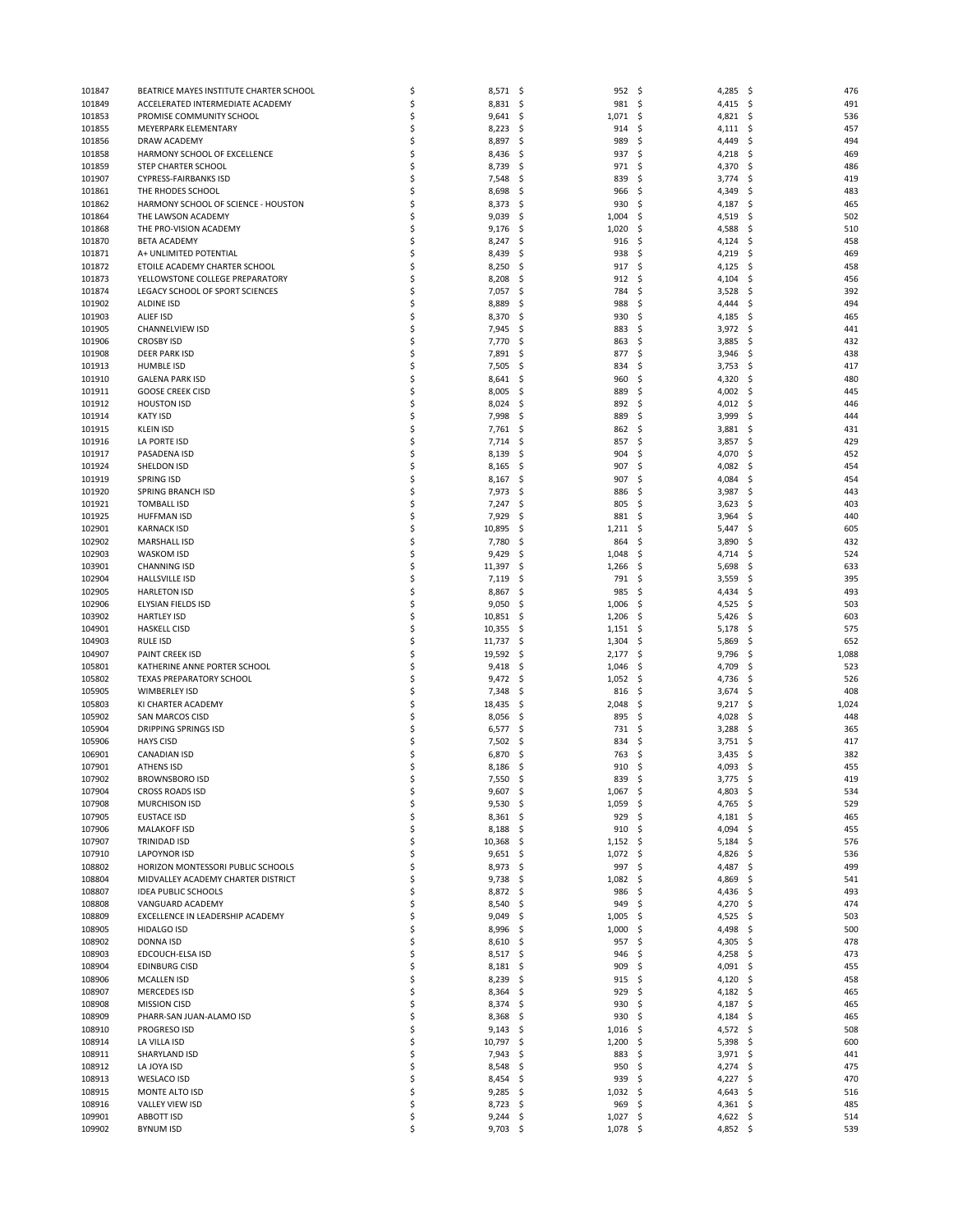| 101847 | BEATRICE MAYES INSTITUTE CHARTER SCHOOL | \$ | 8,571      | -\$ | 952        | - \$ | 4,285      | \$  | 476   |
|--------|-----------------------------------------|----|------------|-----|------------|------|------------|-----|-------|
| 101849 | ACCELERATED INTERMEDIATE ACADEMY        | \$ | 8,831      | -\$ | 981 \$     |      | 4,415      | \$  | 491   |
| 101853 | PROMISE COMMUNITY SCHOOL                | \$ | 9,641      | \$. | 1,071      | \$   | 4,821      | \$, | 536   |
| 101855 | MEYERPARK ELEMENTARY                    | \$ | 8,223      | -\$ | 914        | \$   | 4,111      | \$, | 457   |
| 101856 | DRAW ACADEMY                            | \$ | 8,897      | -\$ | 989        | \$   | 4,449      | \$  | 494   |
| 101858 | HARMONY SCHOOL OF EXCELLENCE            | \$ | 8,436      | \$. | 937        | \$   | 4,218      | \$, | 469   |
| 101859 | STEP CHARTER SCHOOL                     | \$ | 8,739      | \$  | 971        | \$   | 4,370      | \$  | 486   |
|        | <b>CYPRESS-FAIRBANKS ISD</b>            | \$ |            |     |            |      |            |     |       |
| 101907 |                                         |    | 7,548      | -\$ | 839        | \$   | 3,774      | \$  | 419   |
| 101861 | THE RHODES SCHOOL                       | \$ | 8,698      | -\$ | 966        | \$   | 4,349      | S   | 483   |
| 101862 | HARMONY SCHOOL OF SCIENCE - HOUSTON     | \$ | 8,373      | \$  | 930        | \$   | 4,187      | \$, | 465   |
| 101864 | THE LAWSON ACADEMY                      | \$ | 9,039      | -\$ | 1,004      | \$   | 4,519      | \$. | 502   |
| 101868 | THE PRO-VISION ACADEMY                  | Ś  | 9,176      | -\$ | 1,020      | \$   | 4,588      | S   | 510   |
| 101870 | <b>BETA ACADEMY</b>                     | \$ | 8,247      | \$  | 916        | \$   | 4,124      | \$. | 458   |
| 101871 | A+ UNLIMITED POTENTIAL                  | \$ | 8,439      | .s  | 938        | \$   | 4,219      | \$. | 469   |
| 101872 | ETOILE ACADEMY CHARTER SCHOOL           | \$ | 8,250      | -\$ | 917        | -\$  | 4,125      | \$, | 458   |
|        |                                         |    |            |     |            |      |            |     |       |
| 101873 | YELLOWSTONE COLLEGE PREPARATORY         | \$ | 8,208      | \$, | 912        | \$   | 4,104      | \$  | 456   |
| 101874 | LEGACY SCHOOL OF SPORT SCIENCES         | \$ | 7,057      | \$. | 784        | \$   | 3,528      | \$. | 392   |
| 101902 | ALDINE ISD                              | \$ | 8,889      | \$, | 988        | \$   | 4,444      | S   | 494   |
| 101903 | ALIEF ISD                               | \$ | 8,370      | \$. | 930        | \$   | 4,185      | \$. | 465   |
| 101905 | CHANNELVIEW ISD                         | \$ | 7,945      | -\$ | 883        | \$   | 3,972      | \$. | 441   |
| 101906 | <b>CROSBY ISD</b>                       | \$ | 7,770      | \$, | 863        | \$   | 3,885      | \$  | 432   |
| 101908 | <b>DEER PARK ISD</b>                    | \$ | 7,891      | \$. | 877        | \$   | 3,946      | \$. | 438   |
| 101913 | <b>HUMBLE ISD</b>                       | \$ | 7,505      | -\$ | 834        | \$   | 3,753      | \$. | 417   |
|        |                                         | \$ |            |     |            |      |            |     |       |
| 101910 | <b>GALENA PARK ISD</b>                  |    | 8,641      | -\$ | 960        | \$   | 4,320      | \$. | 480   |
| 101911 | <b>GOOSE CREEK CISD</b>                 | \$ | 8,005      | \$. | 889        | \$,  | 4,002      | S   | 445   |
| 101912 | <b>HOUSTON ISD</b>                      | \$ | 8,024      | -\$ | 892        | \$   | 4,012      | \$. | 446   |
| 101914 | <b>KATY ISD</b>                         | \$ | 7,998      | -\$ | 889        | \$   | 3,999      | \$  | 444   |
| 101915 | <b>KLEIN ISD</b>                        | \$ | 7,761      | \$. | 862        | \$,  | 3,881      | \$, | 431   |
| 101916 | LA PORTE ISD                            | \$ | 7,714      | -\$ | 857        | \$   | 3,857      | \$  | 429   |
| 101917 | PASADENA ISD                            | \$ | 8,139      | \$. | 904        | \$   | 4,070      | \$  | 452   |
| 101924 | SHELDON ISD                             | \$ | 8,165      | \$. | 907        | \$,  | 4,082      | S   | 454   |
|        |                                         |    |            |     |            |      |            |     |       |
| 101919 | <b>SPRING ISD</b>                       | \$ | 8,167      | -\$ | 907        | \$   | 4,084      | \$, | 454   |
| 101920 | SPRING BRANCH ISD                       | \$ | 7,973      | -\$ | 886        | \$   | 3,987      | \$  | 443   |
| 101921 | <b>TOMBALL ISD</b>                      | \$ | 7,247      | \$. | 805        | \$   | 3,623      | \$. | 403   |
| 101925 | <b>HUFFMAN ISD</b>                      | \$ | 7,929      | \$. | 881        | \$   | 3,964      | \$. | 440   |
| 102901 | <b>KARNACK ISD</b>                      | \$ | 10,895     | \$. | 1,211      | \$   | 5,447      | \$  | 605   |
| 102902 | <b>MARSHALL ISD</b>                     | \$ | 7,780      | \$. | 864        | \$   | 3,890      | \$. | 432   |
| 102903 | WASKOM ISD                              | \$ | 9,429      | \$, | 1,048      | \$   | 4,714      | \$  | 524   |
| 103901 | <b>CHANNING ISD</b>                     | \$ | 11,397     | \$. | 1,266      | \$   | 5,698      | \$, | 633   |
| 102904 | <b>HALLSVILLE ISD</b>                   | \$ | 7,119      | \$, | 791        | \$   |            |     | 395   |
|        |                                         |    |            |     |            |      | 3,559      | \$. |       |
| 102905 | <b>HARLETON ISD</b>                     | \$ | 8,867      | \$. | 985        | \$   | 4,434      | \$  | 493   |
| 102906 | ELYSIAN FIELDS ISD                      | \$ | 9,050      | \$. | 1,006      | \$   | 4,525      | \$. | 503   |
| 103902 | <b>HARTLEY ISD</b>                      | \$ | 10,851     | -\$ | 1,206      | - \$ | 5,426      | \$. | 603   |
| 104901 | <b>HASKELL CISD</b>                     | \$ | 10,355     | \$. | 1,151      | -\$  | 5,178      | \$  | 575   |
| 104903 | <b>RULE ISD</b>                         | \$ | 11,737     | \$. | 1,304      | \$   | 5,869      | \$  | 652   |
| 104907 | PAINT CREEK ISD                         | \$ | 19,592     | -\$ | 2,177      | - \$ | 9,796      | \$. | 1,088 |
| 105801 | KATHERINE ANNE PORTER SCHOOL            | \$ | 9,418      | \$. | 1,046      | \$   | 4,709      | S   | 523   |
| 105802 | TEXAS PREPARATORY SCHOOL                | \$ | 9,472      | -\$ | 1,052      | \$   | 4,736      | \$. | 526   |
| 105905 | WIMBERLEY ISD                           | \$ | 7,348      | -\$ | 816        | \$   | 3,674      | \$  | 408   |
|        |                                         | \$ |            |     |            |      |            |     |       |
| 105803 | KI CHARTER ACADEMY                      |    | 18,435     | \$. | 2,048      | \$   | 9,217      | \$. | 1,024 |
| 105902 | SAN MARCOS CISD                         | \$ | 8,056      | -\$ | 895        | \$   | 4,028      | \$. | 448   |
| 105904 | <b>DRIPPING SPRINGS ISD</b>             | \$ | 6,577      | \$. | 731        | \$   | 3,288      | \$. | 365   |
| 105906 | <b>HAYS CISD</b>                        | \$ | 7,502      | \$. | 834        | \$   | 3,751      | \$. | 417   |
| 106901 | <b>CANADIAN ISD</b>                     | \$ | 6,870      | \$  | 763        | Ś    | 3,435      | \$  | 382   |
| 107901 | <b>ATHENS ISD</b>                       | \$ | 8,186      | \$. | 910        | \$   | 4,093      | \$  | 455   |
| 107902 | <b>BROWNSBORO ISD</b>                   | Ś  | 7,550      | S.  | 839        | \$   | 3,775      | \$  | 419   |
| 107904 | <b>CROSS ROADS ISD</b>                  | \$ | 9,607      | \$  | $1,067$ \$ |      | 4,803      | \$  | 534   |
| 107908 | <b>MURCHISON ISD</b>                    | \$ | 9,530      | \$  | 1,059      | \$   | 4,765      | \$  | 529   |
| 107905 | <b>EUSTACE ISD</b>                      | \$ |            |     | 929        | \$   |            |     | 465   |
|        |                                         |    | $8,361$ \$ |     |            |      | 4,181      | \$. |       |
| 107906 | <b>MALAKOFF ISD</b>                     | \$ | 8,188      | -\$ | 910        | -\$  | 4,094      | \$  | 455   |
| 107907 | <b>TRINIDAD ISD</b>                     | \$ | 10,368     | -\$ | 1,152      | - \$ | 5,184      | -\$ | 576   |
| 107910 | <b>LAPOYNOR ISD</b>                     | \$ | $9,651$ \$ |     | $1,072$ \$ |      | 4,826      | -\$ | 536   |
| 108802 | HORIZON MONTESSORI PUBLIC SCHOOLS       | \$ | 8,973      | -\$ | 997        | \$   | 4,487      | \$  | 499   |
| 108804 | MIDVALLEY ACADEMY CHARTER DISTRICT      | \$ | $9,738$ \$ |     | 1,082      | \$   | 4,869      | \$. | 541   |
| 108807 | <b>IDEA PUBLIC SCHOOLS</b>              | \$ | 8,872 \$   |     | 986        | \$   | 4,436      | \$  | 493   |
| 108808 | VANGUARD ACADEMY                        | \$ | 8,540      | \$. | 949        | \$   | 4,270      | \$  | 474   |
| 108809 | EXCELLENCE IN LEADERSHIP ACADEMY        | \$ | 9,049      | -\$ | 1,005      | \$   | 4,525      | -\$ | 503   |
| 108905 |                                         | \$ | 8,996      | -\$ | 1,000      | \$   | 4,498      | \$  | 500   |
|        |                                         |    |            |     |            |      |            |     |       |
| 108902 | <b>HIDALGO ISD</b>                      |    |            |     | 957        |      |            |     | 478   |
|        | <b>DONNA ISD</b>                        | \$ | 8,610      | \$. |            | \$   | 4,305      | \$. |       |
| 108903 | EDCOUCH-ELSA ISD                        | \$ | 8,517      | -\$ | 946        | \$   | 4,258      | -\$ | 473   |
| 108904 | <b>EDINBURG CISD</b>                    | \$ | 8,181      | -\$ | 909        | \$   | 4,091      | \$  | 455   |
| 108906 | <b>MCALLEN ISD</b>                      | \$ | 8,239      | \$. | 915        | \$   | 4,120      | \$. | 458   |
| 108907 | <b>MERCEDES ISD</b>                     | \$ | 8,364      | -\$ | 929        | \$   | 4,182      | -\$ | 465   |
| 108908 | <b>MISSION CISD</b>                     | \$ | 8,374      | -\$ | 930        | \$   | 4,187      | \$  | 465   |
|        |                                         |    |            |     |            |      |            |     |       |
| 108909 | PHARR-SAN JUAN-ALAMO ISD                | \$ | 8,368      | -\$ | 930        | \$   | 4,184      | \$. | 465   |
| 108910 | PROGRESO ISD                            | \$ | $9,143$ \$ |     | 1,016      | \$   | 4,572      | \$  | 508   |
| 108914 | LA VILLA ISD                            | \$ | 10,797     | \$  | 1,200      | \$   | 5,398      | \$  | 600   |
| 108911 | SHARYLAND ISD                           | \$ | 7,943      | -\$ | 883        | \$   | 3,971      | -\$ | 441   |
| 108912 | LA JOYA ISD                             | \$ | 8,548      | -\$ | 950        | \$   | 4,274      | \$  | 475   |
| 108913 | WESLACO ISD                             | \$ | 8,454      | \$. | 939        | \$   | 4,227      | \$  | 470   |
| 108915 | MONTE ALTO ISD                          | \$ | 9,285      | -\$ | 1,032      | - \$ | 4,643      | \$, | 516   |
| 108916 | VALLEY VIEW ISD                         | \$ | 8,723 \$   |     | 969        | \$   | $4,361$ \$ |     | 485   |
| 109901 | <b>ABBOTT ISD</b>                       | \$ | 9,244      | -\$ | 1,027      | \$   | 4,622      | \$. | 514   |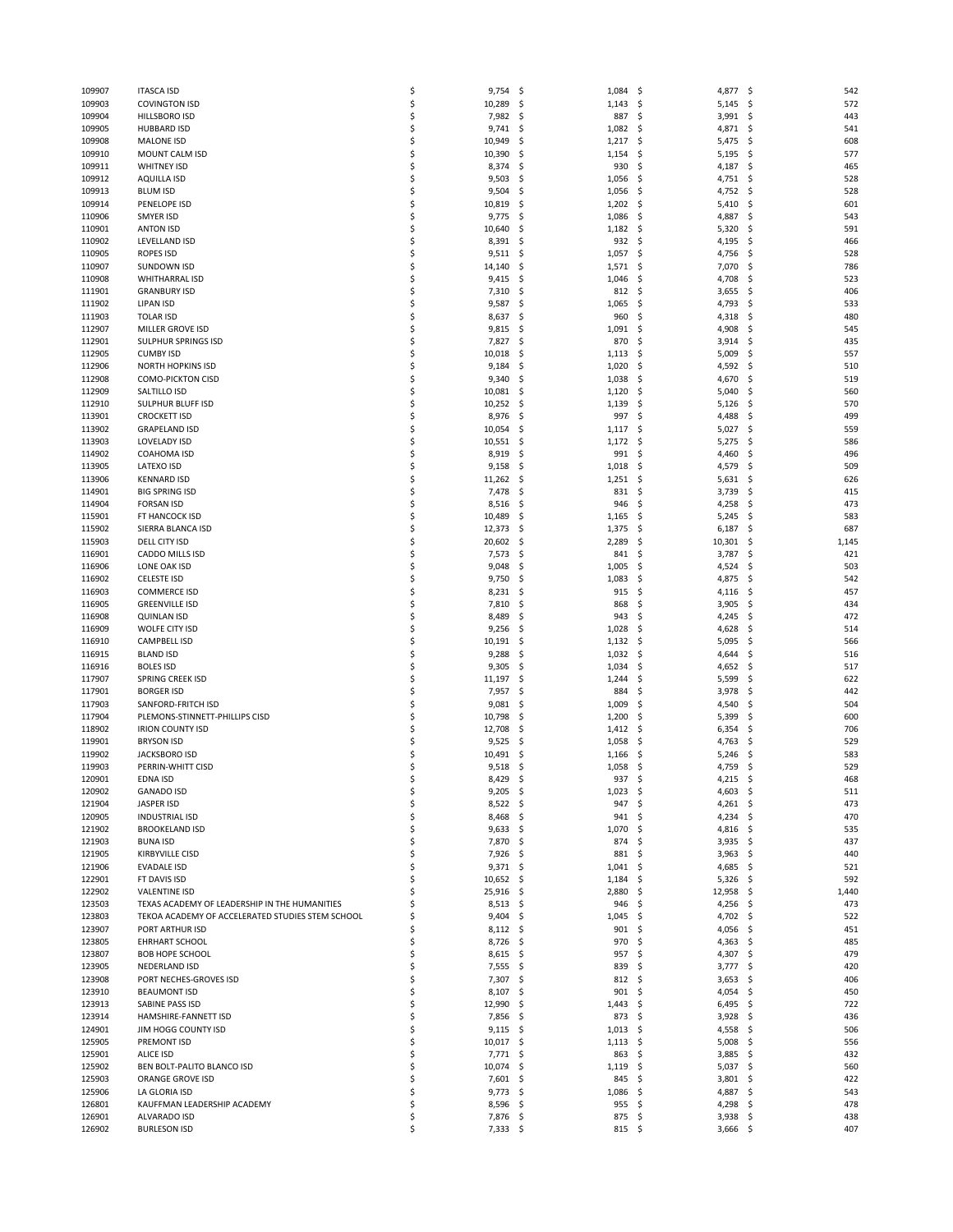| 109907 | <b>ITASCA ISD</b>                                | \$ | 9,754       | -\$<br>1,084       | \$,<br>4,877      | \$<br>542                 |
|--------|--------------------------------------------------|----|-------------|--------------------|-------------------|---------------------------|
|        |                                                  |    |             |                    |                   |                           |
| 109903 | <b>COVINGTON ISD</b>                             | \$ | 10,289      | 1,143<br>\$        | \$<br>5,145       | 572<br>\$                 |
| 109904 | HILLSBORO ISD                                    | \$ | 7,982       | -\$<br>887         | \$<br>3,991       | 443<br>\$                 |
| 109905 | <b>HUBBARD ISD</b>                               | \$ | 9,741       | -\$<br>1,082       | \$<br>4,871       | \$<br>541                 |
| 109908 | <b>MALONE ISD</b>                                | \$ | 10,949      | -\$<br>1,217       | \$<br>5,475       | \$<br>608                 |
|        |                                                  |    |             |                    |                   |                           |
| 109910 | MOUNT CALM ISD                                   | \$ | 10,390      | -\$<br>1,154       | \$<br>5,195       | -\$<br>577                |
| 109911 | <b>WHITNEY ISD</b>                               | \$ | 8,374       | \$<br>930          | \$<br>4,187       | \$<br>465                 |
| 109912 | <b>AQUILLA ISD</b>                               | \$ | 9,503       | -\$<br>1,056       | \$<br>4,751       | -\$<br>528                |
| 109913 | <b>BLUM ISD</b>                                  | \$ | 9,504       | 1,056<br>-\$       | 4,752<br>\$       | 528<br>\$                 |
| 109914 | PENELOPE ISD                                     | \$ | 10,819      | \$<br>1,202        | \$<br>5,410       | \$<br>601                 |
|        |                                                  |    |             |                    |                   |                           |
| 110906 | SMYER ISD                                        | \$ | 9,775       | -\$<br>1,086       | \$<br>4,887       | \$<br>543                 |
| 110901 | <b>ANTON ISD</b>                                 | \$ | 10,640      | \$<br>1,182        | 5,320<br>\$       | 591<br>\$                 |
| 110902 | LEVELLAND ISD                                    | \$ | 8,391       | \$<br>932          | \$<br>4,195       | \$<br>466                 |
|        | <b>ROPES ISD</b>                                 | \$ |             |                    |                   |                           |
| 110905 |                                                  |    | 9,511       | -\$<br>1,057       | \$<br>4,756       | \$<br>528                 |
| 110907 | <b>SUNDOWN ISD</b>                               | \$ | 14,140      | -\$<br>1,571       | 7,070<br>\$       | \$<br>786                 |
| 110908 | <b>WHITHARRAL ISD</b>                            | \$ | 9,415       | -\$<br>1,046       | \$<br>4,708       | \$<br>523                 |
| 111901 | <b>GRANBURY ISD</b>                              | \$ | 7,310       | -\$<br>812         | \$<br>3,655       | \$<br>406                 |
|        |                                                  | \$ | 9,587       |                    | \$                |                           |
| 111902 | LIPAN ISD                                        |    |             | \$<br>1,065        | 4,793             | \$<br>533                 |
| 111903 | <b>TOLAR ISD</b>                                 | \$ | 8,637       | \$<br>960          | \$<br>4,318       | \$<br>480                 |
| 112907 | MILLER GROVE ISD                                 | \$ | 9,815       | 1,091<br>-\$       | 4,908<br>\$,      | \$<br>545                 |
| 112901 | SULPHUR SPRINGS ISD                              | \$ | 7,827       | \$<br>870          | \$<br>3,914       | \$<br>435                 |
| 112905 | <b>CUMBY ISD</b>                                 | \$ | 10,018      | \$<br>1,113        | \$<br>5,009       | \$<br>557                 |
|        |                                                  |    |             |                    |                   |                           |
| 112906 | <b>NORTH HOPKINS ISD</b>                         | \$ | 9,184       | 1,020<br>-\$       | 4,592<br>\$       | 510<br>\$                 |
| 112908 | <b>COMO-PICKTON CISD</b>                         | \$ | 9,340       | \$<br>1,038        | \$<br>4,670       | \$<br>519                 |
| 112909 | SALTILLO ISD                                     | \$ | 10,081      | -\$<br>1,120       | \$<br>5,040       | \$<br>560                 |
| 112910 | SULPHUR BLUFF ISD                                | \$ | 10,252      | 1,139<br>-\$       | \$<br>5,126       | 570<br>\$                 |
|        |                                                  |    |             |                    |                   |                           |
| 113901 | <b>CROCKETT ISD</b>                              | \$ | 8,976       | 997<br>-\$         | \$<br>4,488       | 499<br>\$                 |
| 113902 | <b>GRAPELAND ISD</b>                             | \$ | 10,054      | \$<br>1,117        | \$<br>5,027       | \$<br>559                 |
| 113903 | <b>LOVELADY ISD</b>                              | \$ | 10,551      | \$<br>1,172        | \$<br>5,275       | \$<br>586                 |
| 114902 | COAHOMA ISD                                      | \$ |             | -\$<br>991         | \$                | \$<br>496                 |
|        |                                                  |    | 8,919       |                    | 4,460             |                           |
| 113905 | LATEXO ISD                                       | \$ | 9,158       | -\$<br>1,018       | \$<br>4,579       | \$<br>509                 |
| 113906 | <b>KENNARD ISD</b>                               | \$ | 11,262      | \$<br>1,251        | \$<br>5,631       | \$<br>626                 |
| 114901 | <b>BIG SPRING ISD</b>                            | \$ | 7,478       | -\$<br>831         | \$<br>3,739       | \$<br>415                 |
|        |                                                  |    |             |                    |                   |                           |
| 114904 | <b>FORSAN ISD</b>                                | \$ | 8,516       | -\$<br>946         | 4,258<br>\$       | 473<br>\$                 |
| 115901 | FT HANCOCK ISD                                   | \$ | 10,489      | \$<br>1,165        | \$<br>5,245       | 583<br>\$                 |
| 115902 | SIERRA BLANCA ISD                                | \$ | 12,373      | -\$<br>1,375       | \$<br>6,187       | \$<br>687                 |
| 115903 | DELL CITY ISD                                    | \$ | 20,602      | 2,289<br>-\$       | 10,301<br>\$      | 1,145<br>\$               |
|        |                                                  | \$ |             |                    |                   |                           |
| 116901 | CADDO MILLS ISD                                  |    | 7,573       | -\$<br>841         | \$<br>3,787       | \$<br>421                 |
| 116906 | LONE OAK ISD                                     | \$ | 9,048       | -\$<br>1,005       | \$<br>4,524       | 503<br>\$                 |
| 116902 | <b>CELESTE ISD</b>                               | \$ | 9,750       | \$<br>1,083        | \$<br>4,875       | \$<br>542                 |
| 116903 | <b>COMMERCE ISD</b>                              | \$ | 8,231       | -\$<br>915         | \$<br>4,116       | \$<br>457                 |
| 116905 | <b>GREENVILLE ISD</b>                            | \$ | 7,810       | \$<br>868          | \$<br>3,905       | \$<br>434                 |
|        |                                                  |    |             |                    |                   |                           |
| 116908 | <b>QUINLAN ISD</b>                               | \$ | 8,489       | \$<br>943          | \$<br>4,245       | 472<br>\$                 |
| 116909 | WOLFE CITY ISD                                   | \$ | 9,256       | -\$<br>1,028       | \$<br>4,628       | \$<br>514                 |
| 116910 | <b>CAMPBELL ISD</b>                              | \$ | 10,191      | \$<br>1,132        | \$<br>5,095       | \$<br>566                 |
|        |                                                  | \$ |             |                    |                   |                           |
| 116915 | <b>BLAND ISD</b>                                 |    | 9,288       | \$<br>1,032        | \$<br>4,644       | \$<br>516                 |
| 116916 | <b>BOLES ISD</b>                                 | \$ | 9,305       | -\$<br>1,034       | \$<br>4,652       | \$<br>517                 |
| 117907 | SPRING CREEK ISD                                 | \$ | 11,197      | \$<br>1,244        | \$<br>5,599       | \$<br>622                 |
| 117901 | <b>BORGER ISD</b>                                | \$ | 7,957       | -\$<br>884         | \$<br>3,978       | \$<br>442                 |
|        |                                                  | \$ |             |                    |                   |                           |
| 117903 | SANFORD-FRITCH ISD                               |    | 9,081       | -\$<br>1,009       | \$<br>4,540       | \$<br>504                 |
| 117904 | PLEMONS-STINNETT-PHILLIPS CISD                   | \$ | 10,798      | -\$<br>1,200       | \$<br>5,399       | \$<br>600                 |
| 118902 | <b>IRION COUNTY ISD</b>                          | \$ | 12,708      | -\$<br>1,412       | 6,354<br>\$,      | \$<br>706                 |
| 119901 | <b>BRYSON ISD</b>                                | \$ | 9,525       | -\$<br>1,058       | \$<br>4,763       | \$<br>529                 |
| 119902 | <b>JACKSBORO ISD</b>                             | \$ | 10,491      | \$                 | \$                | \$<br>583                 |
|        |                                                  |    |             | 1,166              | 5,246             |                           |
| 119903 | PERRIN-WHITT CISD                                | \$ | 9,518       | -\$<br>1,058       | \$<br>4,759       | \$<br>529                 |
| 120901 | EDNA ISD                                         | Ś  | 8,429       | \$<br>937          | \$<br>4,215       | \$<br>468                 |
| 120902 | <b>GANADO ISD</b>                                | \$ | 9,205       | - \$<br>$1,023$ \$ | 4,603             | $\ddot{\varsigma}$<br>511 |
| 121904 | JASPER ISD                                       | \$ | $8,522$ \$  | 947                | \$<br>$4,261$ \$  | 473                       |
|        |                                                  |    |             |                    |                   |                           |
| 120905 | <b>INDUSTRIAL ISD</b>                            | \$ | 8,468       | - \$<br>941        | \$<br>4,234 \$    | 470                       |
| 121902 | <b>BROOKELAND ISD</b>                            | \$ | $9,633$ \$  | 1,070              | \$<br>4,816 \$    | 535                       |
| 121903 | <b>BUNA ISD</b>                                  | \$ | 7,870 \$    | 874                | \$<br>$3,935$ \$  | 437                       |
| 121905 | <b>KIRBYVILLE CISD</b>                           | \$ | 7,926 \$    | 881                | \$<br>$3,963$ \$  | 440                       |
|        |                                                  |    |             |                    |                   |                           |
| 121906 | <b>EVADALE ISD</b>                               | \$ | 9,371       | - \$<br>1,041      | \$<br>4,685       | \$<br>521                 |
| 122901 | FT DAVIS ISD                                     | Ś  | $10,652$ \$ | 1,184              | \$<br>5,326       | 592<br>\$                 |
| 122902 | <b>VALENTINE ISD</b>                             | Ś  | 25,916      | - \$<br>2,880      | \$.<br>12,958     | 1,440<br>-\$              |
| 123503 | TEXAS ACADEMY OF LEADERSHIP IN THE HUMANITIES    | \$ | $8,513$ \$  | 946                | \$<br>4,256       | \$<br>473                 |
|        | TEKOA ACADEMY OF ACCELERATED STUDIES STEM SCHOOL | \$ |             |                    |                   |                           |
| 123803 |                                                  |    | 9,404       | 1,045<br>- \$      | 4,702 \$<br>\$    | 522                       |
| 123907 | PORT ARTHUR ISD                                  | Ś  | $8,112$ \$  | 901                | \$<br>4,056       | -\$<br>451                |
| 123805 | EHRHART SCHOOL                                   | \$ | 8,726       | - \$<br>970        | \$<br>4,363       | \$<br>485                 |
| 123807 | <b>BOB HOPE SCHOOL</b>                           | \$ | 8,615       | 957<br>- S         | \$<br>4,307       | 479<br>-\$                |
| 123905 | NEDERLAND ISD                                    | \$ | $7,555$ \$  | 839                | \$<br>3,777       | 420<br>\$                 |
|        |                                                  |    |             |                    |                   |                           |
| 123908 | PORT NECHES-GROVES ISD                           | \$ | 7,307       | - \$<br>812        | \$<br>3,653       | \$<br>406                 |
| 123910 | <b>BEAUMONT ISD</b>                              | \$ | 8,107       | 901<br>- \$        | \$<br>4,054       | -\$<br>450                |
| 123913 | SABINE PASS ISD                                  | \$ | 12,990      | - \$<br>1,443      | \$.<br>$6,495$ \$ | 722                       |
| 123914 | HAMSHIRE-FANNETT ISD                             | \$ | 7,856       | -\$<br>873         | \$<br>3,928       | \$<br>436                 |
|        |                                                  |    |             |                    |                   |                           |
| 124901 | JIM HOGG COUNTY ISD                              | \$ | 9,115       | - \$<br>1,013      | -\$<br>4,558      | -\$<br>506                |
| 125905 | PREMONT ISD                                      | \$ | $10,017$ \$ | 1,113              | \$<br>5,008       | - \$<br>556               |
| 125901 | <b>ALICE ISD</b>                                 | \$ | 7,771       | -\$<br>863         | \$<br>3,885       | 432<br>\$                 |
| 125902 | BEN BOLT-PALITO BLANCO ISD                       | \$ | 10,074      | -\$<br>1,119       | \$<br>5,037       | \$<br>560                 |
| 125903 | ORANGE GROVE ISD                                 | \$ | 7,601 \$    | 845                | \$                | 422                       |
|        |                                                  |    |             |                    | $3,801$ \$        |                           |
| 125906 | LA GLORIA ISD                                    | \$ | 9,773       | -\$<br>1,086       | \$<br>4,887       | 543<br>\$                 |
| 126801 | KAUFFMAN LEADERSHIP ACADEMY                      | \$ | $8,596$ \$  | 955                | \$<br>4,298       | - \$<br>478               |
| 126901 | ALVARADO ISD                                     | \$ | 7,876 \$    | 875                | \$<br>3,938       | \$<br>438                 |
| 126902 | <b>BURLESON ISD</b>                              | \$ | $7,333$ \$  | $815 \quad $$      | $3,666$ \$        | 407                       |
|        |                                                  |    |             |                    |                   |                           |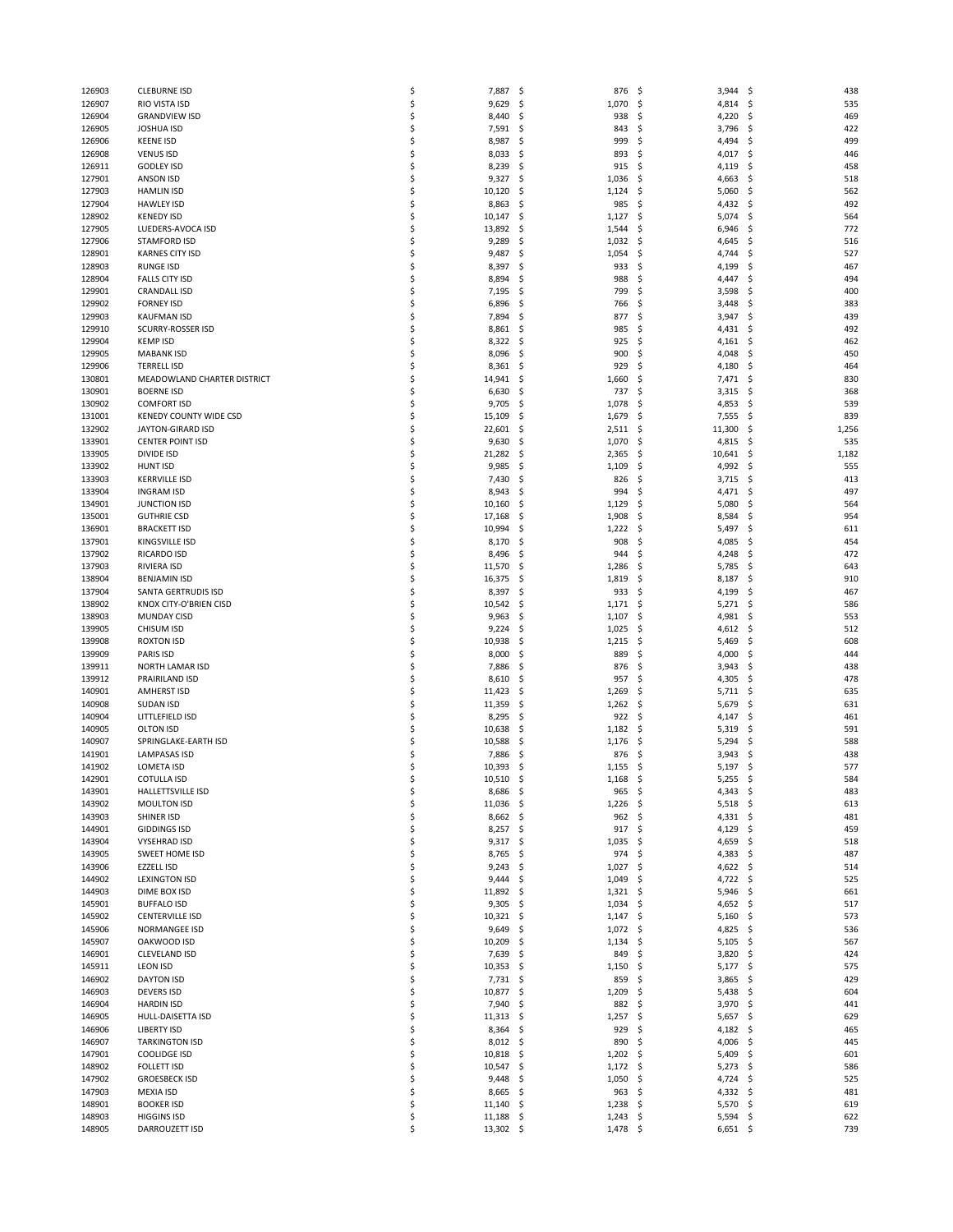| 126903 | <b>CLEBURNE ISD</b>           | \$ | 7,887            | -\$<br>876         | \$<br>3,944  | \$<br>438   |
|--------|-------------------------------|----|------------------|--------------------|--------------|-------------|
| 126907 | RIO VISTA ISD                 | \$ | 9,629            | 1,070<br>\$,       | \$<br>4,814  | \$<br>535   |
| 126904 | <b>GRANDVIEW ISD</b>          | \$ | 8,440            | \$<br>938          | \$<br>4,220  | \$<br>469   |
| 126905 | <b>JOSHUA ISD</b>             | \$ | 7,591            | -\$<br>843         | \$<br>3,796  | \$<br>422   |
| 126906 | <b>KEENE ISD</b>              | \$ | 8,987            | 999<br>\$          | 4,494<br>\$  | 499<br>\$   |
|        |                               |    |                  |                    |              |             |
| 126908 | <b>VENUS ISD</b>              | \$ | 8,033            | \$,<br>893         | \$<br>4,017  | \$<br>446   |
| 126911 | <b>GODLEY ISD</b>             | \$ | 8,239            | \$<br>915          | \$<br>4,119  | \$<br>458   |
| 127901 | <b>ANSON ISD</b>              | \$ | 9,327            | \$<br>1,036        | -\$<br>4,663 | \$<br>518   |
| 127903 | <b>HAMLIN ISD</b>             | \$ | 10,120           | \$<br>1,124        | \$<br>5,060  | \$<br>562   |
|        |                               |    |                  |                    |              |             |
| 127904 | <b>HAWLEY ISD</b>             | \$ | 8,863            | \$<br>985          | \$<br>4,432  | \$<br>492   |
| 128902 | <b>KENEDY ISD</b>             | \$ | 10,147           | \$<br>1,127        | \$<br>5,074  | \$<br>564   |
| 127905 | LUEDERS-AVOCA ISD             | \$ | 13,892           | \$,<br>1,544       | \$<br>6,946  | \$<br>772   |
| 127906 | <b>STAMFORD ISD</b>           | \$ | 9,289            | \$<br>1,032        | \$<br>4,645  | \$<br>516   |
| 128901 | <b>KARNES CITY ISD</b>        | \$ | 9,487            | \$<br>1,054        | \$<br>4,744  | \$<br>527   |
|        |                               |    |                  |                    |              |             |
| 128903 | <b>RUNGE ISD</b>              | \$ | 8,397            | \$,<br>933         | \$<br>4,199  | \$<br>467   |
| 128904 | <b>FALLS CITY ISD</b>         | \$ | 8,894            | \$<br>988          | \$<br>4,447  | \$<br>494   |
| 129901 | <b>CRANDALL ISD</b>           | Ś  | 7,195            | \$<br>799          | \$<br>3,598  | \$<br>400   |
| 129902 | <b>FORNEY ISD</b>             | \$ | 6,896            | \$<br>766          | \$<br>3,448  | \$<br>383   |
|        |                               |    |                  |                    |              |             |
| 129903 | <b>KAUFMAN ISD</b>            | \$ | 7,894            | \$<br>877          | \$<br>3,947  | \$<br>439   |
| 129910 | SCURRY-ROSSER ISD             | \$ | 8,861            | \$,<br>985         | \$<br>4,431  | \$<br>492   |
| 129904 | <b>KEMP ISD</b>               | Ś  | 8,322            | \$,<br>925         | \$<br>4,161  | -\$<br>462  |
| 129905 | <b>MABANK ISD</b>             | \$ | 8,096            | \$<br>900          | \$<br>4,048  | \$<br>450   |
|        |                               |    |                  |                    |              |             |
| 129906 | <b>TERRELL ISD</b>            | \$ | 8,361            | \$,<br>929         | \$<br>4,180  | \$<br>464   |
| 130801 | MEADOWLAND CHARTER DISTRICT   | Ś  | 14,941           | \$<br>1,660        | \$<br>7,471  | -\$<br>830  |
| 130901 | <b>BOERNE ISD</b>             | \$ | 6,630            | 737<br>\$,         | \$<br>3,315  | \$<br>368   |
| 130902 | <b>COMFORT ISD</b>            | \$ | 9,705            | \$,<br>1,078       | \$<br>4,853  | \$<br>539   |
| 131001 | <b>KENEDY COUNTY WIDE CSD</b> | \$ | 15,109           | 1,679              | \$           | 839         |
|        |                               |    |                  | \$                 | 7,555        | \$          |
| 132902 | JAYTON-GIRARD ISD             | \$ | 22,601           | \$,<br>2,511       | \$<br>11,300 | \$<br>1,256 |
| 133901 | <b>CENTER POINT ISD</b>       | \$ | 9,630            | \$<br>1,070        | 4,815<br>\$  | 535<br>\$   |
| 133905 | DIVIDE ISD                    | \$ | 21,282           | \$<br>2,365        | \$<br>10,641 | \$<br>1,182 |
|        |                               | \$ |                  |                    |              | 555         |
| 133902 | <b>HUNT ISD</b>               |    | 9,985            | 1,109<br>\$,       | \$<br>4,992  | \$          |
| 133903 | <b>KERRVILLE ISD</b>          | \$ | 7,430            | \$<br>826          | \$<br>3,715  | \$<br>413   |
| 133904 | <b>INGRAM ISD</b>             | \$ | 8,943            | 994<br>\$          | \$<br>4,471  | 497<br>\$   |
| 134901 | <b>JUNCTION ISD</b>           | \$ | 10,160           | 1,129<br>\$,       | \$<br>5,080  | \$<br>564   |
|        | <b>GUTHRIE CSD</b>            |    |                  |                    |              |             |
| 135001 |                               | \$ | 17,168           | 1,908<br>\$,       | \$<br>8,584  | \$<br>954   |
| 136901 | <b>BRACKETT ISD</b>           | \$ | 10,994           | \$<br>1,222        | \$<br>5,497  | \$<br>611   |
| 137901 | KINGSVILLE ISD                | \$ | 8,170            | \$,<br>908         | \$<br>4,085  | \$<br>454   |
| 137902 | RICARDO ISD                   | \$ | 8,496            | \$,<br>944         | \$<br>4,248  | 472<br>\$   |
| 137903 | RIVIERA ISD                   | \$ | 11,570           | \$<br>1,286        | \$<br>5,785  | \$<br>643   |
|        |                               |    |                  |                    |              |             |
| 138904 | <b>BENJAMIN ISD</b>           | \$ | 16,375           | 1,819<br>\$,       | -\$<br>8,187 | 910<br>\$   |
| 137904 | SANTA GERTRUDIS ISD           | \$ | 8,397            | \$,<br>933         | \$<br>4,199  | \$<br>467   |
| 138902 | KNOX CITY-O'BRIEN CISD        | \$ | 10,542           | \$<br>1,171        | \$<br>5,271  | \$<br>586   |
| 138903 | <b>MUNDAY CISD</b>            | \$ | 9,963            | 1,107<br>\$        | \$<br>4,981  | 553<br>-\$  |
|        |                               |    |                  |                    |              |             |
| 139905 | CHISUM ISD                    | \$ | 9,224            | 1,025<br>\$        | \$<br>4,612  | \$<br>512   |
| 139908 | <b>ROXTON ISD</b>             | \$ | 10,938           | \$<br>1,215        | \$<br>5,469  | \$<br>608   |
| 139909 | PARIS ISD                     | \$ | 8,000            | 889<br>\$          | \$<br>4,000  | \$<br>444   |
| 139911 | NORTH LAMAR ISD               | \$ | 7,886            | 876<br>\$,         | \$<br>3,943  | 438<br>\$   |
| 139912 | PRAIRILAND ISD                | \$ | 8,610            | \$<br>957          | \$<br>4,305  | \$<br>478   |
|        |                               |    |                  |                    |              |             |
| 140901 | <b>AMHERST ISD</b>            | \$ | 11,423           | \$,<br>1,269       | \$<br>5,711  | 635<br>-\$  |
| 140908 | SUDAN ISD                     | \$ | 11,359           | \$<br>1,262        | \$<br>5,679  | \$<br>631   |
| 140904 | LITTLEFIELD ISD               | \$ | 8,295            | \$,<br>922         | \$<br>4,147  | \$<br>461   |
| 140905 | <b>OLTON ISD</b>              | \$ | 10,638           | \$,<br>1,182       | -\$<br>5,319 | 591<br>\$   |
|        |                               |    |                  |                    |              |             |
| 140907 | SPRINGLAKE-EARTH ISD          | \$ | 10,588           | 1,176<br>\$,       | \$<br>5,294  | \$<br>588   |
| 141901 | <b>LAMPASAS ISD</b>           | \$ | 7,886            | \$<br>876          | \$<br>3,943  | \$<br>438   |
| 141902 | LOMETA ISD                    | \$ | 10,393           | \$,<br>1,155       | 5,197<br>-\$ | 577<br>\$   |
| 142901 | <b>COTULLA ISD</b>            |    | 10,510           | \$<br>1,168        | 5,255<br>-\$ | \$<br>584   |
| 143901 | HALLETTSVILLE ISD             | \$ | 8,686            | - \$<br>965        | \$<br>4,343  | -\$<br>483  |
|        |                               |    |                  |                    |              |             |
| 143902 | <b>MOULTON ISD</b>            | \$ | 11,036           | 1,226<br>- \$      | \$<br>5,518  | \$<br>613   |
| 143903 | SHINER ISD                    | \$ | $8,662$ \$       | 962                | -\$<br>4,331 | -\$<br>481  |
| 144901 | <b>GIDDINGS ISD</b>           | \$ | 8,257            | 917<br>- \$        | \$<br>4,129  | 459<br>\$   |
| 143904 | <b>VYSEHRAD ISD</b>           | \$ | 9,317            | \$.<br>1,035       | \$<br>4,659  | -\$<br>518  |
| 143905 | SWEET HOME ISD                | \$ | 8,765            | - \$<br>974        | -\$<br>4,383 | -\$<br>487  |
|        |                               |    |                  |                    |              |             |
| 143906 | <b>EZZELL ISD</b>             | \$ | 9,243            | 1,027<br>-\$       | \$<br>4,622  | -\$<br>514  |
| 144902 | <b>LEXINGTON ISD</b>          | \$ | 9,444            | - \$<br>1,049      | -\$<br>4,722 | -\$<br>525  |
| 144903 | DIME BOX ISD                  | \$ | 11,892           | - \$<br>1,321      | -\$<br>5,946 | -\$<br>661  |
| 145901 | <b>BUFFALO ISD</b>            | \$ | 9,305            | 1,034<br>-\$       | \$<br>4,652  | 517<br>\$   |
|        |                               |    |                  |                    |              |             |
| 145902 | <b>CENTERVILLE ISD</b>        | \$ | 10,321           | - \$<br>$1,147$ \$ | 5,160        | -\$<br>573  |
| 145906 | NORMANGEE ISD                 | \$ | 9,649            | \$<br>1,072        | -\$<br>4,825 | -\$<br>536  |
| 145907 | OAKWOOD ISD                   | \$ | 10,209           | \$,<br>1,134       | \$<br>5,105  | \$<br>567   |
| 146901 | <b>CLEVELAND ISD</b>          | \$ | 7,639            | - \$<br>849        | -\$<br>3,820 | \$<br>424   |
|        | <b>LEON ISD</b>               | \$ | 10,353           | 1,150              | \$           | 575         |
| 145911 |                               |    |                  | - \$               | 5,177        | -\$         |
| 146902 | <b>DAYTON ISD</b>             | \$ | 7,731            | 859<br>\$,         | \$<br>3,865  | 429<br>\$   |
| 146903 | <b>DEVERS ISD</b>             | \$ | 10,877           | \$,<br>1,209       | -\$<br>5,438 | -\$<br>604  |
| 146904 | <b>HARDIN ISD</b>             | \$ | 7,940            | 882<br>\$,         | \$<br>3,970  | \$<br>441   |
| 146905 | HULL-DAISETTA ISD             | \$ | 11,313           | 1,257<br>Ş.        | \$<br>5,657  | 629<br>\$   |
|        |                               |    |                  |                    |              |             |
| 146906 | <b>LIBERTY ISD</b>            | \$ | $8,364$ \$       | 929                | \$<br>4,182  | -\$<br>465  |
| 146907 | <b>TARKINGTON ISD</b>         | \$ | 8,012            | 890<br>- \$        | \$<br>4,006  | \$<br>445   |
| 147901 | <b>COOLIDGE ISD</b>           | \$ | 10,818           | 1,202<br>-\$       | -\$<br>5,409 | \$<br>601   |
| 148902 | <b>FOLLETT ISD</b>            | \$ | 10,547 \$        | 1,172              | -\$<br>5,273 | -\$<br>586  |
|        |                               | \$ |                  |                    |              |             |
| 147902 | <b>GROESBECK ISD</b>          |    | 9,448            | \$<br>1,050        | \$<br>4,724  | \$<br>525   |
| 147903 | <b>MEXIA ISD</b>              | \$ | 8,665            | 963<br>- \$        | \$<br>4,332  | -\$<br>481  |
| 148901 | <b>BOOKER ISD</b>             | \$ | 11,140           | - \$<br>1,238      | -\$<br>5,570 | 619<br>-\$  |
| 148903 | <b>HIGGINS ISD</b>            | \$ | 11,188           | \$,<br>1,243       | \$<br>5,594  | \$<br>622   |
| 148905 | DARROUZETT ISD                | \$ | $13,302 \quad $$ | $1,478$ \$         | $6,651$ \$   | 739         |
|        |                               |    |                  |                    |              |             |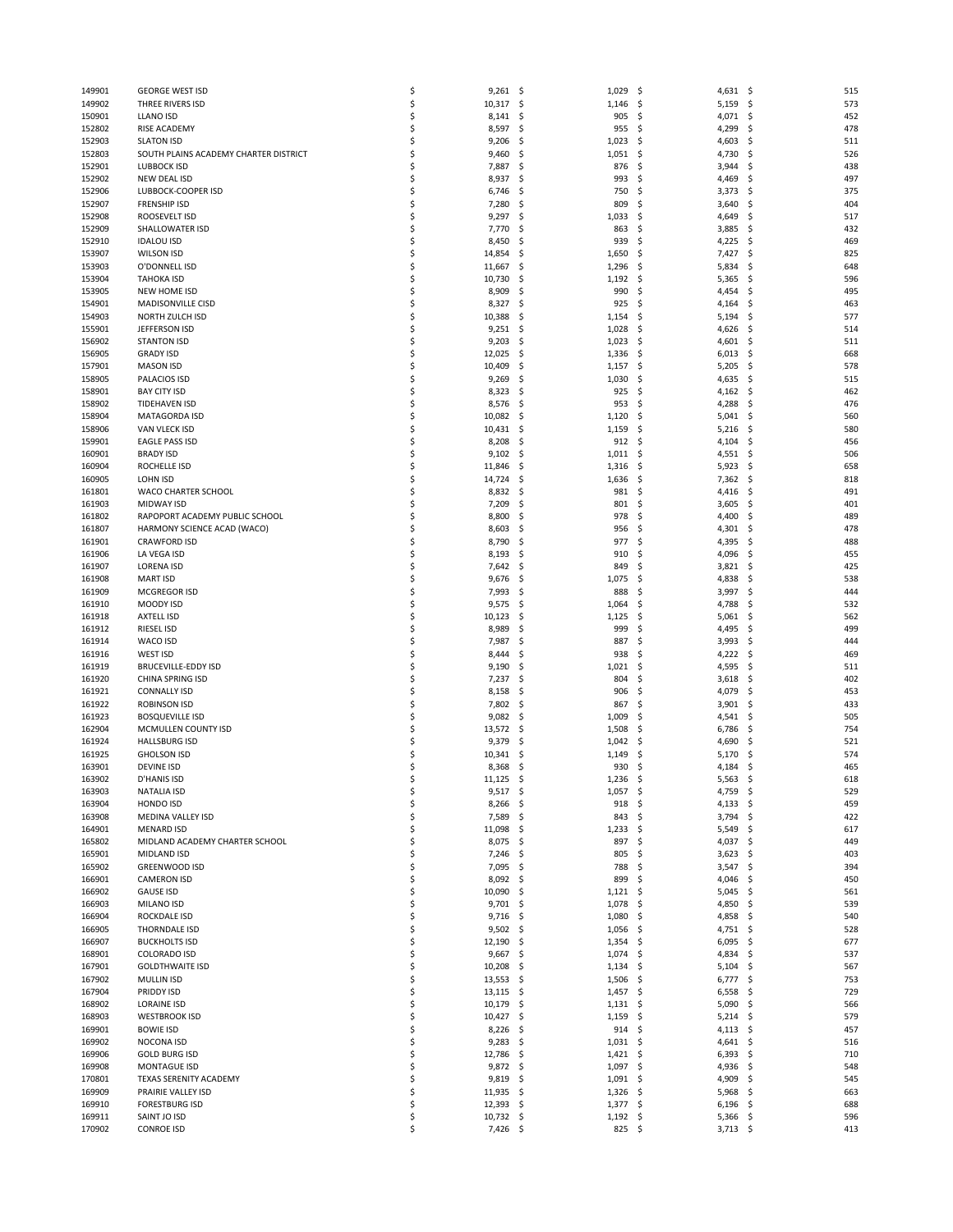| 149901 | <b>GEORGE WEST ISD</b>                | \$<br>9,261<br>-\$  | 1,029           | -\$<br>4,631  | \$<br>515  |
|--------|---------------------------------------|---------------------|-----------------|---------------|------------|
| 149902 | THREE RIVERS ISD                      | \$<br>\$<br>10,317  | 1,146           | \$<br>5,159   | 573<br>\$  |
|        | LLANO ISD                             | \$                  |                 |               |            |
| 150901 |                                       | 8,141<br>\$         | 905             | \$<br>4,071   | \$<br>452  |
| 152802 | RISE ACADEMY                          | \$<br>8,597<br>\$   | 955             | \$<br>4,299   | 478<br>\$  |
| 152903 | <b>SLATON ISD</b>                     | \$<br>9,206<br>\$,  | 1,023           | \$<br>4,603   | 511<br>\$, |
| 152803 | SOUTH PLAINS ACADEMY CHARTER DISTRICT | \$<br>9,460<br>\$.  | 1,051           | -\$<br>4,730  | 526<br>\$. |
| 152901 | <b>LUBBOCK ISD</b>                    | \$<br>\$<br>7,887   | 876             | \$<br>3,944   | Ś<br>438   |
| 152902 | <b>NEW DEAL ISD</b>                   | \$<br>8,937<br>\$   | 993             | \$<br>4,469   | 497<br>\$, |
|        |                                       |                     |                 |               |            |
| 152906 | LUBBOCK-COOPER ISD                    | \$<br>6,746<br>\$,  | 750             | \$<br>3,373   | 375<br>\$  |
| 152907 | <b>FRENSHIP ISD</b>                   | \$<br>7,280<br>\$   | 809             | \$<br>3,640   | 404<br>S   |
| 152908 | ROOSEVELT ISD                         | \$<br>9,297<br>\$   | 1,033           | 4,649<br>\$.  | 517<br>\$, |
| 152909 | SHALLOWATER ISD                       | \$<br>7,770<br>\$,  | 863             | \$<br>3,885   | 432<br>\$  |
| 152910 |                                       | \$<br>8,450<br>\$   | 939             | \$            | 469        |
|        | <b>IDALOU ISD</b>                     |                     |                 | 4,225         | \$.        |
| 153907 | <b>WILSON ISD</b>                     | \$<br>14,854<br>\$  | 1,650           | \$<br>7,427   | 825<br>\$. |
| 153903 | O'DONNELL ISD                         | \$<br>11,667<br>\$  | 1,296           | \$<br>5,834   | \$<br>648  |
| 153904 | <b>TAHOKA ISD</b>                     | \$<br>10,730<br>\$  | 1,192           | \$<br>5,365   | \$<br>596  |
| 153905 | NEW HOME ISD                          | \$<br>8,909<br>\$   | 990             | \$<br>4,454   | 495<br>\$. |
|        |                                       |                     |                 |               |            |
| 154901 | MADISONVILLE CISD                     | \$<br>8,327<br>\$   | 925             | \$,<br>4,164  | 463<br>\$, |
| 154903 | NORTH ZULCH ISD                       | \$<br>10,388<br>\$  | 1,154           | \$<br>5,194   | 577<br>\$. |
| 155901 | JEFFERSON ISD                         | \$<br>9,251<br>\$,  | 1,028           | \$<br>4,626   | 514<br>\$. |
| 156902 | <b>STANTON ISD</b>                    | \$<br>9,203<br>\$   | 1,023           | \$<br>4,601   | 511<br>\$, |
| 156905 | <b>GRADY ISD</b>                      | \$<br>12,025<br>\$  | 1,336           |               | 668        |
|        |                                       |                     |                 | -\$<br>6,013  | \$,        |
| 157901 | <b>MASON ISD</b>                      | \$<br>10,409<br>\$  | 1,157           | \$<br>5,205   | 578<br>\$. |
| 158905 | PALACIOS ISD                          | \$<br>9,269<br>\$   | 1,030           | \$<br>4,635   | 515<br>\$, |
| 158901 | <b>BAY CITY ISD</b>                   | \$<br>8,323<br>\$   | 925             | \$<br>4,162   | 462<br>\$. |
| 158902 | <b>TIDEHAVEN ISD</b>                  | \$<br>8,576<br>\$,  | 953             | \$<br>4,288   | 476<br>\$. |
|        |                                       |                     |                 |               |            |
| 158904 | MATAGORDA ISD                         | \$<br>10,082<br>\$  | 1,120           | \$<br>5,041   | 560<br>\$, |
| 158906 | VAN VLECK ISD                         | \$<br>10,431<br>\$  | 1,159           | \$<br>5,216   | 580<br>\$. |
| 159901 | <b>EAGLE PASS ISD</b>                 | \$<br>8,208<br>\$.  | 912             | -\$<br>4,104  | 456<br>\$. |
| 160901 | <b>BRADY ISD</b>                      | \$<br>9,102<br>\$,  | 1,011           | -\$<br>4,551  | 506<br>\$. |
| 160904 | ROCHELLE ISD                          | \$<br>11,846        |                 | -\$           | 658        |
|        |                                       | \$                  | 1,316           | 5,923         | \$         |
| 160905 | LOHN ISD                              | \$<br>14,724<br>\$  | 1,636           | \$<br>7,362   | 818<br>\$. |
| 161801 | WACO CHARTER SCHOOL                   | \$<br>8,832<br>\$,  | 981             | -\$<br>4,416  | 491<br>\$, |
| 161903 | <b>MIDWAY ISD</b>                     | \$<br>7,209<br>\$   | 801             | \$<br>3,605   | \$<br>401  |
| 161802 | RAPOPORT ACADEMY PUBLIC SCHOOL        | \$<br>8,800<br>\$   | 978             | \$<br>4,400   | 489<br>\$, |
|        |                                       |                     |                 |               |            |
| 161807 | HARMONY SCIENCE ACAD (WACO)           | \$<br>8,603<br>\$   | 956             | \$<br>4,301   | \$<br>478  |
| 161901 | <b>CRAWFORD ISD</b>                   | \$<br>8,790<br>\$   | 977             | \$<br>4,395   | \$<br>488  |
| 161906 | LA VEGA ISD                           | \$<br>8,193<br>\$,  | 910             | \$<br>4,096   | 455<br>\$, |
| 161907 | <b>LORENA ISD</b>                     | \$<br>7,642<br>\$,  | 849             | \$.<br>3,821  | 425<br>\$. |
| 161908 | <b>MART ISD</b>                       | \$<br>9,676<br>\$   | 1,075           | \$<br>4,838   | 538<br>S   |
|        |                                       |                     |                 |               |            |
| 161909 | MCGREGOR ISD                          | \$<br>7,993<br>\$,  | 888             | \$<br>3,997   | \$<br>444  |
| 161910 | MOODY ISD                             | \$<br>9,575<br>\$,  | 1,064           | \$<br>4,788   | 532<br>\$. |
| 161918 | <b>AXTELL ISD</b>                     | \$<br>10,123<br>\$  | 1,125           | \$<br>5,061   | 562<br>\$, |
| 161912 | RIESEL ISD                            | \$<br>8,989<br>\$,  | 999             | \$<br>4,495   | 499<br>\$. |
| 161914 | WACO ISD                              | \$<br>7,987<br>\$   | 887             | \$<br>3,993   | \$<br>444  |
|        |                                       |                     |                 |               |            |
| 161916 | WEST ISD                              | \$<br>\$<br>8,444   | 938             | \$<br>4,222   | 469<br>\$. |
| 161919 | <b>BRUCEVILLE-EDDY ISD</b>            | \$<br>9,190<br>\$,  | 1,021           | \$<br>4,595   | \$<br>511  |
| 161920 | CHINA SPRING ISD                      | \$<br>7,237<br>\$   | 804             | \$<br>3,618   | \$<br>402  |
| 161921 | <b>CONNALLY ISD</b>                   | \$<br>8,158<br>\$   | 906             | \$.<br>4,079  | 453<br>\$. |
|        |                                       | \$                  |                 |               |            |
| 161922 | <b>ROBINSON ISD</b>                   | 7,802<br>\$,        | 867             | \$<br>3,901   | 433<br>\$. |
| 161923 | <b>BOSQUEVILLE ISD</b>                | \$<br>9,082<br>\$   | 1,009           | \$<br>4,541   | \$<br>505  |
| 162904 | MCMULLEN COUNTY ISD                   | \$<br>13,572<br>\$, | 1,508           | \$<br>6,786   | 754<br>\$. |
| 161924 | <b>HALLSBURG ISD</b>                  | \$<br>9,379<br>\$.  | 1,042           | -\$<br>4,690  | 521<br>\$. |
| 161925 | <b>GHOLSON ISD</b>                    | \$<br>10,341<br>\$  | 1,149           | \$<br>5,170   | 574<br>S   |
|        |                                       |                     |                 |               |            |
| 163901 | <b>DEVINE ISD</b>                     | \$<br>8,368<br>\$   | 930             | 4,184<br>S    | 465<br>\$. |
| 163902 | D'HANIS ISD                           | \$<br>11,125<br>\$  | 1,236           | 5,563<br>- \$ | 618<br>\$  |
| 163903 | NATALIA ISD                           | \$<br>$9,517$ \$    | $1,057$ \$      | 4,759         | -\$<br>529 |
| 163904 | HONDO ISD                             | \$<br>8,266<br>-\$  | 918, 5          | $4,133$ \$    | 459        |
| 163908 | MEDINA VALLEY ISD                     | \$<br>7,589<br>\$   | 843             | 3,794<br>-\$  | 422<br>\$  |
|        |                                       |                     |                 |               |            |
| 164901 | <b>MENARD ISD</b>                     | \$<br>11,098<br>\$. | 1,233           | \$<br>5,549   | \$<br>617  |
| 165802 | MIDLAND ACADEMY CHARTER SCHOOL        | \$<br>8,075<br>\$   | 897             | \$<br>4,037   | 449<br>\$, |
| 165901 | MIDLAND ISD                           | \$<br>7,246<br>\$.  | 805             | -\$<br>3,623  | 403<br>\$  |
| 165902 | <b>GREENWOOD ISD</b>                  | \$<br>7,095<br>\$.  | 788             | \$<br>3,547   | \$<br>394  |
| 166901 | <b>CAMERON ISD</b>                    | \$<br>8,092<br>\$   | 899             | \$<br>4,046   | 450<br>\$, |
|        |                                       |                     |                 |               |            |
| 166902 | <b>GAUSE ISD</b>                      | \$<br>10,090<br>\$. | 1,121           | -\$<br>5,045  | 561<br>\$, |
| 166903 | MILANO ISD                            | \$<br>9,701<br>\$   | 1,078           | \$<br>4,850   | 539<br>\$, |
| 166904 | ROCKDALE ISD                          | \$<br>$9,716$ \$    | 1,080           | \$<br>4,858   | 540<br>\$. |
| 166905 | THORNDALE ISD                         | \$<br>9,502<br>\$.  | 1,056           | \$<br>4,751   | 528<br>-\$ |
|        |                                       |                     |                 |               |            |
| 166907 | <b>BUCKHOLTS ISD</b>                  | \$<br>12,190<br>\$  | 1,354           | \$<br>6,095   | \$<br>677  |
| 168901 | <b>COLORADO ISD</b>                   | \$<br>9,667<br>\$.  | 1,074           | \$<br>4,834   | 537<br>\$. |
| 167901 | <b>GOLDTHWAITE ISD</b>                | \$<br>10,208<br>\$, | 1,134           | 5,104<br>\$.  | 567<br>\$. |
| 167902 | <b>MULLIN ISD</b>                     | \$<br>13,553<br>\$  | 1,506           | -\$<br>6,777  | 753<br>\$, |
| 167904 | PRIDDY ISD                            | \$<br>13,115<br>-\$ | 1,457           | -\$<br>6,558  | 729<br>\$. |
|        |                                       |                     |                 |               |            |
| 168902 | <b>LORAINE ISD</b>                    | \$<br>10,179<br>\$. | $1,131 \quad $$ | 5,090         | 566<br>\$. |
| 168903 | <b>WESTBROOK ISD</b>                  | \$<br>10,427<br>\$  | 1,159           | \$<br>5,214   | \$<br>579  |
| 169901 | <b>BOWIE ISD</b>                      | \$<br>8,226<br>\$.  | 914             | -\$<br>4,113  | 457<br>-\$ |
| 169902 | NOCONA ISD                            | \$<br>9,283<br>\$,  | $1,031$ \$      | 4,641         | 516<br>-\$ |
|        |                                       |                     |                 |               |            |
| 169906 | <b>GOLD BURG ISD</b>                  | \$<br>12,786<br>\$  | $1,421$ \$      | 6,393         | \$<br>710  |
| 169908 | MONTAGUE ISD                          | \$<br>9,872<br>-\$  | 1,097           | -\$<br>4,936  | 548<br>-\$ |
| 170801 | TEXAS SERENITY ACADEMY                | \$<br>9,819<br>\$,  | $1,091$ \$      | 4,909         | \$<br>545  |
| 169909 | PRAIRIE VALLEY ISD                    | \$<br>11,935<br>\$. | 1,326           | -\$<br>5,968  | 663<br>\$. |
| 169910 | <b>FORESTBURG ISD</b>                 | \$<br>$12,393$ \$   | $1,377$ \$      | $6,196$ \$    | 688        |
| 169911 |                                       |                     |                 |               |            |
|        | SAINT JO ISD                          | \$<br>10,732<br>-\$ | $1,192$ \$      | 5,366         | \$<br>596  |
| 170902 | <b>CONROE ISD</b>                     | \$<br>7,426 \$      | 825 \$          | $3,713$ \$    | 413        |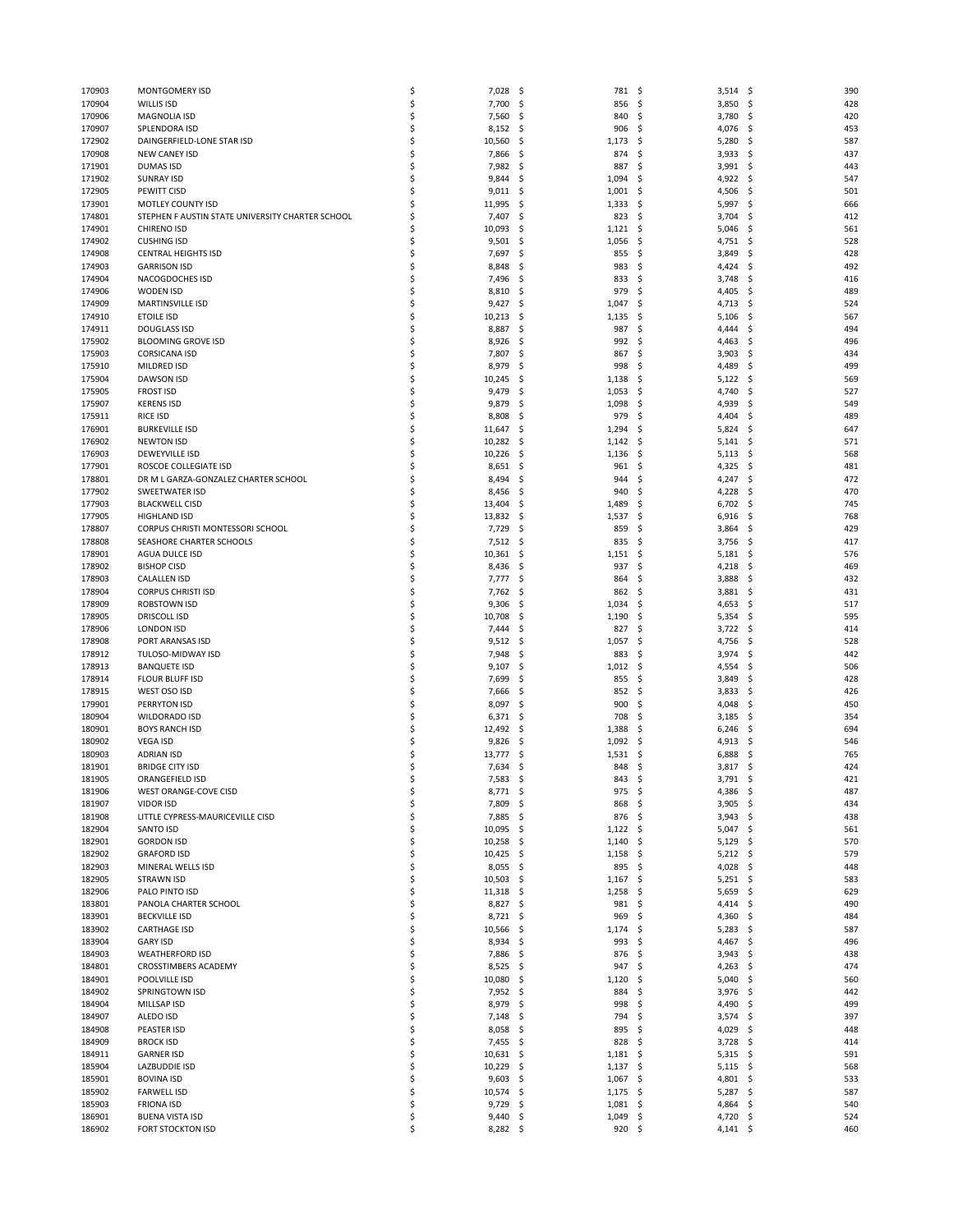| 170903           | <b>MONTGOMERY ISD</b>                              | \$       | 7,028<br>-\$               | 781                    | - \$<br>3,514             | -\$<br>390       |
|------------------|----------------------------------------------------|----------|----------------------------|------------------------|---------------------------|------------------|
| 170904           | <b>WILLIS ISD</b>                                  | \$       | 7,700<br>-\$               | 856                    | - \$<br>3,850             | \$<br>428        |
| 170906           | <b>MAGNOLIA ISD</b>                                | \$       | 7,560<br>.s                | 840                    | 3,780<br>-\$              | 420<br>-\$       |
| 170907           | SPLENDORA ISD                                      | \$       | 8,152<br>-\$               | 906                    | -\$<br>4,076              | \$<br>453        |
| 172902           | DAINGERFIELD-LONE STAR ISD                         | \$       | 10,560<br>-\$              | 1,173                  | 5,280<br>- \$             | 587<br>\$        |
|                  |                                                    |          |                            |                        |                           |                  |
| 170908           | <b>NEW CANEY ISD</b>                               | \$       | 7,866<br>.s                | 874                    | -\$<br>3,933              | \$<br>437        |
| 171901           | <b>DUMAS ISD</b>                                   | \$       | 7,982<br>\$.               | 887                    | \$<br>3,991               | \$<br>443        |
| 171902           | <b>SUNRAY ISD</b>                                  | \$       | 9,844<br>-\$               | 1,094                  | 4,922<br>\$               | 547<br>\$        |
| 172905           | PEWITT CISD                                        | Ś        | 9,011<br>-\$               | 1,001                  | -\$<br>4,506              | -\$<br>501       |
| 173901           | MOTLEY COUNTY ISD                                  | \$       | 11,995<br>\$.              | 1,333                  | \$<br>5,997               | \$<br>666        |
| 174801           | STEPHEN F AUSTIN STATE UNIVERSITY CHARTER SCHOOL   | \$       | 7,407<br>\$.               | 823                    | - \$<br>3,704             | \$<br>412        |
|                  |                                                    |          |                            |                        |                           |                  |
| 174901           | <b>CHIRENO ISD</b>                                 | Ś        | 10,093<br>S.               | 1,121                  | \$<br>5,046               | \$<br>561        |
| 174902           | <b>CUSHING ISD</b>                                 | \$       | 9,501<br>\$                | 1,056                  | \$<br>4,751               | \$<br>528        |
| 174908           | <b>CENTRAL HEIGHTS ISD</b>                         | \$       | 7,697<br>.s                | 855                    | \$<br>3,849               | \$<br>428        |
| 174903           | <b>GARRISON ISD</b>                                | \$       | 8,848<br>-\$               | 983                    | -\$<br>4,424              | 492<br>-S        |
| 174904           | NACOGDOCHES ISD                                    | \$       | 7,496<br>\$.               | 833                    | \$<br>3,748               | \$<br>416        |
|                  |                                                    |          |                            |                        |                           |                  |
| 174906           | WODEN ISD                                          | \$       | 8,810<br>.s                | 979                    | \$<br>4,405               | 489<br>-\$       |
| 174909           | <b>MARTINSVILLE ISD</b>                            | \$       | 9,427<br>\$,               | 1,047                  | -\$<br>4,713              | \$<br>524        |
| 174910           | <b>ETOILE ISD</b>                                  | \$       | 10,213<br>\$.              | 1,135                  | \$<br>5,106               | \$<br>567        |
| 174911           | <b>DOUGLASS ISD</b>                                | \$       | 8,887<br>.s                | 987                    | -\$<br>4,444              | \$<br>494        |
| 175902           | <b>BLOOMING GROVE ISD</b>                          | \$       | 8,926<br>\$.               | 992                    | \$<br>4,463               | \$<br>496        |
|                  |                                                    |          |                            |                        |                           |                  |
| 175903           | <b>CORSICANA ISD</b>                               | \$       | 7,807<br>\$.               | 867                    | \$<br>3,903               | \$<br>434        |
| 175910           | MILDRED ISD                                        | \$       | 8,979<br>.s                | 998                    | -\$<br>4,489              | \$<br>499        |
| 175904           | <b>DAWSON ISD</b>                                  | \$       | 10,245<br>\$,              | 1,138                  | \$<br>5,122               | \$<br>569        |
| 175905           | <b>FROST ISD</b>                                   | \$       | 9,479<br>\$                | 1,053                  | 4,740<br>\$,              | \$<br>527        |
| 175907           | <b>KERENS ISD</b>                                  | \$       | 9,879<br>.s                | 1,098                  | -\$<br>4,939              | 549<br>-S        |
| 175911           | <b>RICE ISD</b>                                    | \$       | 8,808<br>\$,               | 979                    | \$<br>4,404               | \$<br>489        |
|                  |                                                    |          |                            |                        |                           |                  |
| 176901           | <b>BURKEVILLE ISD</b>                              | \$       | 11,647<br>\$.              | 1,294                  | \$,<br>5,824              | 647<br>\$.       |
| 176902           | <b>NEWTON ISD</b>                                  | \$       | 10,282<br>\$.              | 1,142                  | \$<br>5,141               | \$<br>571        |
| 176903           | <b>DEWEYVILLE ISD</b>                              | \$       | 10,226<br>\$.              | 1,136                  | \$<br>5,113               | \$<br>568        |
| 177901           | ROSCOE COLLEGIATE ISD                              | \$       | 8,651<br>\$.               | 961                    | 4,325<br>S                | 481<br>\$.       |
|                  |                                                    | \$       |                            | 944                    |                           |                  |
| 178801           | DR M L GARZA-GONZALEZ CHARTER SCHOOL               |          | 8,494<br>\$.               |                        | -\$<br>4,247              | \$<br>472        |
| 177902           | SWEETWATER ISD                                     | \$       | 8,456<br>\$,               | 940                    | \$<br>4,228               | 470<br>\$        |
| 177903           | <b>BLACKWELL CISD</b>                              | \$       | 13,404<br>\$.              | 1,489                  | 6,702<br>-\$              | \$<br>745        |
| 177905           | <b>HIGHLAND ISD</b>                                | \$       | 13,832<br>-\$              | 1,537                  | \$<br>6,916               | \$<br>768        |
| 178807           | CORPUS CHRISTI MONTESSORI SCHOOL                   | \$       | \$<br>7,729                | 859                    | \$<br>3,864               | \$<br>429        |
| 178808           | SEASHORE CHARTER SCHOOLS                           | \$       | 7,512<br>-\$               | 835                    | \$<br>3,756               | \$<br>417        |
|                  |                                                    |          |                            |                        |                           |                  |
| 178901           | AGUA DULCE ISD                                     | \$       | 10,361<br>\$.              | 1,151                  | \$<br>5,181               | \$<br>576        |
| 178902           | <b>BISHOP CISD</b>                                 | \$       | 8,436<br>\$.               | 937                    | \$<br>4,218               | \$<br>469        |
| 178903           | <b>CALALLEN ISD</b>                                | \$       | 7,777<br>-\$               | 864                    | \$<br>3,888               | 432<br>-\$       |
| 178904           | <b>CORPUS CHRISTI ISD</b>                          | \$       | 7,762<br>\$.               | 862                    | \$<br>3,881               | 431<br>\$        |
| 178909           | ROBSTOWN ISD                                       | \$       | 9,306<br>\$                | 1,034                  | \$<br>4,653               | \$<br>517        |
|                  |                                                    |          |                            |                        |                           |                  |
| 178905           | <b>DRISCOLL ISD</b>                                | \$       | 10,708<br>\$.              | 1,190                  | \$<br>5,354               | 595<br>\$        |
| 178906           | <b>LONDON ISD</b>                                  | \$       | 7,444<br>\$.               | 827                    | 3,722<br>-\$              | \$<br>414        |
| 178908           | PORT ARANSAS ISD                                   | \$       | 9,512<br>\$.               | 1,057                  | \$<br>4,756               | \$<br>528        |
| 178912           | TULOSO-MIDWAY ISD                                  | \$       | 7,948<br>\$.               | 883                    | \$<br>3,974               | \$<br>442        |
| 178913           | <b>BANQUETE ISD</b>                                | Ś        | 9,107<br>.s                | 1,012                  | \$<br>4,554               | \$<br>506        |
|                  |                                                    |          |                            |                        |                           |                  |
| 178914           | <b>FLOUR BLUFF ISD</b>                             | \$       | 7,699<br>.s                | 855                    | \$<br>3,849               | \$<br>428        |
| 178915           | WEST OSO ISD                                       | \$       | 7,666<br>\$,               | 852                    | \$<br>3,833               | \$<br>426        |
| 179901           | PERRYTON ISD                                       | \$       | 8,097<br>\$                | 900                    | 4,048<br>S                | 450<br>S         |
| 180904           | <b>WILDORADO ISD</b>                               | \$       | 6,371<br>\$.               | 708                    | \$<br>3,185               | \$<br>354        |
| 180901           | <b>BOYS RANCH ISD</b>                              | \$       | 12,492<br>-\$              | 1,388                  | \$<br>6,246               | \$<br>694        |
| 180902           | <b>VEGA ISD</b>                                    | \$       | 9,826<br>.s                | 1,092                  | 4,913<br>\$,              | 546<br>-S        |
|                  |                                                    |          |                            |                        |                           |                  |
| 180903           | <b>ADRIAN ISD</b>                                  | \$       | 13,777<br>\$               | 1,531                  | 6,888<br>\$,              | \$<br>765        |
| 181901           | <b>BRIDGE CITY ISD</b>                             | \$       | 7,634<br>\$.               | 848                    | \$<br>3,817               | 424<br>\$        |
| 181905           | ORANGEFIELD ISD                                    | Ś        | 7,583<br>Ś                 | 843                    | 3,791<br>\$               | 421<br>\$        |
| 181906           | WEST ORANGE-COVE CISD                              | \$       | 8,771<br>-\$               | 975                    | - \$<br>4,386 \$          | 487              |
| 181907           | <b>VIDOR ISD</b>                                   | \$       | 7,809<br>-\$               | 868                    | - \$<br>$3,905$ \$        | 434              |
|                  | LITTLE CYPRESS-MAURICEVILLE CISD                   |          |                            | 876 \$                 |                           |                  |
| 181908           |                                                    | \$       | 7,885<br>-\$               |                        | 3,943                     | -\$<br>438       |
| 182904           | SANTO ISD                                          | \$       | 10,095<br>-\$              | 1,122                  | 5,047<br>- \$             | 561<br>\$        |
| 182901           | <b>GORDON ISD</b>                                  | \$       | 10,258<br>-\$              | 1,140                  | \$<br>$5,129$ \$          | 570              |
| 182902           | <b>GRAFORD ISD</b>                                 | \$       | $10,425$ \$                | $1,158$ \$             | $5,212$ \$                | 579              |
| 182903           | MINERAL WELLS ISD                                  | \$       | 8,055<br>-\$               | 895                    | \$<br>4,028               | 448<br>\$        |
| 182905           | <b>STRAWN ISD</b>                                  | \$       | 10,503<br>-\$              | 1,167                  | \$<br>$5,251$ \$          | 583              |
|                  |                                                    |          |                            |                        |                           |                  |
| 182906           | PALO PINTO ISD                                     | \$       | $11,318$ \$                | 1,258                  | \$<br>5,659               | \$<br>629        |
| 183801           | PANOLA CHARTER SCHOOL                              | \$       | 8,827<br>-\$               | 981                    | \$<br>4,414               | 490<br>\$        |
| 183901           | <b>BECKVILLE ISD</b>                               | \$       | 8,721<br>-\$               | 969                    | \$<br>4,360               | 484<br>-\$       |
| 183902           | <b>CARTHAGE ISD</b>                                | \$       | 10,566<br>-\$              | 1,174                  | \$<br>5,283               | \$<br>587        |
| 183904           | <b>GARY ISD</b>                                    | \$       | 8,934<br>\$.               | 993                    | \$<br>4,467               | \$<br>496        |
| 184903           | <b>WEATHERFORD ISD</b>                             | \$       | 7,886<br>-\$               | 876                    | \$<br>3,943               | 438<br>-\$       |
|                  |                                                    |          |                            |                        |                           |                  |
| 184801           | CROSSTIMBERS ACADEMY                               | \$       | 8,525<br>-\$               | 947                    | \$<br>4,263               | 474<br>-\$       |
| 184901           | POOLVILLE ISD                                      | \$       | 10,080<br>\$.              | 1,120                  | 5,040<br>\$,              | \$<br>560        |
| 184902           | SPRINGTOWN ISD                                     | \$       | 7,952 \$                   | 884                    | \$<br>$3,976$ \$          | 442              |
| 184904           | MILLSAP ISD                                        | \$       | 8,979<br>-\$               | 998                    | \$<br>4,490               | 499<br>\$        |
| 184907           | ALEDO ISD                                          | \$       | 7,148<br>-\$               | 794                    | \$,<br>3,574              | 397<br>-\$       |
|                  |                                                    |          |                            |                        |                           |                  |
| 184908           | PEASTER ISD                                        | \$       | 8,058<br>-\$               | 895                    | - \$<br>4,029             | -\$<br>448       |
| 184909           | <b>BROCK ISD</b>                                   | \$       | 7,455<br>-\$               | 828                    | \$<br>3,728               | \$<br>414        |
|                  |                                                    |          |                            | $1,181$ \$             | 5,315                     | 591<br>-\$       |
| 184911           | <b>GARNER ISD</b>                                  | \$       | 10,631<br>-\$              |                        |                           |                  |
| 185904           | LAZBUDDIE ISD                                      | \$       | 10,229<br>-\$              | $1,137$ \$             | $5,115$ \$                | 568              |
|                  |                                                    |          |                            |                        |                           |                  |
| 185901           | <b>BOVINA ISD</b>                                  | \$       | 9,603<br>-\$               | 1,067                  | \$<br>4,801               | \$<br>533        |
| 185902           | <b>FARWELL ISD</b>                                 | \$       | 10,574<br>-\$              | 1,175                  | - \$<br>5,287             | 587<br>-\$       |
| 185903           | <b>FRIONA ISD</b>                                  | \$       | $9,729$ \$                 | $1,081$ \$             | 4,864 \$                  | 540              |
| 186901<br>186902 | <b>BUENA VISTA ISD</b><br><b>FORT STOCKTON ISD</b> | \$<br>\$ | 9,440<br>\$.<br>$8,282$ \$ | 1,049<br>$920 \quad $$ | \$<br>4,720<br>$4,141$ \$ | \$<br>524<br>460 |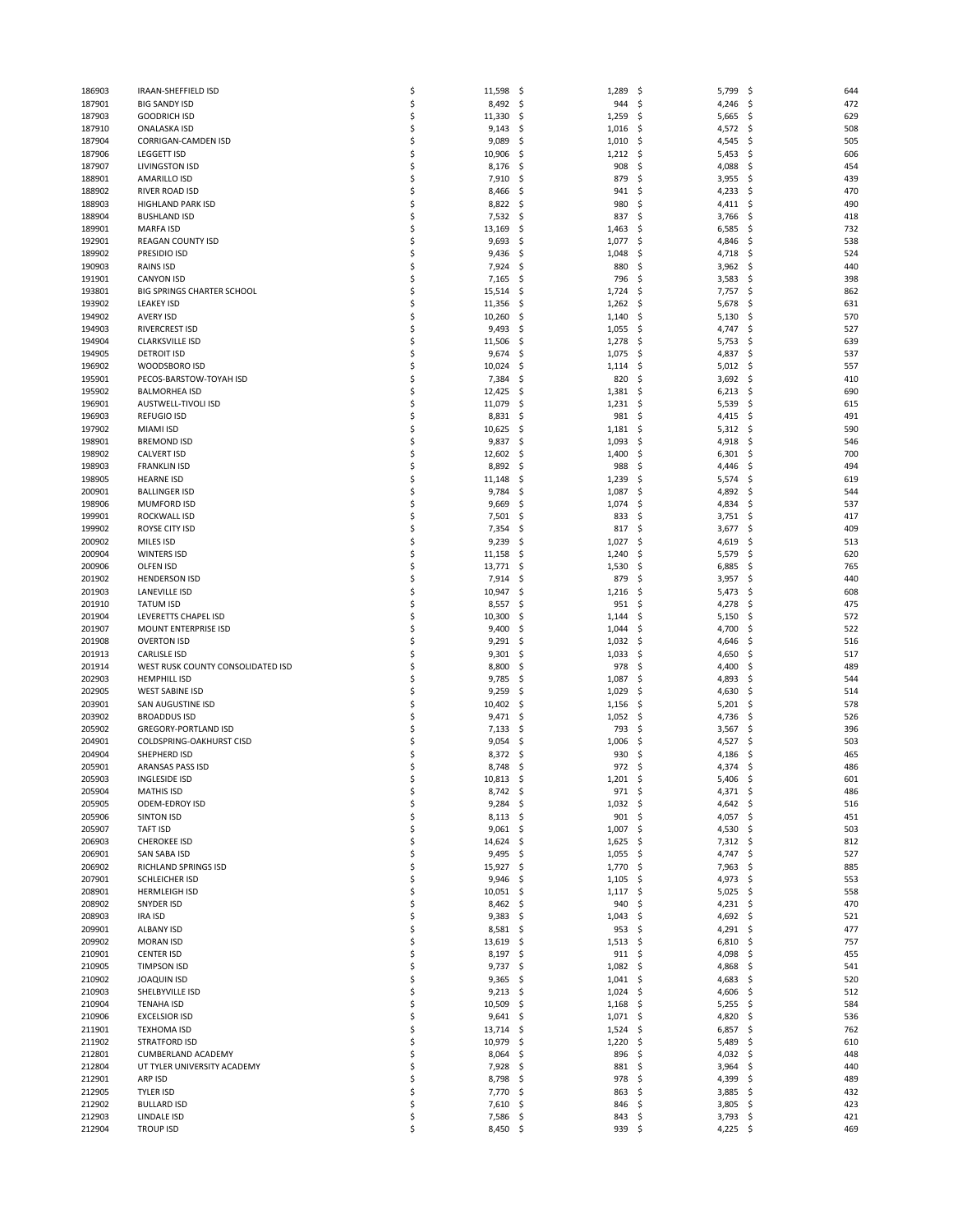| 186903           | IRAAN-SHEFFIELD ISD                                | \$       | 11,598            | \$         | 1,289          | 5,799<br>\$                 | \$<br>644               |
|------------------|----------------------------------------------------|----------|-------------------|------------|----------------|-----------------------------|-------------------------|
| 187901           | <b>BIG SANDY ISD</b>                               | \$       | 8,492             | \$         | 944            | \$<br>4,246                 | \$<br>472               |
| 187903           | <b>GOODRICH ISD</b>                                | \$       | 11,330            | -\$        | 1,259          | 5,665<br>\$                 | 629<br>\$               |
| 187910<br>187904 | <b>ONALASKA ISD</b><br><b>CORRIGAN-CAMDEN ISD</b>  | \$<br>\$ | 9,143<br>9,089    | -\$<br>.s  | 1,016<br>1,010 | \$<br>4,572<br>-\$<br>4,545 | 508<br>\$<br>\$<br>505  |
| 187906           | <b>LEGGETT ISD</b>                                 | \$       | 10,906            | -\$        | 1,212          | \$<br>5,453                 | \$<br>606               |
| 187907           | <b>LIVINGSTON ISD</b>                              | \$       | 8,176             | \$.        | 908            | \$<br>4,088                 | \$<br>454               |
| 188901           | <b>AMARILLO ISD</b>                                | \$       | 7,910             | \$.        | 879            | -\$<br>3,955                | \$<br>439               |
| 188902           | RIVER ROAD ISD                                     | \$       | 8,466             | -\$        | 941            | \$<br>4,233                 | 470<br>\$               |
| 188903           | HIGHLAND PARK ISD                                  | \$       | 8,822             | \$.        | 980            | 4,411<br>S                  | 490<br>\$               |
| 188904           | <b>BUSHLAND ISD</b>                                | \$       | 7,532             | -\$        | 837            | \$<br>3,766                 | \$<br>418               |
| 189901<br>192901 | <b>MARFA ISD</b><br><b>REAGAN COUNTY ISD</b>       | \$<br>\$ | 13,169<br>9,693   | \$<br>\$.  | 1,463<br>1,077 | 6,585<br>\$<br>\$<br>4,846  | \$<br>732<br>\$<br>538  |
| 189902           | PRESIDIO ISD                                       | \$       | 9,436             | -\$        | 1,048          | \$<br>4,718                 | \$<br>524               |
| 190903           | RAINS ISD                                          | \$       | 7,924             | \$.        | 880            | \$<br>3,962                 | \$<br>440               |
| 191901           | <b>CANYON ISD</b>                                  | \$       | 7,165             | \$,        | 796            | \$<br>3,583                 | \$<br>398               |
| 193801           | <b>BIG SPRINGS CHARTER SCHOOL</b>                  | \$       | 15,514            | \$.        | 1,724          | \$<br>7,757                 | -\$<br>862              |
| 193902           | <b>LEAKEY ISD</b>                                  | \$       | 11,356            | \$         | 1,262          | \$<br>5,678                 | \$<br>631               |
| 194902           | <b>AVERY ISD</b>                                   | \$       | 10,260            | \$.        | 1,140          | 5,130<br>\$.                | \$<br>570               |
| 194903           | RIVERCREST ISD                                     | \$       | 9,493             | -\$        | 1,055          | \$<br>4,747                 | 527<br>-\$              |
| 194904           | <b>CLARKSVILLE ISD</b>                             | \$       | 11,506            | \$         | 1,278          | \$<br>5,753                 | \$<br>639               |
| 194905<br>196902 | <b>DETROIT ISD</b><br>WOODSBORO ISD                | \$<br>\$ | 9,674<br>10,024   | \$,<br>\$. | 1,075<br>1,114 | 4,837<br>\$.<br>5,012<br>\$ | \$<br>537<br>557<br>\$  |
| 195901           | PECOS-BARSTOW-TOYAH ISD                            | \$       | 7,384             | \$         | 820            | \$<br>3,692                 | \$<br>410               |
| 195902           | <b>BALMORHEA ISD</b>                               | \$       | 12,425            | -\$        | 1,381          | \$<br>6,213                 | -\$<br>690              |
| 196901           | AUSTWELL-TIVOLI ISD                                | \$       | 11,079            | \$.        | 1,231          | 5,539<br>\$                 | \$<br>615               |
| 196903           | <b>REFUGIO ISD</b>                                 | \$       | 8,831             | \$.        | 981            | \$<br>4,415                 | \$<br>491               |
| 197902           | <b>MIAMI ISD</b>                                   | \$       | 10,625            | -\$        | 1,181          | \$<br>5,312                 | 590<br>-\$              |
| 198901           | <b>BREMOND ISD</b>                                 | \$       | 9,837             | \$.        | 1,093          | \$<br>4,918                 | \$<br>546               |
| 198902           | <b>CALVERT ISD</b>                                 | \$       | 12,602            | \$         | 1,400          | \$<br>6,301                 | \$<br>700               |
| 198903           | <b>FRANKLIN ISD</b>                                | \$       | 8,892             | -\$        | 988            | \$<br>4,446                 | \$<br>494               |
| 198905<br>200901 | <b>HEARNE ISD</b><br><b>BALLINGER ISD</b>          | \$<br>\$ | 11,148<br>9,784   | \$<br>\$   | 1,239<br>1,087 | \$<br>5,574<br>\$<br>4,892  | \$<br>619<br>\$<br>544  |
| 198906           | <b>MUMFORD ISD</b>                                 | \$       | 9,669             | \$.        | 1,074          | \$<br>4,834                 | 537<br>-\$              |
| 199901           | ROCKWALL ISD                                       | \$       | 7,501             | \$,        | 833            | -\$<br>3,751                | \$<br>417               |
| 199902           | ROYSE CITY ISD                                     | \$       | 7,354             | \$         | 817            | \$<br>3,677                 | \$<br>409               |
| 200902           | MILES ISD                                          | \$       | 9,239             | -\$        | 1,027          | \$<br>4,619                 | \$<br>513               |
| 200904           | <b>WINTERS ISD</b>                                 | \$       | 11,158            | \$,        | 1,240          | \$<br>5,579                 | \$<br>620               |
| 200906           | <b>OLFEN ISD</b>                                   | \$       | 13,771            | -\$        | 1,530          | \$<br>6,885                 | \$<br>765               |
| 201902           | <b>HENDERSON ISD</b>                               | \$       | 7,914             | \$.        | 879            | \$<br>3,957                 | 440<br>\$               |
| 201903           | <b>LANEVILLE ISD</b><br><b>TATUM ISD</b>           | \$<br>\$ | 10,947            | \$,        | 1,216          | \$<br>5,473                 | \$<br>608<br>475        |
| 201910<br>201904 | LEVERETTS CHAPEL ISD                               | \$       | 8,557<br>10,300   | \$.<br>\$. | 951<br>1,144   | \$<br>4,278<br>\$<br>5,150  | \$<br>572<br>\$         |
| 201907           | MOUNT ENTERPRISE ISD                               | \$       | 9,400             | -\$        | 1,044          | \$<br>4,700                 | \$<br>522               |
| 201908           | <b>OVERTON ISD</b>                                 | \$       | 9,291             | -\$        | 1,032          | \$<br>4,646                 | \$<br>516               |
| 201913           | <b>CARLISLE ISD</b>                                | \$       | 9,301             | \$.        | 1,033          | \$<br>4,650                 | \$<br>517               |
| 201914           | WEST RUSK COUNTY CONSOLIDATED ISD                  | \$       | 8,800             | -\$        | 978            | \$<br>4,400                 | \$<br>489               |
| 202903           | <b>HEMPHILL ISD</b>                                | \$       | 9,785             | \$.        | 1,087          | \$<br>4,893                 | \$<br>544               |
| 202905           | <b>WEST SABINE ISD</b>                             | \$       | 9,259             | \$         | 1,029          | \$<br>4,630                 | \$<br>514               |
| 203901           | SAN AUGUSTINE ISD                                  | \$       | 10,402            | \$.        | 1,156          | \$<br>5,201                 | \$<br>578               |
| 203902<br>205902 | <b>BROADDUS ISD</b><br><b>GREGORY-PORTLAND ISD</b> | \$<br>\$ | 9,471<br>7,133    | \$.<br>\$. | 1,052<br>793   | \$<br>4,736<br>S            | 526<br>\$<br>\$<br>396  |
| 204901           | <b>COLDSPRING-OAKHURST CISD</b>                    | \$       | 9,054             | S.         | 1,006          | 3,567<br>4,527<br>S         | \$<br>503               |
| 204904           | SHEPHERD ISD                                       | \$       | 8,372             | S          | 930            | 4,186                       | 465<br>S                |
| 205901           | ARANSAS PASS ISD                                   | Ś        | 8,748             | \$.        | 972            | -\$<br>4,374                | \$<br>486               |
| 205903           | <b>INGLESIDE ISD</b>                               | Ś        | 10,813            | \$         | 1,201          | 5,406<br>\$                 | 601<br>\$               |
| 205904           | <b>MATHIS ISD</b>                                  | \$       | 8,742             | -\$        | 971            | \$<br>4,371                 | \$<br>486               |
| 205905           | ODEM-EDROY ISD                                     | \$       | 9,284             | -\$        | $1,032$ \$     | 4,642                       | 516<br>-\$              |
| 205906           | <b>SINTON ISD</b>                                  | \$       | 8,113             | -\$        | 901            | \$<br>4,057                 | 451<br>-\$              |
| 205907           | <b>TAFT ISD</b>                                    | \$       | 9,061             | - \$       | 1,007          | \$<br>4,530                 | -\$<br>503              |
| 206903<br>206901 | <b>CHEROKEE ISD</b><br>SAN SABA ISD                | \$<br>\$ | 14,624<br>9,495   | -\$<br>-\$ | 1,625<br>1,055 | \$<br>7,312<br>\$<br>4,747  | \$<br>812<br>527<br>-\$ |
| 206902           | RICHLAND SPRINGS ISD                               | \$       | 15,927            | -\$        | 1,770          | \$<br>7,963                 | 885<br>-\$              |
| 207901           | SCHLEICHER ISD                                     | \$       | 9,946             | -\$        | 1,105          | \$<br>4,973                 | \$<br>553               |
| 208901           | <b>HERMLEIGH ISD</b>                               | \$       | 10,051            | -\$        | 1,117          | \$<br>5,025                 | \$<br>558               |
| 208902           | SNYDER ISD                                         | \$       | 8,462             | -\$        | 940            | \$<br>4,231                 | 470<br>\$               |
| 208903           | <b>IRA ISD</b>                                     | \$       | 9,383             | -\$        | 1,043          | 4,692<br>\$                 | 521<br>-\$              |
| 209901           | <b>ALBANY ISD</b>                                  | \$       | 8,581             | -\$        | 953            | \$<br>4,291                 | \$<br>477               |
| 209902           | <b>MORAN ISD</b>                                   | \$       | 13,619            | -\$        | 1,513          | \$<br>6,810                 | -\$<br>757              |
| 210901<br>210905 | <b>CENTER ISD</b><br><b>TIMPSON ISD</b>            | \$<br>\$ | 8,197 \$<br>9,737 | \$         | 911<br>1,082   | 4,098<br>\$<br>\$           | 455<br>\$<br>\$<br>541  |
| 210902           | <b>JOAQUIN ISD</b>                                 | \$       | 9,365             | -\$        | 1,041          | 4,868<br>\$<br>4,683        | 520<br>-\$              |
| 210903           | SHELBYVILLE ISD                                    | \$       | 9,213             | -\$        | 1,024          | \$<br>4,606                 | 512<br>-\$              |
| 210904           | <b>TENAHA ISD</b>                                  | \$       | 10,509            | \$         | 1,168          | \$<br>5,255                 | \$<br>584               |
| 210906           | <b>EXCELSIOR ISD</b>                               | \$       | 9,641             | -\$        | 1,071          | \$<br>4,820                 | \$<br>536               |
| 211901           | <b>TEXHOMA ISD</b>                                 | \$       | 13,714            | \$.        | 1,524          | \$<br>6,857                 | 762<br>\$               |
| 211902           | <b>STRATFORD ISD</b>                               | \$       | 10,979            | \$         | 1,220          | \$<br>5,489                 | \$<br>610               |
| 212801           | CUMBERLAND ACADEMY                                 | \$       | 8,064             | -\$        | 896            | 4,032<br>\$                 | 448<br>-\$              |
| 212804<br>212901 | UT TYLER UNIVERSITY ACADEMY<br>ARP ISD             | \$<br>\$ | 7,928<br>8,798    | -\$<br>\$  | 881<br>978     | \$<br>3,964<br>\$<br>4,399  | \$<br>440<br>\$<br>489  |
| 212905           | <b>TYLER ISD</b>                                   | \$       | 7,770             | -\$        | 863            | \$<br>3,885                 | 432<br>-\$              |
| 212902           | <b>BULLARD ISD</b>                                 | \$       | 7,610             | -\$        | 846            | \$<br>3,805                 | 423<br>-\$              |
| 212903           | LINDALE ISD                                        | \$       | 7,586             | -\$        | 843            | 3,793<br>\$                 | \$<br>421               |
| 212904           | <b>TROUP ISD</b>                                   | \$       | 8,450 \$          |            | 939 \$         | 4,225 \$                    | 469                     |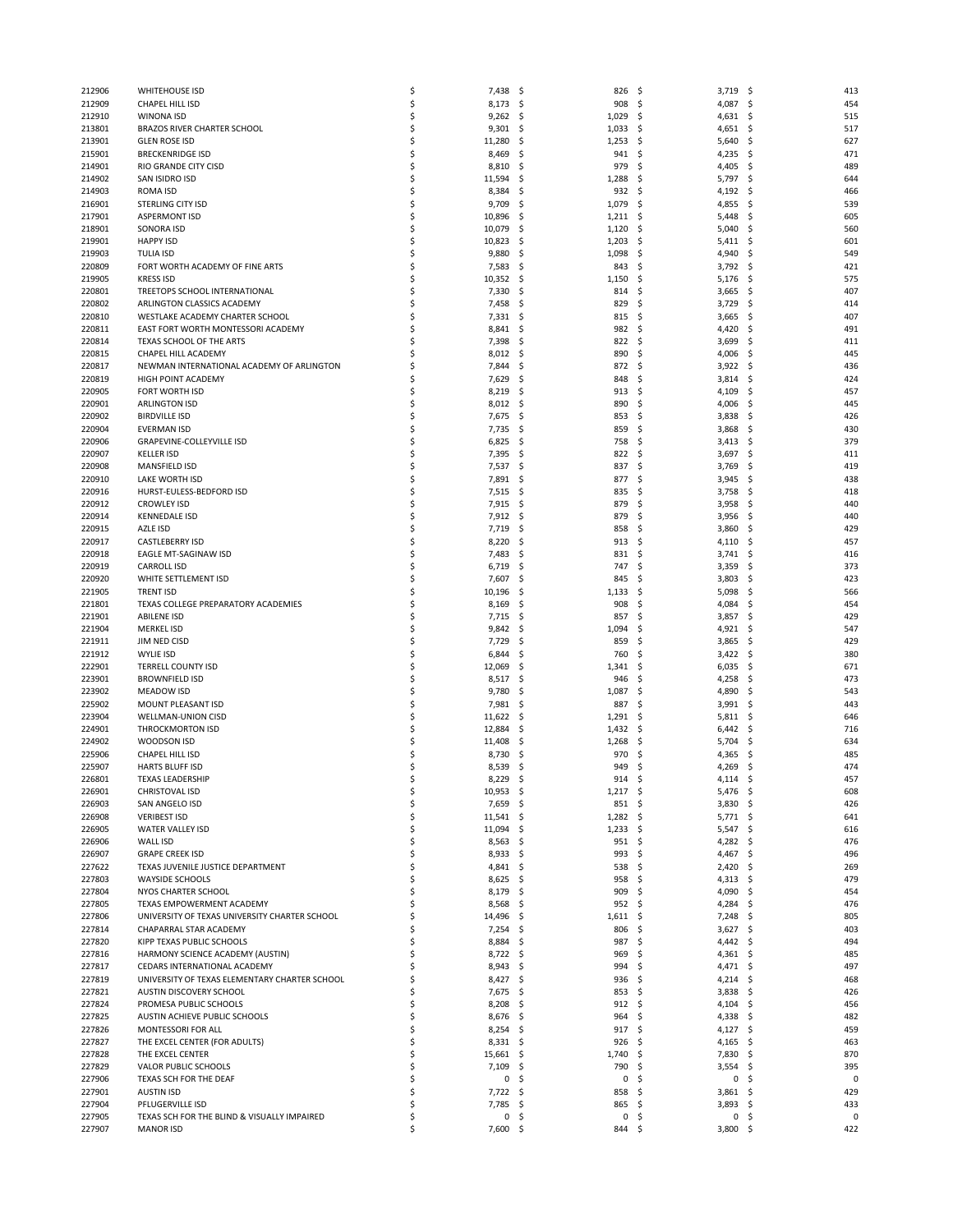| 212906 | <b>WHITEHOUSE ISD</b>                         | \$ | 7,438       | S.<br>826               | - \$ | 3,719      | \$<br>413  |
|--------|-----------------------------------------------|----|-------------|-------------------------|------|------------|------------|
| 212909 | CHAPEL HILL ISD                               | \$ | 8,173       | -\$<br>908              | -\$  | 4,087      | \$<br>454  |
| 212910 | WINONA ISD                                    | \$ | 9,262       | 1,029<br>\$,            | \$   | 4,631      | 515<br>\$  |
| 213801 | <b>BRAZOS RIVER CHARTER SCHOOL</b>            | \$ | 9,301       | \$.<br>1,033            | \$,  | 4,651      | 517<br>\$. |
|        |                                               |    |             |                         |      |            |            |
| 213901 | <b>GLEN ROSE ISD</b>                          | \$ | 11,280      | \$.<br>1,253            | -\$  | 5,640      | 627<br>S   |
| 215901 | <b>BRECKENRIDGE ISD</b>                       | \$ | 8,469       | \$.<br>941              | \$   | 4,235      | 471<br>\$, |
| 214901 | RIO GRANDE CITY CISD                          | \$ | 8,810       | S.<br>979               | \$   | 4,405      | 489<br>S   |
| 214902 | SAN ISIDRO ISD                                | \$ | 11,594      | \$,<br>1,288            | \$   | 5,797      | 644<br>\$. |
| 214903 | <b>ROMA ISD</b>                               | \$ | 8,384       | \$<br>932               | \$   | 4,192      | Ś<br>466   |
| 216901 | <b>STERLING CITY ISD</b>                      | \$ | 9,709       | \$,<br>1,079            | -\$  | 4,855      | 539<br>\$, |
| 217901 | <b>ASPERMONT ISD</b>                          | \$ | 10,896      | \$,<br>$1,211$ \$       |      | 5,448      | 605<br>\$. |
| 218901 | SONORA ISD                                    | \$ | 10,079      | \$<br>1,120             | \$   | 5,040      | Ś<br>560   |
| 219901 | <b>HAPPY ISD</b>                              | \$ | 10,823      | \$,<br>1,203            | \$.  | 5,411      | 601<br>\$. |
| 219903 | <b>TULIA ISD</b>                              | \$ | 9,880       | 1,098<br>\$,            | \$   | 4,940      | 549<br>\$  |
|        | FORT WORTH ACADEMY OF FINE ARTS               | \$ |             |                         |      |            |            |
| 220809 |                                               |    | 7,583       | \$.<br>843              | \$   | 3,792      | \$<br>421  |
| 219905 | <b>KRESS ISD</b>                              | Ś  | 10,352      | -\$<br>1,150            | \$   | 5,176      | 575<br>\$. |
| 220801 | TREETOPS SCHOOL INTERNATIONAL                 | \$ | 7,330       | \$.<br>814              | \$   | 3,665      | 407<br>\$  |
| 220802 | ARLINGTON CLASSICS ACADEMY                    | \$ | 7,458       | \$.<br>829              | \$   | 3,729      | Ś<br>414   |
| 220810 | WESTLAKE ACADEMY CHARTER SCHOOL               | Ś  | 7,331       | -\$<br>815              | \$   | 3,665      | 407<br>\$, |
| 220811 | EAST FORT WORTH MONTESSORI ACADEMY            | Ś  | 8,841       | S.<br>982               | \$   | 4,420      | 491<br>S   |
| 220814 | TEXAS SCHOOL OF THE ARTS                      | Ś  | 7,398       | \$.<br>822              | \$   | 3,699      | 411<br>S   |
| 220815 | CHAPEL HILL ACADEMY                           | Ś  | 8,012       | -\$<br>890              | \$,  | 4,006      | 445<br>\$, |
| 220817 | NEWMAN INTERNATIONAL ACADEMY OF ARLINGTON     | Ś  | 7,844       | S.<br>872               | \$   | 3,922      | 436<br>S   |
| 220819 | <b>HIGH POINT ACADEMY</b>                     | Ś  | 7,629       | \$.<br>848              | \$   | 3,814      | 424<br>S   |
|        | FORT WORTH ISD                                | \$ |             |                         |      |            |            |
| 220905 |                                               |    | 8,219       | -\$<br>913              | - \$ | 4,109      | \$<br>457  |
| 220901 | <b>ARLINGTON ISD</b>                          | Ś  | 8,012       | \$.<br>890              | S    | 4,006      | 445<br>S   |
| 220902 | <b>BIRDVILLE ISD</b>                          | \$ | 7,675       | \$.<br>853              | \$   | 3,838      | 426<br>S   |
| 220904 | <b>EVERMAN ISD</b>                            | \$ | 7,735       | -\$<br>859              | \$   | 3,868      | 430<br>\$. |
| 220906 | <b>GRAPEVINE-COLLEYVILLE ISD</b>              | Ś  | 6,825       | S.<br>758               | \$   | 3,413      | 379<br>S   |
| 220907 | <b>KELLER ISD</b>                             | \$ | 7,395       | \$.<br>822              | \$   | 3,697      | \$<br>411  |
| 220908 | MANSFIELD ISD                                 | \$ | 7,537       | -\$<br>837              | \$   | 3,769      | 419<br>\$. |
| 220910 | LAKE WORTH ISD                                | Ś  | 7,891       | S.<br>877               | - \$ | 3,945      | 438<br>S   |
| 220916 | HURST-EULESS-BEDFORD ISD                      | \$ | 7,515       | \$.<br>835              | \$   | 3,758      | \$<br>418  |
| 220912 | <b>CROWLEY ISD</b>                            | \$ | 7,915       | .s<br>879               | \$   | 3,958      | 440<br>S   |
|        |                                               | Ś  |             |                         |      |            |            |
| 220914 | <b>KENNEDALE ISD</b>                          |    | 7,912       | -\$<br>879              | \$   | 3,956      | 440<br>S   |
| 220915 | AZLE ISD                                      | \$ | 7,719       | \$.<br>858              | \$   | 3,860      | \$<br>429  |
| 220917 | <b>CASTLEBERRY ISD</b>                        | \$ | 8,220       | .s<br>913               | \$   | 4,110      | 457<br>S   |
| 220918 | EAGLE MT-SAGINAW ISD                          | Ś  | 7,483       | \$,<br>831              | \$   | 3,741      | \$<br>416  |
| 220919 | <b>CARROLL ISD</b>                            | \$ | 6,719       | \$.<br>747              | \$   | 3,359      | 373<br>\$, |
| 220920 | WHITE SETTLEMENT ISD                          | \$ | 7,607       | S.<br>845               | \$   | 3,803      | 423<br>S   |
| 221905 | <b>TRENT ISD</b>                              | Ś  | 10,196      | \$,<br>1,133            | \$   | 5,098      | 566<br>S   |
| 221801 | TEXAS COLLEGE PREPARATORY ACADEMIES           | \$ | 8,169       | 908<br>\$.              | \$   | 4,084      | 454<br>\$, |
| 221901 | <b>ABILENE ISD</b>                            | \$ | 7,715       | -\$<br>857              | \$   | 3,857      | 429<br>S   |
| 221904 | <b>MERKEL ISD</b>                             | Ś  | 9,842       | \$,<br>1,094            | \$   | 4,921      | 547<br>\$. |
|        |                                               |    |             |                         |      |            |            |
| 221911 | JIM NED CISD                                  | \$ | 7,729       | \$<br>859               | \$   | 3,865      | 429<br>S   |
| 221912 | <b>WYLIE ISD</b>                              | \$ | 6,844       | S.<br>760               | \$   | 3,422      | 380<br>\$. |
| 222901 | <b>TERRELL COUNTY ISD</b>                     | \$ | 12,069      | \$,<br>1,341            | \$   | 6,035      | \$<br>671  |
| 223901 | <b>BROWNFIELD ISD</b>                         | \$ | 8,517       | \$.<br>946              | S    | 4,258      | 473<br>S   |
| 223902 | <b>MEADOW ISD</b>                             | \$ | 9,780       | S.<br>1,087             | \$   | 4,890      | 543<br>S   |
| 225902 | MOUNT PLEASANT ISD                            | \$ | 7,981       | 887<br>\$,              | \$   | 3,991      | \$<br>443  |
| 223904 | WELLMAN-UNION CISD                            | \$ | 11,622      | 1,291<br>\$,            | \$,  | 5,811      | S<br>646   |
| 224901 | <b>THROCKMORTON ISD</b>                       | \$ | 12,884      | \$.<br>1,432            | - \$ | 6,442      | 716<br>S   |
| 224902 | WOODSON ISD                                   | \$ | 11,408      | \$,<br>1,268            | \$   | 5,704      | \$,<br>634 |
| 225906 | CHAPEL HILL ISD                               | Ś  | 8,730       | 970<br>S                | S    | 4,365      | 485        |
|        |                                               | \$ |             | 949                     | -\$  |            | 474        |
| 225907 | <b>HARTS BLUFF ISD</b>                        |    | 8,539       | \$.                     |      | 4,269      | S          |
| 226801 | <b>TEXAS LEADERSHIP</b>                       | ς  | 8,229       | \$<br>914               | \$   | 4,114      | 457<br>S   |
| 226901 | CHRISTOVAL ISD                                | \$ | $10,953$ \$ | $1,217$ \$              |      | $5,476$ \$ | 608        |
| 226903 | SAN ANGELO ISD                                | \$ | 7,659       | -\$<br>851S             |      | $3,830$ \$ | 426        |
| 226908 | <b>VERIBEST ISD</b>                           | \$ | 11,541      | -\$<br>$1,282$ \$       |      | 5,771      | \$<br>641  |
| 226905 | WATER VALLEY ISD                              | \$ | $11,094$ \$ | $1,233$ \$              |      | 5,547      | 616<br>\$, |
| 226906 | WALL ISD                                      | \$ | $8,563$ \$  | $951 \quad $$           |      | 4,282 \$   | 476        |
| 226907 | <b>GRAPE CREEK ISD</b>                        | \$ | 8,933       | -\$<br>993              | \$   | 4,467      | \$<br>496  |
| 227622 | TEXAS JUVENILE JUSTICE DEPARTMENT             | \$ | $4,841$ \$  | 538                     | \$   | $2,420$ \$ | 269        |
| 227803 | <b>WAYSIDE SCHOOLS</b>                        | \$ | $8,625$ \$  | 958                     | - \$ | $4,313$ \$ | 479        |
| 227804 | NYOS CHARTER SCHOOL                           | Ś  | 8,179       | -\$<br>909              | \$   | 4,090      | \$<br>454  |
|        |                                               |    |             |                         |      |            |            |
| 227805 | TEXAS EMPOWERMENT ACADEMY                     | Ś  | 8,568       | -\$<br>952 <sub>5</sub> |      | 4,284      | 476<br>\$, |
| 227806 | UNIVERSITY OF TEXAS UNIVERSITY CHARTER SCHOOL | Ś  | 14,496      | .s<br>1,611             | S    | 7,248      | 805<br>-\$ |
| 227814 | CHAPARRAL STAR ACADEMY                        | Ś  | 7,254       | \$.<br>806              | \$   | 3,627      | \$<br>403  |
| 227820 | KIPP TEXAS PUBLIC SCHOOLS                     | Ś  | 8,884       | - \$<br>987             | \$   | $4,442$ \$ | 494        |
| 227816 | HARMONY SCIENCE ACADEMY (AUSTIN)              | Ś  | 8,722 \$    | 969                     | \$   | $4,361$ \$ | 485        |
| 227817 | CEDARS INTERNATIONAL ACADEMY                  | \$ | $8,943$ \$  | 994                     | \$   | 4,471      | \$<br>497  |
| 227819 | UNIVERSITY OF TEXAS ELEMENTARY CHARTER SCHOOL | Ś  | 8,427 \$    | 936                     | - \$ | 4,214      | 468<br>-\$ |
| 227821 | AUSTIN DISCOVERY SCHOOL                       | Ś  | 7,675       | -\$<br>853              | \$   | 3,838      | 426<br>-\$ |
| 227824 | PROMESA PUBLIC SCHOOLS                        | Ś  | 8,208       | \$.<br>912              | \$   | 4,104      | \$<br>456  |
| 227825 | AUSTIN ACHIEVE PUBLIC SCHOOLS                 | \$ | 8,676       | -\$<br>964              | \$   | 4,338      | 482<br>-\$ |
|        |                                               | Ś  |             |                         |      |            |            |
| 227826 | MONTESSORI FOR ALL                            |    | $8,254$ \$  | 917 \$                  |      | 4,127      | 459<br>-\$ |
| 227827 | THE EXCEL CENTER (FOR ADULTS)                 | \$ | 8,331       | -\$<br>926              | \$   | 4,165      | \$<br>463  |
| 227828 | THE EXCEL CENTER                              | \$ | 15,661      | -\$<br>1,740            | \$   | 7,830      | 870<br>\$. |
| 227829 | VALOR PUBLIC SCHOOLS                          | Ś  | 7,109       | -\$<br>790              | \$   | 3,554      | 395<br>\$. |
| 227906 | TEXAS SCH FOR THE DEAF                        | \$ | $\mathsf 0$ | \$.<br>0                | \$   | 0          | 0<br>\$    |
| 227901 | <b>AUSTIN ISD</b>                             | Ś  | 7,722       | \$.<br>858              | -\$  | 3,861      | 429<br>S   |
| 227904 | PFLUGERVILLE ISD                              | Ś  | 7,785       | -\$<br>865              | - \$ | 3,893      | 433<br>S   |
| 227905 | TEXAS SCH FOR THE BLIND & VISUALLY IMPAIRED   | \$ | 0           | \$.<br>0                | \$   | 0          | 0<br>\$    |
| 227907 | <b>MANOR ISD</b>                              | \$ | 7,600       | -\$<br>844 \$           |      | $3,800$ \$ | 422        |
|        |                                               |    |             |                         |      |            |            |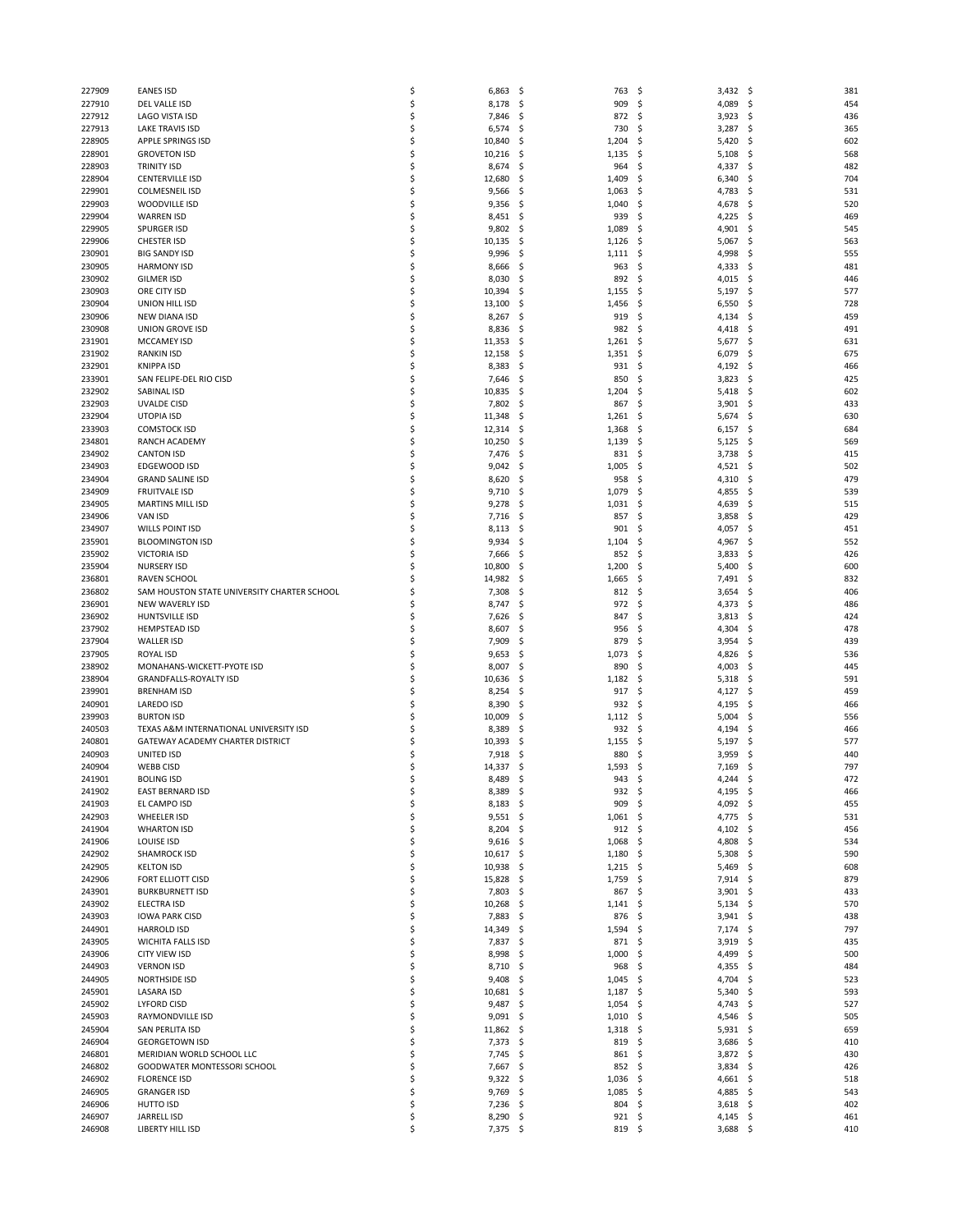| 227909           | <b>EANES ISD</b>                            | \$       | 6,863<br>-\$            | 763             | S.<br>3,432             | -\$<br>381       |
|------------------|---------------------------------------------|----------|-------------------------|-----------------|-------------------------|------------------|
| 227910           | DEL VALLE ISD                               | Ś        | 8,178<br>-\$            | 909             | \$<br>4,089             | \$<br>454        |
| 227912           | LAGO VISTA ISD                              | Ś        | 7,846<br>\$.            | 872             | \$<br>3,923             | 436<br>\$        |
| 227913           | <b>LAKE TRAVIS ISD</b>                      | Ś        | 6,574<br>\$             | 730             | \$<br>3,287             | \$<br>365        |
| 228905           | <b>APPLE SPRINGS ISD</b>                    | Ś        | 10,840<br>-\$           | 1,204           | 5,420<br>\$             | 602<br>\$        |
|                  |                                             |          |                         |                 |                         |                  |
| 228901           | <b>GROVETON ISD</b>                         | \$       | 10,216<br>-\$           | 1,135           | \$<br>5,108             | 568<br>\$        |
| 228903           | <b>TRINITY ISD</b>                          | Ś        | 8,674<br>\$             | 964             | \$<br>4,337             | \$<br>482        |
| 228904           | <b>CENTERVILLE ISD</b>                      | Ś        | 12,680<br>-\$           | 1,409           | \$<br>6,340             | 704<br>\$        |
| 229901           | <b>COLMESNEIL ISD</b>                       | Ś        | 9,566<br>-\$            | 1,063           | \$<br>4,783             | \$<br>531        |
|                  |                                             |          |                         |                 |                         |                  |
| 229903           | WOODVILLE ISD                               | S        | 9,356<br>\$             | 1,040           | \$<br>4,678             | \$<br>520        |
| 229904           | <b>WARREN ISD</b>                           | \$       | 8,451<br>-\$            | 939             | \$<br>4,225             | 469<br>\$        |
| 229905           | <b>SPURGER ISD</b>                          | Ś        | 9,802<br>-\$            | 1,089           | \$<br>4,901             | \$<br>545        |
|                  |                                             |          |                         |                 |                         |                  |
| 229906           | CHESTER ISD                                 | S        | 10,135<br>\$            | 1,126           | \$<br>5,067             | \$<br>563        |
| 230901           | <b>BIG SANDY ISD</b>                        | Ś        | 9,996<br>\$             | 1,111           | 4,998<br>\$             | 555<br>\$        |
| 230905           | <b>HARMONY ISD</b>                          | Ś        | 8,666<br>-\$            | 963             | \$<br>4,333             | \$<br>481        |
| 230902           |                                             | Ś        | 8,030                   | 892             |                         |                  |
|                  | <b>GILMER ISD</b>                           |          | \$.                     |                 | \$<br>4,015             | \$<br>446        |
| 230903           | ORE CITY ISD                                | Ś        | 10,394<br>\$.           | 1,155           | \$<br>5,197             | \$<br>577        |
| 230904           | UNION HILL ISD                              | Ś        | 13,100<br>\$.           | 1,456           | \$<br>6,550             | \$<br>728        |
| 230906           | NEW DIANA ISD                               | S        | 8,267<br>\$.            | 919             | \$<br>4,134             | \$<br>459        |
|                  |                                             |          |                         |                 |                         |                  |
| 230908           | <b>UNION GROVE ISD</b>                      | Ś        | 8,836<br>-\$            | 982             | \$<br>4,418             | \$<br>491        |
| 231901           | <b>MCCAMEY ISD</b>                          | Ś        | 11,353<br>\$.           | 1,261           | \$<br>5,677             | \$<br>631        |
| 231902           | <b>RANKIN ISD</b>                           | S        | 12,158<br>\$.           | 1,351           | \$<br>6,079             | 675<br>\$        |
| 232901           | <b>KNIPPA ISD</b>                           | \$       | 8,383<br>\$.            | 931             | \$<br>4,192             | \$<br>466        |
|                  |                                             |          |                         |                 |                         |                  |
| 233901           | SAN FELIPE-DEL RIO CISD                     | \$       | 7,646<br>\$.            | 850             | \$<br>3,823             | \$<br>425        |
| 232902           | <b>SABINAL ISD</b>                          | Ś        | 10,835<br>\$.           | 1,204           | \$<br>5,418             | 602<br>\$        |
| 232903           | <b>UVALDE CISD</b>                          | \$       | 7,802<br>-\$            | 867             | \$<br>3,901             | \$<br>433        |
| 232904           |                                             | \$       |                         |                 | \$                      | \$               |
|                  | <b>UTOPIA ISD</b>                           |          | 11,348<br>\$.           | 1,261           | 5,674                   | 630              |
| 233903           | <b>COMSTOCK ISD</b>                         | Ś        | 12,314<br>-\$           | 1,368           | \$<br>6,157             | \$<br>684        |
| 234801           | RANCH ACADEMY                               | \$       | 10,250<br>\$.           | 1,139           | \$<br>5,125             | \$<br>569        |
| 234902           | <b>CANTON ISD</b>                           | \$       | 7,476<br>\$.            | 831             | \$<br>3,738             | \$<br>415        |
|                  |                                             |          |                         |                 |                         |                  |
| 234903           | EDGEWOOD ISD                                | Ś        | 9,042<br>-\$            | 1,005           | \$<br>4,521             | 502<br>\$        |
| 234904           | <b>GRAND SALINE ISD</b>                     | \$       | 8,620<br>\$.            | 958             | \$<br>4,310             | 479<br>\$        |
| 234909           | <b>FRUITVALE ISD</b>                        | \$       | 9,710<br>-\$            | 1,079           | \$<br>4,855             | \$<br>539        |
| 234905           |                                             | Ś        |                         |                 |                         | 515              |
|                  | <b>MARTINS MILL ISD</b>                     |          | 9,278<br>\$.            | 1,031           | \$<br>4,639             | \$               |
| 234906           | <b>VAN ISD</b>                              | \$       | 7,716<br>\$.            | 857             | \$<br>3,858             | \$<br>429        |
| 234907           | WILLS POINT ISD                             | Ś        | 8,113<br>\$             | 901             | \$<br>4,057             | \$<br>451        |
| 235901           | <b>BLOOMINGTON ISD</b>                      | Ś        | 9,934<br>-\$            | 1,104           | \$<br>4,967             | \$<br>552        |
|                  |                                             |          |                         |                 |                         |                  |
| 235902           | <b>VICTORIA ISD</b>                         | \$       | 7,666<br>\$.            | 852             | 3,833<br>\$             | 426<br>\$        |
| 235904           | <b>NURSERY ISD</b>                          | Ś        | 10,800<br>\$            | 1,200           | \$<br>5,400             | \$<br>600        |
| 236801           | <b>RAVEN SCHOOL</b>                         | Ś        | 14,982<br>-\$           | 1,665           | \$<br>7,491             | -\$<br>832       |
| 236802           | SAM HOUSTON STATE UNIVERSITY CHARTER SCHOOL | \$       | 7,308<br>\$.            | 812             | \$<br>3,654             | 406<br>\$        |
|                  |                                             |          |                         |                 |                         |                  |
| 236901           | NEW WAVERLY ISD                             | Ś        | 8,747<br>\$             | 972             | \$<br>4,373             | \$<br>486        |
| 236902           | <b>HUNTSVILLE ISD</b>                       | Ś        | 7,626<br>\$.            | 847             | \$<br>3,813             | -\$<br>424       |
| 237902           | <b>HEMPSTEAD ISD</b>                        | \$       | 8,607<br>\$.            | 956             | \$<br>4,304             | 478<br>\$        |
|                  |                                             |          |                         |                 |                         |                  |
| 237904           | <b>WALLER ISD</b>                           | Ś        | 7,909<br>\$.            | 879             | \$<br>3,954             | \$<br>439        |
| 237905           | <b>ROYAL ISD</b>                            | Ś        | 9,653<br>\$.            | 1,073           | \$<br>4,826             | \$<br>536        |
| 238902           | MONAHANS-WICKETT-PYOTE ISD                  | Ś        | 8,007<br>\$             | 890             | \$<br>4,003             | \$<br>445        |
| 238904           | <b>GRANDFALLS-ROYALTY ISD</b>               | \$       | 10,636<br>\$            | 1,182           | \$<br>5,318             | \$<br>591        |
|                  |                                             |          |                         |                 |                         |                  |
| 239901           | <b>BRENHAM ISD</b>                          | Ś        | 8,254<br>-\$            | 917             | \$<br>4,127             | 459<br>\$        |
| 240901           | LAREDO ISD                                  | Ś        | 8,390<br>\$.            | 932             | \$<br>4,195             | \$<br>466        |
| 239903           | <b>BURTON ISD</b>                           | \$       | 10,009<br>\$            | 1,112           | \$<br>5,004             | \$<br>556        |
| 240503           | TEXAS A&M INTERNATIONAL UNIVERSITY ISD      | Ś        | 8,389<br>\$.            | 932             | \$<br>4,194             | \$<br>466        |
|                  |                                             |          |                         |                 |                         |                  |
| 240801           | GATEWAY ACADEMY CHARTER DISTRICT            | Ś        | 10,393<br>-\$           | 1,155           | \$<br>5,197             | 577<br>\$        |
| 240903           | UNITED ISD                                  | \$       | 7,918<br>\$             | 880             | \$<br>3,959             | \$<br>440        |
| 240904           | <b>WEBB CISD</b>                            | Ś        | 14,337<br>\$.           | 1,593           | 7,169<br>\$             | 797<br>\$        |
|                  |                                             |          |                         |                 |                         |                  |
| 241901           | <b>BOLING ISD</b>                           |          | 8,489<br>\$             | 943             | \$<br>4,244             | 472<br>Ś         |
| 241902           | EAST BERNARD ISD                            | \$       | -\$<br>8,389            | 932             | \$<br>4,195             | \$<br>466        |
| 241903           | EL CAMPO ISD                                | \$       | 8,183<br>- \$           | 909             | \$<br>4,092             | \$<br>455        |
| 242903           | <b>WHEELER ISD</b>                          | \$       | $9,551$ \$              | 1,061           | \$<br>4,775 \$          | 531              |
|                  |                                             |          |                         |                 |                         |                  |
| 241904           | <b>WHARTON ISD</b>                          | \$       | 8,204<br>-\$            | 912             | \$<br>4,102             | 456<br>\$        |
| 241906           | LOUISE ISD                                  | \$       | 9,616<br>-\$            | 1,068           | \$<br>4,808             | \$<br>534        |
| 242902           | SHAMROCK ISD                                | \$       | $10,617$ \$             | 1,180           | \$<br>5,308             | -\$<br>590       |
| 242905           | <b>KELTON ISD</b>                           | \$       | 10,938<br>-\$           | 1,215           | \$<br>5,469             | 608<br>\$        |
|                  |                                             | \$       |                         |                 |                         |                  |
| 242906           | FORT ELLIOTT CISD                           |          | 15,828<br>-\$           | 1,759           | \$<br>7,914             | 879<br>- \$      |
| 243901           | <b>BURKBURNETT ISD</b>                      | Ś        | 7,803<br>- \$           | 867             | \$<br>3,901             | 433<br>\$        |
| 243902           | <b>ELECTRA ISD</b>                          | \$       | 10,268<br>-\$           | 1,141           | \$<br>5,134             | 570<br>\$        |
| 243903           | <b>IOWA PARK CISD</b>                       | \$       | 7,883<br>-\$            | 876             | -\$<br>3,941            | \$<br>438        |
|                  |                                             |          |                         |                 |                         |                  |
| 244901           | <b>HARROLD ISD</b>                          | Ś        | 14,349<br>- \$          | 1,594           | \$<br>7,174             | 797<br>\$        |
| 243905           | <b>WICHITA FALLS ISD</b>                    | Ś        | 7,837<br>\$.            | 871             | 3,919<br>\$             | 435<br>\$        |
| 243906           |                                             |          |                         |                 | \$                      | \$<br>500        |
| 244903           | <b>CITY VIEW ISD</b>                        | \$       |                         | 1,000           |                         |                  |
|                  |                                             |          | 8,998<br>-\$            |                 | 4,499                   |                  |
|                  | <b>VERNON ISD</b>                           | Ś        | 8,710<br>- \$           | 968             | \$<br>4,355             | \$<br>484        |
| 244905           | <b>NORTHSIDE ISD</b>                        | Ś        | 9,408<br>-\$            | 1,045           | \$<br>4,704             | 523<br>\$        |
| 245901           | <b>LASARA ISD</b>                           | \$       | 10,681<br>-\$           | 1,187           | \$<br>5,340             | \$<br>593        |
|                  |                                             |          |                         |                 |                         |                  |
| 245902           | <b>LYFORD CISD</b>                          | \$       | 9,487<br>-\$            | 1,054           | \$<br>4,743             | 527<br>-\$       |
| 245903           | RAYMONDVILLE ISD                            | Ś        | 9,091<br>- Ş            | 1,010           | \$<br>4,546             | 505<br>\$.       |
| 245904           | SAN PERLITA ISD                             | \$       | 11,862<br>- \$          | 1,318           | \$<br>5,931             | 659<br>\$        |
| 246904           | <b>GEORGETOWN ISD</b>                       | \$       | 7,373<br>- \$           | 819             | \$<br>3,686             | \$<br>410        |
|                  |                                             |          |                         |                 |                         |                  |
| 246801           | MERIDIAN WORLD SCHOOL LLC                   | Ś        | 7,745<br>- \$           | 861             | \$<br>3,872             | -\$<br>430       |
| 246802           | GOODWATER MONTESSORI SCHOOL                 | \$       | 7,667<br>- \$           | 852             | \$<br>3,834             | \$<br>426        |
| 246902           | <b>FLORENCE ISD</b>                         | \$       | 9,322<br>\$             | 1,036           | \$<br>4,661             | \$<br>518        |
| 246905           | <b>GRANGER ISD</b>                          | Ś        | 9,769<br>- Ş            | 1,085           | \$<br>4,885             | \$<br>543        |
|                  |                                             |          |                         |                 |                         |                  |
| 246906           | HUTTO ISD                                   | \$       | 7,236<br>- \$           | 804             | \$<br>3,618             | - \$<br>402      |
| 246907<br>246908 | <b>JARRELL ISD</b><br>LIBERTY HILL ISD      | \$<br>\$ | 8,290<br>\$<br>7,375 \$ | 921<br>$819$ \$ | \$<br>4,145<br>3,688 \$ | \$<br>461<br>410 |